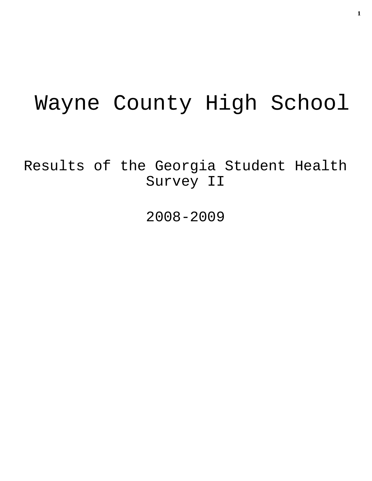# Wayne County High School

Results of the Georgia Student Health Survey II

2008-2009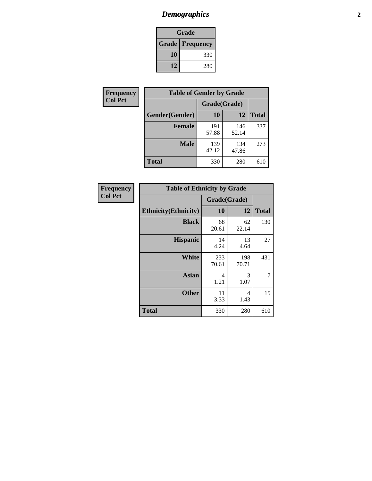# *Demographics* **2**

| Grade                    |     |  |  |  |
|--------------------------|-----|--|--|--|
| <b>Grade   Frequency</b> |     |  |  |  |
| 10                       | 330 |  |  |  |
| 12                       | 280 |  |  |  |

| Frequency      | <b>Table of Gender by Grade</b> |              |              |              |  |  |
|----------------|---------------------------------|--------------|--------------|--------------|--|--|
| <b>Col Pct</b> |                                 | Grade(Grade) |              |              |  |  |
|                | Gender(Gender)                  | 10           | 12           | <b>Total</b> |  |  |
|                | <b>Female</b>                   | 191<br>57.88 | 146<br>52.14 | 337          |  |  |
|                | <b>Male</b>                     | 139<br>42.12 | 134<br>47.86 | 273          |  |  |
|                | <b>Total</b>                    | 330          | 280          | 610          |  |  |

| Frequency<br>Col Pct |
|----------------------|

| <b>Table of Ethnicity by Grade</b> |              |              |              |  |  |  |
|------------------------------------|--------------|--------------|--------------|--|--|--|
|                                    | Grade(Grade) |              |              |  |  |  |
| <b>Ethnicity</b> (Ethnicity)       | 10           | 12           | <b>Total</b> |  |  |  |
| <b>Black</b>                       | 68<br>20.61  | 62<br>22.14  | 130          |  |  |  |
| <b>Hispanic</b>                    | 14<br>4.24   | 13<br>4.64   | 27           |  |  |  |
| White                              | 233<br>70.61 | 198<br>70.71 | 431          |  |  |  |
| <b>Asian</b>                       | 4<br>1.21    | 3<br>1.07    | 7            |  |  |  |
| <b>Other</b>                       | 11<br>3.33   | 4<br>1.43    | 15           |  |  |  |
| <b>Total</b>                       | 330          | 280          | 610          |  |  |  |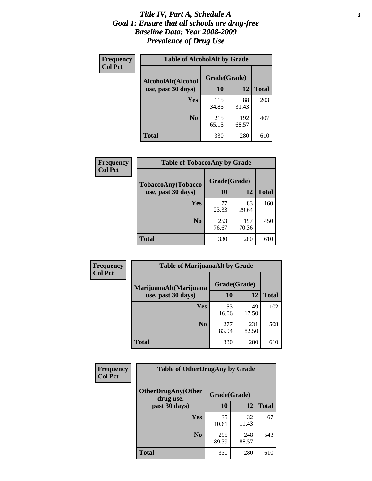### *Title IV, Part A, Schedule A* **3** *Goal 1: Ensure that all schools are drug-free Baseline Data: Year 2008-2009 Prevalence of Drug Use*

| Frequency<br><b>Col Pct</b> | <b>Table of AlcoholAlt by Grade</b> |              |              |              |  |  |
|-----------------------------|-------------------------------------|--------------|--------------|--------------|--|--|
|                             | AlcoholAlt(Alcohol                  | Grade(Grade) |              |              |  |  |
|                             | use, past 30 days)                  | 10           | 12           | <b>Total</b> |  |  |
|                             | Yes                                 | 115<br>34.85 | 88<br>31.43  | 203          |  |  |
|                             | N <sub>0</sub>                      | 215<br>65.15 | 192<br>68.57 | 407          |  |  |
|                             | <b>Total</b>                        | 330          | 280          | 610          |  |  |

| Frequency<br><b>Col Pct</b> | <b>Table of TobaccoAny by Grade</b> |              |              |              |  |  |
|-----------------------------|-------------------------------------|--------------|--------------|--------------|--|--|
|                             | TobaccoAny(Tobacco                  | Grade(Grade) |              |              |  |  |
|                             | use, past 30 days)                  | 10           | 12           | <b>Total</b> |  |  |
|                             | Yes                                 | 77<br>23.33  | 83<br>29.64  | 160          |  |  |
|                             | N <sub>0</sub>                      | 253<br>76.67 | 197<br>70.36 | 450          |  |  |
|                             | <b>Total</b>                        | 330          | 280          | 610          |  |  |

| Frequency<br><b>Col Pct</b> | <b>Table of MarijuanaAlt by Grade</b> |              |              |              |  |
|-----------------------------|---------------------------------------|--------------|--------------|--------------|--|
|                             | MarijuanaAlt(Marijuana                | Grade(Grade) |              |              |  |
|                             | use, past 30 days)                    | <b>10</b>    | 12           | <b>Total</b> |  |
|                             | <b>Yes</b>                            | 53<br>16.06  | 49<br>17.50  | 102          |  |
|                             | N <sub>0</sub>                        | 277<br>83.94 | 231<br>82.50 | 508          |  |
|                             | <b>Total</b>                          | 330          | 280          | 610          |  |

| <b>Frequency</b> | <b>Table of OtherDrugAny by Grade</b>                  |              |              |              |  |
|------------------|--------------------------------------------------------|--------------|--------------|--------------|--|
| <b>Col Pct</b>   | <b>OtherDrugAny(Other</b><br>Grade(Grade)<br>drug use, |              |              |              |  |
|                  | past 30 days)                                          | 10           | 12           | <b>Total</b> |  |
|                  | Yes                                                    | 35<br>10.61  | 32<br>11.43  | 67           |  |
|                  | N <sub>0</sub>                                         | 295<br>89.39 | 248<br>88.57 | 543          |  |
|                  | <b>Total</b>                                           | 330          | 280          | 610          |  |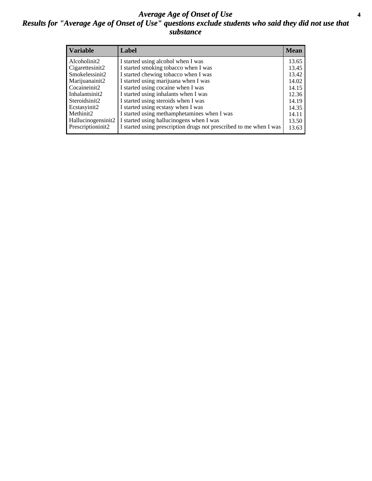### *Average Age of Onset of Use* **4** *Results for "Average Age of Onset of Use" questions exclude students who said they did not use that substance*

| <b>Variable</b>       | Label                                                              | <b>Mean</b> |
|-----------------------|--------------------------------------------------------------------|-------------|
| Alcoholinit2          | I started using alcohol when I was                                 | 13.65       |
| Cigarettesinit2       | I started smoking tobacco when I was                               | 13.45       |
| Smokelessinit2        | I started chewing tobacco when I was                               | 13.42       |
| Marijuanainit2        | I started using marijuana when I was                               | 14.02       |
| Cocaineinit2          | I started using cocaine when I was                                 | 14.15       |
| Inhalantsinit2        | I started using inhalants when I was                               | 12.36       |
| Steroidsinit2         | I started using steroids when I was                                | 14.19       |
| Ecstasyinit2          | I started using ecstasy when I was                                 | 14.35       |
| Methinit <sub>2</sub> | I started using methamphetamines when I was                        | 14.11       |
| Hallucinogensinit2    | I started using hallucinogens when I was                           | 13.50       |
| Prescriptioninit2     | I started using prescription drugs not prescribed to me when I was | 13.63       |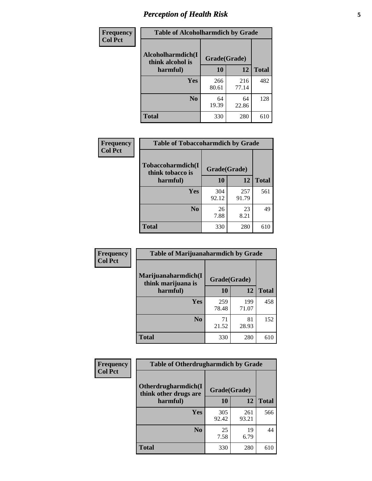# *Perception of Health Risk* **5**

| Frequency      | <b>Table of Alcoholharmdich by Grade</b> |              |              |              |  |
|----------------|------------------------------------------|--------------|--------------|--------------|--|
| <b>Col Pct</b> | Alcoholharmdich(I<br>think alcohol is    | Grade(Grade) |              |              |  |
|                | harmful)                                 | 10           | 12           | <b>Total</b> |  |
|                | Yes                                      | 266<br>80.61 | 216<br>77.14 | 482          |  |
|                | N <sub>0</sub>                           | 64<br>19.39  | 64<br>22.86  | 128          |  |
|                | <b>Total</b>                             | 330          | 280          | 610          |  |

| <b>Frequency</b> | <b>Table of Tobaccoharmdich by Grade</b> |              |              |              |
|------------------|------------------------------------------|--------------|--------------|--------------|
| <b>Col Pct</b>   | Tobaccoharmdich(I<br>think tobacco is    | Grade(Grade) |              |              |
|                  | harmful)                                 | 10           | 12           | <b>Total</b> |
|                  | Yes                                      | 304<br>92.12 | 257<br>91.79 | 561          |
|                  | N <sub>0</sub>                           | 26<br>7.88   | 23<br>8.21   | 49           |
|                  | Total                                    | 330          | 280          | 610          |

| <b>Frequency</b> | <b>Table of Marijuanaharmdich by Grade</b> |              |              |              |  |  |
|------------------|--------------------------------------------|--------------|--------------|--------------|--|--|
| <b>Col Pct</b>   | Marijuanaharmdich(I<br>think marijuana is  |              | Grade(Grade) |              |  |  |
|                  | harmful)                                   | 10           | 12           | <b>Total</b> |  |  |
|                  | Yes                                        | 259<br>78.48 | 199<br>71.07 | 458          |  |  |
|                  | N <sub>0</sub>                             | 71<br>21.52  | 81<br>28.93  | 152          |  |  |
|                  | <b>Total</b>                               | 330          | 280          | 610          |  |  |

| Frequency      | <b>Table of Otherdrugharmdich by Grade</b>   |              |              |              |  |  |  |  |
|----------------|----------------------------------------------|--------------|--------------|--------------|--|--|--|--|
| <b>Col Pct</b> | Otherdrugharmdich(I<br>think other drugs are |              | Grade(Grade) |              |  |  |  |  |
|                | harmful)                                     | 10           | 12           | <b>Total</b> |  |  |  |  |
|                | <b>Yes</b>                                   | 305<br>92.42 | 261<br>93.21 | 566          |  |  |  |  |
|                | N <sub>0</sub>                               | 25<br>7.58   | 19<br>6.79   | 44           |  |  |  |  |
|                | <b>Total</b>                                 | 330          | 280          | 610          |  |  |  |  |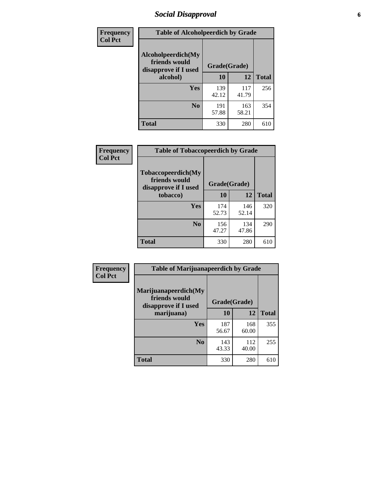# *Social Disapproval* **6**

| Frequency      | <b>Table of Alcoholpeerdich by Grade</b>                    |              |              |     |
|----------------|-------------------------------------------------------------|--------------|--------------|-----|
| <b>Col Pct</b> | Alcoholpeerdich(My<br>friends would<br>disapprove if I used | Grade(Grade) |              |     |
|                | alcohol)                                                    | 10           | <b>Total</b> |     |
|                | <b>Yes</b>                                                  | 139<br>42.12 | 117<br>41.79 | 256 |
|                | N <sub>0</sub>                                              | 191<br>57.88 | 163<br>58.21 | 354 |
|                | Total                                                       | 330          | 280          | 610 |

| <b>Frequency</b> |
|------------------|
| <b>Col Pct</b>   |

| <b>Table of Tobaccopeerdich by Grade</b>                    |              |              |              |  |  |  |
|-------------------------------------------------------------|--------------|--------------|--------------|--|--|--|
| Tobaccopeerdich(My<br>friends would<br>disapprove if I used | Grade(Grade) |              |              |  |  |  |
| tobacco)                                                    | 10           | 12           | <b>Total</b> |  |  |  |
| Yes                                                         | 174<br>52.73 | 146<br>52.14 | 320          |  |  |  |
| N <sub>0</sub>                                              | 156<br>47.27 | 134<br>47.86 | 290          |  |  |  |
| Total                                                       | 330          | 280          |              |  |  |  |

| Frequency      | <b>Table of Marijuanapeerdich by Grade</b>                    |              |              |              |  |  |  |  |
|----------------|---------------------------------------------------------------|--------------|--------------|--------------|--|--|--|--|
| <b>Col Pct</b> | Marijuanapeerdich(My<br>friends would<br>disapprove if I used | Grade(Grade) |              |              |  |  |  |  |
|                | marijuana)                                                    | 10           | 12           | <b>Total</b> |  |  |  |  |
|                | <b>Yes</b>                                                    | 187<br>56.67 | 168<br>60.00 | 355          |  |  |  |  |
|                | N <sub>0</sub>                                                | 143<br>43.33 | 112<br>40.00 | 255          |  |  |  |  |
|                | <b>Total</b>                                                  | 330          | 280          | 610          |  |  |  |  |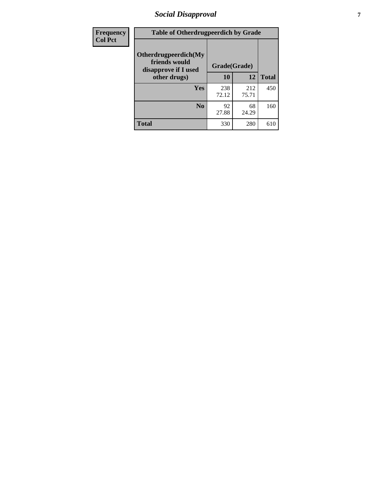# *Social Disapproval* **7**

| Frequency      | <b>Table of Otherdrugpeerdich by Grade</b>                    |              |              |              |  |  |  |  |
|----------------|---------------------------------------------------------------|--------------|--------------|--------------|--|--|--|--|
| <b>Col Pct</b> | Otherdrugpeerdich(My<br>friends would<br>disapprove if I used | Grade(Grade) |              |              |  |  |  |  |
|                | other drugs)                                                  | 10           | 12           | <b>Total</b> |  |  |  |  |
|                | Yes                                                           | 238<br>72.12 | 212<br>75.71 | 450          |  |  |  |  |
|                | N <sub>0</sub>                                                | 92<br>27.88  | 68<br>24.29  | 160          |  |  |  |  |
|                | <b>Total</b>                                                  | 330          | 280          | 610          |  |  |  |  |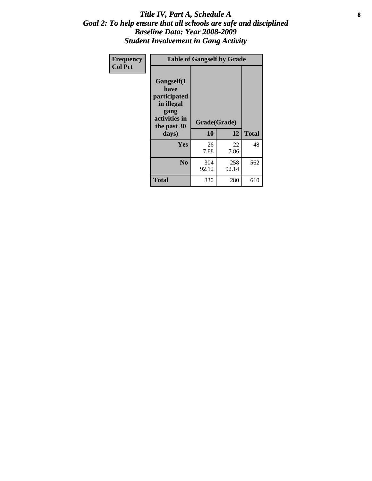### Title IV, Part A, Schedule A **8** *Goal 2: To help ensure that all schools are safe and disciplined Baseline Data: Year 2008-2009 Student Involvement in Gang Activity*

| Frequency      | <b>Table of Gangself by Grade</b>                                                                 |                    |              |              |
|----------------|---------------------------------------------------------------------------------------------------|--------------------|--------------|--------------|
| <b>Col Pct</b> | Gangself(I<br>have<br>participated<br>in illegal<br>gang<br>activities in<br>the past 30<br>days) | Grade(Grade)<br>10 | 12           | <b>Total</b> |
|                | Yes                                                                                               | 26<br>7.88         | 22<br>7.86   | 48           |
|                | N <sub>0</sub>                                                                                    | 304<br>92.12       | 258<br>92.14 | 562          |
|                | <b>Total</b>                                                                                      | 330                | 280          | 610          |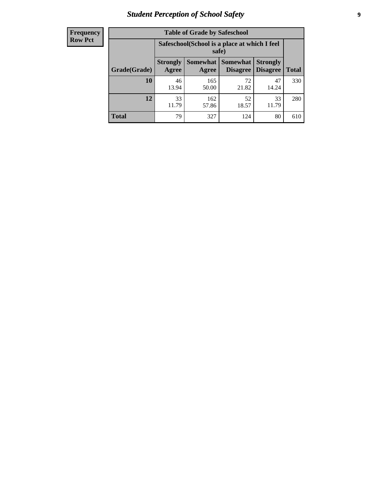# *Student Perception of School Safety* **9**

| <b>Frequency</b><br>Row Pct |
|-----------------------------|
|                             |

| <b>Table of Grade by Safeschool</b> |                                                                                                                      |                                                        |             |             |     |  |  |
|-------------------------------------|----------------------------------------------------------------------------------------------------------------------|--------------------------------------------------------|-------------|-------------|-----|--|--|
|                                     |                                                                                                                      | Safeschool (School is a place at which I feel<br>safe) |             |             |     |  |  |
| Grade(Grade)                        | Somewhat<br>Somewhat  <br><b>Strongly</b><br><b>Strongly</b><br><b>Disagree</b><br>Agree<br><b>Disagree</b><br>Agree |                                                        |             |             |     |  |  |
| 10                                  | 46<br>13.94                                                                                                          | 165<br>50.00                                           | 72<br>21.82 | 47<br>14.24 | 330 |  |  |
| 12                                  | 33<br>11.79                                                                                                          | 162<br>57.86                                           | 52<br>18.57 | 33<br>11.79 | 280 |  |  |
| <b>Total</b>                        | 79                                                                                                                   | 327                                                    | 124         | 80          | 610 |  |  |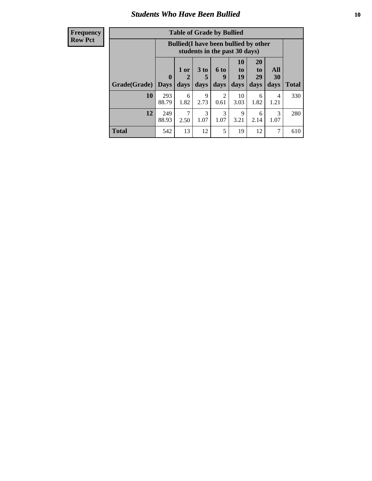### *Students Who Have Been Bullied* **10**

| <b>Frequency</b> |
|------------------|
| Row Pct          |

| <b>Table of Grade by Bullied</b> |                         |                                                                               |                              |                        |                        |                        |                          |              |
|----------------------------------|-------------------------|-------------------------------------------------------------------------------|------------------------------|------------------------|------------------------|------------------------|--------------------------|--------------|
|                                  |                         | <b>Bullied</b> (I have been bullied by other<br>students in the past 30 days) |                              |                        |                        |                        |                          |              |
| Grade(Grade)                     | $\bf{0}$<br><b>Days</b> | 1 or<br>2<br>days                                                             | 3 <sub>to</sub><br>5<br>days | 6 to<br>9<br>days      | 10<br>to<br>19<br>days | 20<br>to<br>29<br>days | All<br><b>30</b><br>days | <b>Total</b> |
| 10                               | 293<br>88.79            | 6<br>1.82                                                                     | 9<br>2.73                    | $\overline{2}$<br>0.61 | 10<br>3.03             | 6<br>1.82              | 4<br>1.21                | 330          |
| 12                               | 249<br>88.93            | 2.50                                                                          | 3<br>1.07                    | 3<br>1.07              | 9<br>3.21              | 6<br>2.14              | 3<br>1.07                | 280          |
| <b>Total</b>                     | 542                     | 13                                                                            | 12                           | 5                      | 19                     | 12                     | 7                        | 610          |

 $\blacksquare$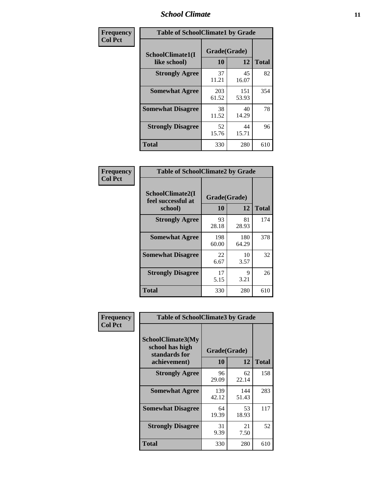### *School Climate* **11**

| Frequency      | <b>Table of SchoolClimate1 by Grade</b> |                    |              |              |  |  |  |
|----------------|-----------------------------------------|--------------------|--------------|--------------|--|--|--|
| <b>Col Pct</b> | SchoolClimate1(I<br>like school)        | Grade(Grade)<br>10 | 12           | <b>Total</b> |  |  |  |
|                | <b>Strongly Agree</b>                   | 37<br>11.21        | 45<br>16.07  | 82           |  |  |  |
|                | <b>Somewhat Agree</b>                   | 203<br>61.52       | 151<br>53.93 | 354          |  |  |  |
|                | <b>Somewhat Disagree</b>                | 38<br>11.52        | 40<br>14.29  | 78           |  |  |  |
|                | <b>Strongly Disagree</b>                | 52<br>15.76        | 44<br>15.71  | 96           |  |  |  |
|                | <b>Total</b>                            | 330                | 280          | 610          |  |  |  |

| Frequency      | <b>Table of SchoolClimate2 by Grade</b>           |                    |              |              |
|----------------|---------------------------------------------------|--------------------|--------------|--------------|
| <b>Col Pct</b> | SchoolClimate2(I<br>feel successful at<br>school) | Grade(Grade)<br>10 | 12           | <b>Total</b> |
|                | <b>Strongly Agree</b>                             | 93<br>28.18        | 81<br>28.93  | 174          |
|                | <b>Somewhat Agree</b>                             | 198<br>60.00       | 180<br>64.29 | 378          |
|                | <b>Somewhat Disagree</b>                          | 22<br>6.67         | 10<br>3.57   | 32           |
|                | <b>Strongly Disagree</b>                          | 17<br>5.15         | 9<br>3.21    | 26           |
|                | <b>Total</b>                                      | 330                | 280          | 610          |

| Frequency | <b>Table of SchoolClimate3 by Grade</b>                                      |                           |              |              |  |
|-----------|------------------------------------------------------------------------------|---------------------------|--------------|--------------|--|
| Col Pct   | <b>SchoolClimate3(My</b><br>school has high<br>standards for<br>achievement) | Grade(Grade)<br><b>10</b> | 12           | <b>Total</b> |  |
|           | <b>Strongly Agree</b>                                                        | 96                        | 62           | 158          |  |
|           |                                                                              | 29.09                     | 22.14        |              |  |
|           | <b>Somewhat Agree</b>                                                        | 139<br>42.12              | 144<br>51.43 | 283          |  |
|           | <b>Somewhat Disagree</b>                                                     | 64<br>19.39               | 53<br>18.93  | 117          |  |
|           | <b>Strongly Disagree</b>                                                     | 31<br>9.39                | 21<br>7.50   | 52           |  |
|           | Total                                                                        | 330                       | 280          | 610          |  |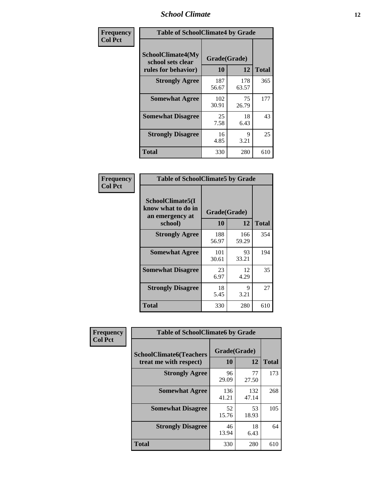### *School Climate* **12**

| Frequency      |                                                               | <b>Table of SchoolClimate4 by Grade</b> |              |              |  |
|----------------|---------------------------------------------------------------|-----------------------------------------|--------------|--------------|--|
| <b>Col Pct</b> | SchoolClimate4(My<br>school sets clear<br>rules for behavior) | Grade(Grade)<br>10                      | 12           | <b>Total</b> |  |
|                | <b>Strongly Agree</b>                                         | 187<br>56.67                            | 178<br>63.57 | 365          |  |
|                | <b>Somewhat Agree</b>                                         | 102<br>30.91                            | 75<br>26.79  | 177          |  |
|                | <b>Somewhat Disagree</b>                                      | 25<br>7.58                              | 18<br>6.43   | 43           |  |
|                | <b>Strongly Disagree</b>                                      | 16<br>4.85                              | 9<br>3.21    | 25           |  |
|                | <b>Total</b>                                                  | 330                                     | 280          | 610          |  |

| <b>Table of SchoolClimate5 by Grade</b>                   |              |              |              |  |  |  |
|-----------------------------------------------------------|--------------|--------------|--------------|--|--|--|
| SchoolClimate5(I<br>know what to do in<br>an emergency at | Grade(Grade) |              |              |  |  |  |
| school)                                                   | 10           | 12           | <b>Total</b> |  |  |  |
| <b>Strongly Agree</b>                                     | 188<br>56.97 | 166<br>59.29 | 354          |  |  |  |
| <b>Somewhat Agree</b>                                     | 101<br>30.61 | 93<br>33.21  | 194          |  |  |  |
| <b>Somewhat Disagree</b>                                  | 23<br>6.97   | 12<br>4.29   | 35           |  |  |  |
| <b>Strongly Disagree</b>                                  | 18<br>5.45   | 9<br>3.21    | 27           |  |  |  |
| Total                                                     | 330          | 280          | 610          |  |  |  |

| Frequency      | <b>Table of SchoolClimate6 by Grade</b>                  |                    |              |              |
|----------------|----------------------------------------------------------|--------------------|--------------|--------------|
| <b>Col Pct</b> | <b>SchoolClimate6(Teachers</b><br>treat me with respect) | Grade(Grade)<br>10 | 12           | <b>Total</b> |
|                | <b>Strongly Agree</b>                                    | 96<br>29.09        | 77<br>27.50  | 173          |
|                | <b>Somewhat Agree</b>                                    | 136<br>41.21       | 132<br>47.14 | 268          |
|                | <b>Somewhat Disagree</b>                                 | 52<br>15.76        | 53<br>18.93  | 105          |
|                | <b>Strongly Disagree</b>                                 | 46<br>13.94        | 18<br>6.43   | 64           |
|                | <b>Total</b>                                             | 330                | 280          | 610          |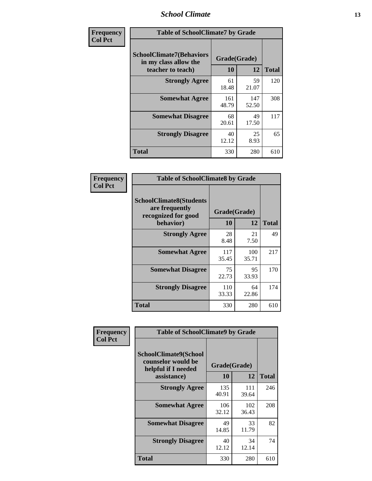### *School Climate* **13**

| Frequency      | <b>Table of SchoolClimate7 by Grade</b>                                       |                           |              |              |
|----------------|-------------------------------------------------------------------------------|---------------------------|--------------|--------------|
| <b>Col Pct</b> | <b>SchoolClimate7(Behaviors</b><br>in my class allow the<br>teacher to teach) | Grade(Grade)<br><b>10</b> | 12           | <b>Total</b> |
|                | <b>Strongly Agree</b>                                                         | 61<br>18.48               | 59<br>21.07  | 120          |
|                | <b>Somewhat Agree</b>                                                         | 161<br>48.79              | 147<br>52.50 | 308          |
|                | <b>Somewhat Disagree</b>                                                      | 68<br>20.61               | 49<br>17.50  | 117          |
|                | <b>Strongly Disagree</b>                                                      | 40<br>12.12               | 25<br>8.93   | 65           |
|                | <b>Total</b>                                                                  | 330                       | 280          | 610          |

| Frequency      | <b>Table of SchoolClimate8 by Grade</b>                                              |                    |              |              |
|----------------|--------------------------------------------------------------------------------------|--------------------|--------------|--------------|
| <b>Col Pct</b> | <b>SchoolClimate8(Students</b><br>are frequently<br>recognized for good<br>behavior) | Grade(Grade)<br>10 | 12           | <b>Total</b> |
|                | <b>Strongly Agree</b>                                                                | 28<br>8.48         | 21<br>7.50   | 49           |
|                | <b>Somewhat Agree</b>                                                                | 117<br>35.45       | 100<br>35.71 | 217          |
|                | <b>Somewhat Disagree</b>                                                             | 75<br>22.73        | 95<br>33.93  | 170          |
|                | <b>Strongly Disagree</b>                                                             | 110<br>33.33       | 64<br>22.86  | 174          |
|                | <b>Total</b>                                                                         | 330                | 280          | 610          |

| Frequency      | <b>Table of SchoolClimate9 by Grade</b>                            |              |              |              |
|----------------|--------------------------------------------------------------------|--------------|--------------|--------------|
| <b>Col Pct</b> | SchoolClimate9(School<br>counselor would be<br>helpful if I needed |              | Grade(Grade) |              |
|                | assistance)                                                        | 10           | 12           | <b>Total</b> |
|                | <b>Strongly Agree</b>                                              | 135<br>40.91 | 111<br>39.64 | 246          |
|                | <b>Somewhat Agree</b>                                              | 106<br>32.12 | 102<br>36.43 | 208          |
|                | <b>Somewhat Disagree</b>                                           | 49<br>14.85  | 33<br>11.79  | 82           |
|                | <b>Strongly Disagree</b>                                           | 40<br>12.12  | 34<br>12.14  | 74           |
|                | Total                                                              | 330          | 280          | 610          |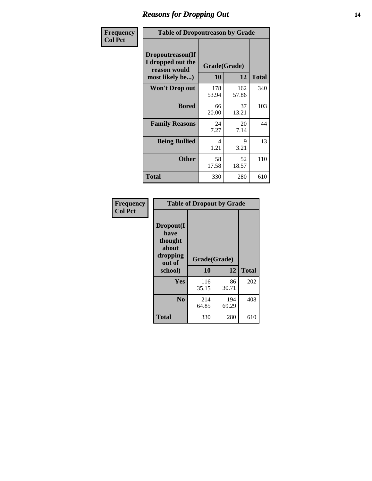### *Reasons for Dropping Out* **14**

| Frequency      | <b>Table of Dropoutreason by Grade</b>                                   |              |                    |              |
|----------------|--------------------------------------------------------------------------|--------------|--------------------|--------------|
| <b>Col Pct</b> | Dropoutreason(If<br>I dropped out the<br>reason would<br>most likely be) | 10           | Grade(Grade)<br>12 | <b>Total</b> |
|                | Won't Drop out                                                           | 178<br>53.94 | 162<br>57.86       | 340          |
|                | <b>Bored</b>                                                             | 66<br>20.00  | 37<br>13.21        | 103          |
|                | <b>Family Reasons</b>                                                    | 24<br>7.27   | 20<br>7.14         | 44           |
|                | <b>Being Bullied</b>                                                     | 4<br>1.21    | 9<br>3.21          | 13           |
|                | <b>Other</b>                                                             | 58<br>17.58  | 52<br>18.57        | 110          |
|                | <b>Total</b>                                                             | 330          | 280                | 610          |

| Frequency<br><b>Col Pct</b> | <b>Table of Dropout by Grade</b>                                       |                    |              |     |  |
|-----------------------------|------------------------------------------------------------------------|--------------------|--------------|-----|--|
|                             | Dropout(I<br>have<br>thought<br>about<br>dropping<br>out of<br>school) | Grade(Grade)<br>10 | <b>Total</b> |     |  |
|                             |                                                                        |                    |              |     |  |
|                             | Yes                                                                    | 116<br>35.15       | 86<br>30.71  | 202 |  |
|                             | N <sub>0</sub>                                                         | 214<br>64.85       | 194<br>69.29 | 408 |  |
|                             | <b>Total</b>                                                           | 330                | 280          | 610 |  |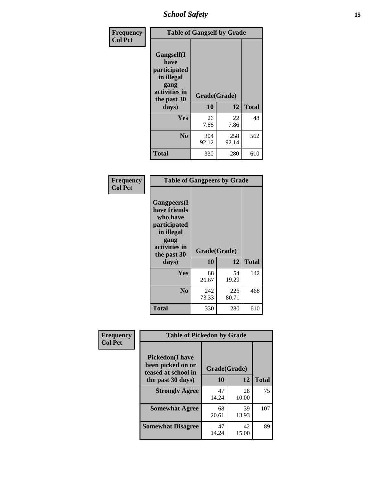*School Safety* **15**

| Frequency      | <b>Table of Gangself by Grade</b>                                                                 |                    |              |              |
|----------------|---------------------------------------------------------------------------------------------------|--------------------|--------------|--------------|
| <b>Col Pct</b> | Gangself(I<br>have<br>participated<br>in illegal<br>gang<br>activities in<br>the past 30<br>days) | Grade(Grade)<br>10 | 12           | <b>Total</b> |
|                | Yes                                                                                               | 26<br>7.88         | 22<br>7.86   | 48           |
|                | N <sub>o</sub>                                                                                    | 304<br>92.12       | 258<br>92.14 | 562          |
|                | <b>Total</b>                                                                                      | 330                | 280          | 610          |

| Frequency<br><b>Col Pct</b> | <b>Table of Gangpeers by Grade</b>                                                                                             |                    |              |              |
|-----------------------------|--------------------------------------------------------------------------------------------------------------------------------|--------------------|--------------|--------------|
|                             | <b>Gangpeers</b> (I<br>have friends<br>who have<br>participated<br>in illegal<br>gang<br>activities in<br>the past 30<br>days) | Grade(Grade)<br>10 | 12           | <b>Total</b> |
|                             | Yes                                                                                                                            | 88<br>26.67        | 54<br>19.29  | 142          |
|                             | N <sub>0</sub>                                                                                                                 | 242<br>73.33       | 226<br>80.71 | 468          |
|                             | <b>Total</b>                                                                                                                   | 330                | 280          | 610          |

| Frequency      | <b>Table of Pickedon by Grade</b>                                   |              |             |              |  |  |  |  |  |
|----------------|---------------------------------------------------------------------|--------------|-------------|--------------|--|--|--|--|--|
| <b>Col Pct</b> | <b>Pickedon</b> (I have<br>been picked on or<br>teased at school in | Grade(Grade) |             |              |  |  |  |  |  |
|                | the past 30 days)                                                   | 10           | 12          | <b>Total</b> |  |  |  |  |  |
|                | <b>Strongly Agree</b>                                               | 47<br>14.24  | 28<br>10.00 | 75           |  |  |  |  |  |
|                | <b>Somewhat Agree</b>                                               | 68<br>20.61  | 39<br>13.93 | 107          |  |  |  |  |  |
|                | <b>Somewhat Disagree</b>                                            | 47<br>14.24  | 42<br>15.00 | 89           |  |  |  |  |  |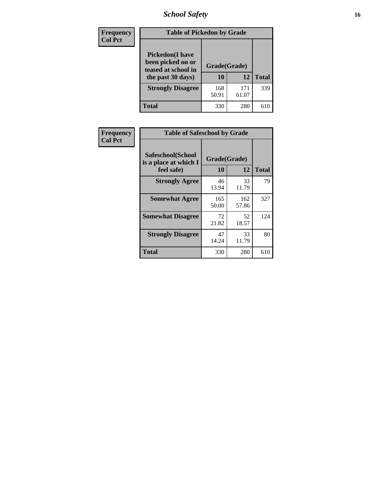# *School Safety* **16**

| <b>Frequency</b> | <b>Table of Pickedon by Grade</b>                                                        |                    |              |              |
|------------------|------------------------------------------------------------------------------------------|--------------------|--------------|--------------|
| <b>Col Pct</b>   | <b>Pickedon</b> (I have<br>been picked on or<br>teased at school in<br>the past 30 days) | Grade(Grade)<br>10 | 12           | <b>Total</b> |
|                  | <b>Strongly Disagree</b>                                                                 | 168<br>50.91       | 171<br>61.07 | 339          |
|                  | Total                                                                                    | 330                | 280          | 610          |

| Frequency      | <b>Table of Safeschool by Grade</b>                      |                    |              |     |  |  |  |  |  |
|----------------|----------------------------------------------------------|--------------------|--------------|-----|--|--|--|--|--|
| <b>Col Pct</b> | Safeschool(School<br>is a place at which I<br>feel safe) | Grade(Grade)<br>10 | <b>Total</b> |     |  |  |  |  |  |
|                | <b>Strongly Agree</b>                                    | 46<br>13.94        | 33<br>11.79  | 79  |  |  |  |  |  |
|                | <b>Somewhat Agree</b>                                    | 165<br>50.00       | 162<br>57.86 | 327 |  |  |  |  |  |
|                | <b>Somewhat Disagree</b>                                 | 72<br>21.82        | 52<br>18.57  | 124 |  |  |  |  |  |
|                | <b>Strongly Disagree</b>                                 | 47<br>14.24        | 33<br>11.79  | 80  |  |  |  |  |  |
|                | <b>Total</b>                                             | 330                | 280          | 610 |  |  |  |  |  |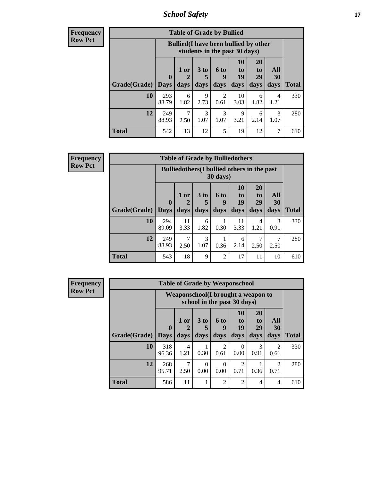*School Safety* **17**

| Frequency      |
|----------------|
| <b>Row Pct</b> |

| <b>Table of Grade by Bullied</b> |              |                                                                               |                      |                  |                |                |           |              |  |  |  |
|----------------------------------|--------------|-------------------------------------------------------------------------------|----------------------|------------------|----------------|----------------|-----------|--------------|--|--|--|
|                                  |              | <b>Bullied</b> (I have been bullied by other<br>students in the past 30 days) |                      |                  |                |                |           |              |  |  |  |
|                                  | $\mathbf{0}$ | $1$ or $ $<br>$\mathcal{D}$                                                   | 3 <sub>to</sub><br>5 | <b>6 to</b><br>9 | 10<br>to<br>19 | 20<br>to<br>29 | All<br>30 |              |  |  |  |
| Grade(Grade)                     | Days         | days                                                                          | days                 | days             | days           | days           | days      | <b>Total</b> |  |  |  |
| <b>10</b>                        | 293<br>88.79 | 6<br>1.82                                                                     | 9<br>2.73            | 2<br>0.61        | 10<br>3.03     | 6<br>1.82      | 4<br>1.21 | 330          |  |  |  |
| 12                               | 249<br>88.93 | 2.50                                                                          | 3<br>1.07            | 3<br>1.07        | 9<br>3.21      | 6<br>2.14      | 3<br>1.07 | 280          |  |  |  |
| Total                            | 542          | 13                                                                            | 12                   | 5                | 19             | 12             |           | 610          |  |  |  |

| <b>Frequency</b> | <b>Table of Grade by Bulliedothers</b> |                         |                                                    |                |                          |                        |                               |                   |              |  |  |
|------------------|----------------------------------------|-------------------------|----------------------------------------------------|----------------|--------------------------|------------------------|-------------------------------|-------------------|--------------|--|--|
| <b>Row Pct</b>   |                                        |                         | <b>Bulliedothers</b> (I bullied others in the past |                | $30 \text{ days}$        |                        |                               |                   |              |  |  |
|                  | Grade(Grade)                           | $\bf{0}$<br><b>Days</b> | 1 or<br>days                                       | $3$ to<br>days | <b>6 to</b><br>9<br>days | 10<br>to<br>19<br>days | <b>20</b><br>to<br>29<br>days | All<br>30<br>days | <b>Total</b> |  |  |
|                  | 10                                     | 294<br>89.09            | 11<br>3.33                                         | 6<br>1.82      | 0.30                     | 11<br>3.33             | 4<br>1.21                     | 3<br>0.91         | 330          |  |  |
|                  | 12                                     | 249<br>88.93            | 7<br>2.50                                          | 3<br>1.07      | 0.36                     | 6<br>2.14              | 7<br>2.50                     | 2.50              | 280          |  |  |
|                  | <b>Total</b>                           | 543                     | 18                                                 | 9              | $\overline{c}$           | 17                     | 11                            | 10                | 610          |  |  |

| Frequency      | <b>Table of Grade by Weaponschool</b> |                             |                                                                    |                              |                        |                        |                        |                   |              |  |
|----------------|---------------------------------------|-----------------------------|--------------------------------------------------------------------|------------------------------|------------------------|------------------------|------------------------|-------------------|--------------|--|
| <b>Row Pct</b> |                                       |                             | Weaponschool (I brought a weapon to<br>school in the past 30 days) |                              |                        |                        |                        |                   |              |  |
|                | Grade(Grade)                          | $\mathbf{0}$<br><b>Days</b> | $1$ or<br>days                                                     | 3 <sub>to</sub><br>5<br>days | 6 to<br>9<br>days      | 10<br>to<br>19<br>days | 20<br>to<br>29<br>days | All<br>30<br>days | <b>Total</b> |  |
|                | 10                                    | 318<br>96.36                | 4<br>1.21                                                          | 0.30                         | $\mathfrak{D}$<br>0.61 | $\left($<br>0.00       | 3<br>0.91              | 2<br>0.61         | 330          |  |
|                | 12                                    | 268<br>95.71                | 7<br>2.50                                                          | $\Omega$<br>0.00             | $\Omega$<br>0.00       | $\mathcal{D}$<br>0.71  | 0.36                   | 2<br>0.71         | 280          |  |
|                | <b>Total</b>                          | 586                         | 11                                                                 |                              | $\mathfrak{D}$         | $\mathfrak{D}$         | 4                      | 4                 | 610          |  |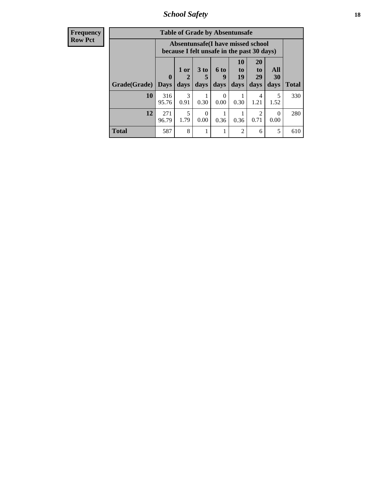*School Safety* **18**

| <b>Frequency</b> | <b>Table of Grade by Absentunsafe</b> |                                                                                 |           |                      |                  |                |                       |                  |              |  |
|------------------|---------------------------------------|---------------------------------------------------------------------------------|-----------|----------------------|------------------|----------------|-----------------------|------------------|--------------|--|
| <b>Row Pct</b>   |                                       | Absentunsafe(I have missed school<br>because I felt unsafe in the past 30 days) |           |                      |                  |                |                       |                  |              |  |
|                  |                                       | $\boldsymbol{0}$                                                                | 1 or<br>2 | 3 <sub>to</sub><br>5 | <b>6 to</b>      | 10<br>to<br>19 | <b>20</b><br>to<br>29 | All<br>30        |              |  |
|                  | Grade(Grade)                          | <b>Days</b>                                                                     | days      | days                 | days             | days           | days                  | days             | <b>Total</b> |  |
|                  | 10                                    | 316<br>95.76                                                                    | 3<br>0.91 | 0.30                 | $\Omega$<br>0.00 | 0.30           | 4<br>1.21             | 5<br>1.52        | 330          |  |
|                  | 12                                    | 271<br>96.79                                                                    | 5<br>1.79 | $\Omega$<br>0.00     | 0.36             | 0.36           | 2<br>0.71             | $\Omega$<br>0.00 | 280          |  |
|                  | <b>Total</b>                          | 587                                                                             | 8         |                      |                  | $\overline{2}$ | 6                     | 5                | 610          |  |
|                  |                                       |                                                                                 |           |                      |                  |                |                       |                  |              |  |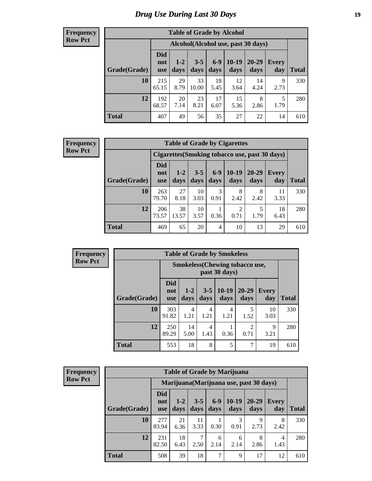#### **Frequency Row Pct**

| <b>Table of Grade by Alcohol</b> |                                 |                                     |                 |               |                 |               |                     |              |  |  |  |
|----------------------------------|---------------------------------|-------------------------------------|-----------------|---------------|-----------------|---------------|---------------------|--------------|--|--|--|
|                                  |                                 | Alcohol (Alcohol use, past 30 days) |                 |               |                 |               |                     |              |  |  |  |
| Grade(Grade)                     | <b>Did</b><br>not<br><b>use</b> | $1 - 2$<br>days                     | $3 - 5$<br>days | $6-9$<br>days | $10-19$<br>days | 20-29<br>days | <b>Every</b><br>day | <b>Total</b> |  |  |  |
| 10                               | 215<br>65.15                    | 29<br>8.79                          | 33<br>10.00     | 18<br>5.45    | 12<br>3.64      | 14<br>4.24    | 9<br>2.73           | 330          |  |  |  |
| 12                               | 192<br>68.57                    | 20<br>7.14                          | 23<br>8.21      | 17<br>6.07    | 15<br>5.36      | 8<br>2.86     | 5<br>1.79           | 280          |  |  |  |
| <b>Total</b>                     | 407                             | 49                                  | 56              | 35            | 27              | 22            | 14                  | 610          |  |  |  |

#### **Frequency Row Pct**

| <b>Table of Grade by Cigarettes</b> |                                 |                                                |                 |               |                 |               |              |       |  |  |  |  |
|-------------------------------------|---------------------------------|------------------------------------------------|-----------------|---------------|-----------------|---------------|--------------|-------|--|--|--|--|
|                                     |                                 | Cigarettes (Smoking tobacco use, past 30 days) |                 |               |                 |               |              |       |  |  |  |  |
| Grade(Grade)                        | <b>Did</b><br>not<br><b>use</b> | $1 - 2$<br>days                                | $3 - 5$<br>days | $6-9$<br>days | $10-19$<br>days | 20-29<br>days | Every<br>day | Total |  |  |  |  |
| 10                                  | 263<br>79.70                    | 27<br>8.18                                     | 10<br>3.03      | 3<br>0.91     | 8<br>2.42       | 8<br>2.42     | 11<br>3.33   | 330   |  |  |  |  |
| 12                                  | 206<br>73.57                    | 38<br>13.57                                    | 10<br>3.57      | 0.36          | 2<br>0.71       | 1.79          | 18<br>6.43   | 280   |  |  |  |  |
| <b>Total</b>                        | 469                             | 65                                             | 20              | 4             | 10              | 13            | 29           | 610   |  |  |  |  |

| Frequency |
|-----------|

п

| <b>Table of Grade by Smokeless</b> |                          |                                                        |                 |                 |                        |                     |              |  |  |  |  |
|------------------------------------|--------------------------|--------------------------------------------------------|-----------------|-----------------|------------------------|---------------------|--------------|--|--|--|--|
|                                    |                          | <b>Smokeless</b> (Chewing tobaccouse,<br>past 30 days) |                 |                 |                        |                     |              |  |  |  |  |
| Grade(Grade)                       | <b>Did</b><br>not<br>use | $1-2$<br>days                                          | $3 - 5$<br>days | $10-19$<br>days | $20 - 29$<br>days      | <b>Every</b><br>day | <b>Total</b> |  |  |  |  |
| 10                                 | 303<br>91.82             | 4<br>1.21                                              | 4<br>1.21       | 4<br>1.21       | 5<br>1.52              | 10<br>3.03          | 330          |  |  |  |  |
| 12                                 | 250<br>89.29             | 14<br>5.00                                             | 4<br>1.43       | 0.36            | $\mathfrak{D}$<br>0.71 | 9<br>3.21           | 280          |  |  |  |  |
| Total                              | 553                      | 18                                                     | 8               | 5               | 7                      | 19                  | 610          |  |  |  |  |

| <b>Frequency</b> |  |
|------------------|--|
| <b>Row Pct</b>   |  |

| <b>Table of Grade by Marijuana</b>      |                                 |               |                 |                 |                 |               |              |       |  |  |
|-----------------------------------------|---------------------------------|---------------|-----------------|-----------------|-----------------|---------------|--------------|-------|--|--|
| Marijuana (Marijuana use, past 30 days) |                                 |               |                 |                 |                 |               |              |       |  |  |
| Grade(Grade)                            | <b>Did</b><br>not<br><b>use</b> | $1-2$<br>days | $3 - 5$<br>days | $6 - 9$<br>days | $10-19$<br>days | 20-29<br>days | Every<br>day | Total |  |  |
| 10                                      | 277<br>83.94                    | 21<br>6.36    | 11<br>3.33      | 0.30            | 3<br>0.91       | 9<br>2.73     | 8<br>2.42    | 330   |  |  |
| 12                                      | 231<br>82.50                    | 18<br>6.43    | 7<br>2.50       | 6<br>2.14       | 6<br>2.14       | 8<br>2.86     | 4<br>1.43    | 280   |  |  |
| <b>Total</b>                            | 508                             | 39            | 18              | $\mathcal{I}$   | 9               | 17            | 12           | 610   |  |  |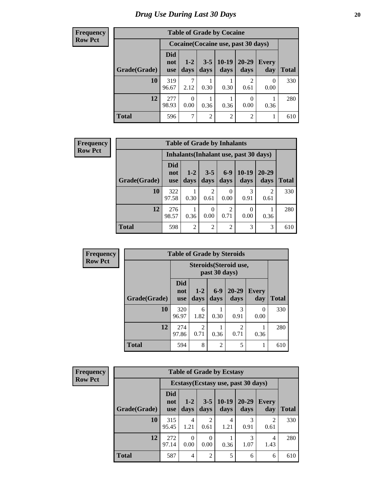#### **Frequency Row Pct**

| <b>Table of Grade by Cocaine</b> |                          |                                     |                 |                 |                   |                     |              |  |  |  |
|----------------------------------|--------------------------|-------------------------------------|-----------------|-----------------|-------------------|---------------------|--------------|--|--|--|
|                                  |                          | Cocaine (Cocaine use, past 30 days) |                 |                 |                   |                     |              |  |  |  |
| Grade(Grade)                     | <b>Did</b><br>not<br>use | $1-2$<br>days                       | $3 - 5$<br>days | $10-19$<br>days | $20 - 29$<br>days | <b>Every</b><br>day | <b>Total</b> |  |  |  |
| 10                               | 319<br>96.67             | 7<br>2.12                           | 0.30            | 0.30            | 2<br>0.61         | 0<br>0.00           | 330          |  |  |  |
| 12                               | 277<br>98.93             | $\theta$<br>0.00                    | 0.36            | 0.36            | 0<br>0.00         | 0.36                | 280          |  |  |  |
| <b>Total</b>                     | 596                      | 7                                   | $\overline{2}$  | $\overline{2}$  | 2                 |                     | 610          |  |  |  |

| <b>Frequency</b> | <b>Table of Grade by Inhalants</b> |                                        |                 |                 |                        |                 |                   |              |  |
|------------------|------------------------------------|----------------------------------------|-----------------|-----------------|------------------------|-----------------|-------------------|--------------|--|
| <b>Row Pct</b>   |                                    | Inhalants (Inhalant use, past 30 days) |                 |                 |                        |                 |                   |              |  |
|                  | Grade(Grade)                       | <b>Did</b><br>not<br><b>use</b>        | $1 - 2$<br>days | $3 - 5$<br>days | $6-9$<br>days          | $10-19$<br>days | $20 - 29$<br>days | <b>Total</b> |  |
|                  | 10                                 | 322<br>97.58                           | 0.30            | 2<br>0.61       | $\Omega$<br>0.00       | 3<br>0.91       | 2<br>0.61         | 330          |  |
|                  | 12                                 | 276<br>98.57                           | 0.36            | 0<br>0.00       | $\overline{2}$<br>0.71 | 0.00            | 0.36              | 280          |  |
|                  | <b>Total</b>                       | 598                                    | $\overline{2}$  | $\overline{2}$  | $\overline{2}$         | 3               | 3                 | 610          |  |

| <b>Frequency</b> | <b>Table of Grade by Steroids</b> |                                 |               |                 |                        |                     |              |
|------------------|-----------------------------------|---------------------------------|---------------|-----------------|------------------------|---------------------|--------------|
| <b>Row Pct</b>   |                                   |                                 |               | past 30 days)   | Steroids (Steroid use, |                     |              |
|                  | Grade(Grade)                      | <b>Did</b><br>not<br><b>use</b> | $1-2$<br>days | $6 - 9$<br>days | $20 - 29$<br>days      | <b>Every</b><br>day | <b>Total</b> |
|                  | 10                                | 320<br>96.97                    | 6<br>1.82     | 0.30            | 3<br>0.91              | 0<br>0.00           | 330          |
|                  | 12                                | 274<br>97.86                    | 2<br>0.71     | 0.36            | $\mathfrak{D}$<br>0.71 | 0.36                | 280          |
|                  | <b>Total</b>                      | 594                             | 8             | $\overline{2}$  | 5                      |                     | 610          |

| Frequency      |              | <b>Table of Grade by Ecstasy</b>    |                        |                       |                 |                   |                     |              |  |  |  |
|----------------|--------------|-------------------------------------|------------------------|-----------------------|-----------------|-------------------|---------------------|--------------|--|--|--|
| <b>Row Pct</b> |              | Ecstasy (Ecstasy use, past 30 days) |                        |                       |                 |                   |                     |              |  |  |  |
|                | Grade(Grade) | <b>Did</b><br>not<br><b>use</b>     | $1 - 2$<br>days        | $3-5$<br>days         | $10-19$<br>days | $20 - 29$<br>days | <b>Every</b><br>day | <b>Total</b> |  |  |  |
|                | 10           | 315<br>95.45                        | $\overline{4}$<br>1.21 | $\mathcal{D}$<br>0.61 | 4<br>1.21       | 3<br>0.91         | 2<br>0.61           | 330          |  |  |  |
|                | 12           | 272<br>97.14                        | $\Omega$<br>0.00       | $\Omega$<br>0.00      | 0.36            | 3<br>1.07         | 4<br>1.43           | 280          |  |  |  |
|                | <b>Total</b> | 587                                 | $\overline{4}$         | $\overline{2}$        | 5               | 6                 | 6                   | 610          |  |  |  |

ä,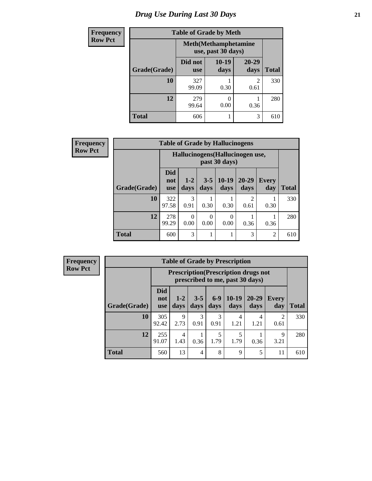# *Drug Use During Last 30 Days* **21**

| <b>Frequency</b> | <b>Table of Grade by Meth</b> |                       |                                                    |                        |              |  |  |  |  |
|------------------|-------------------------------|-----------------------|----------------------------------------------------|------------------------|--------------|--|--|--|--|
| <b>Row Pct</b>   |                               |                       | <b>Meth</b> (Methamphetamine<br>use, past 30 days) |                        |              |  |  |  |  |
|                  | Grade(Grade)                  | Did not<br><b>use</b> | $10-19$<br>days                                    | $20 - 29$<br>days      | <b>Total</b> |  |  |  |  |
|                  | 10                            | 327<br>99.09          | 0.30                                               | $\overline{2}$<br>0.61 | 330          |  |  |  |  |
|                  | 12                            | 279<br>99.64          | 0<br>0.00                                          | 0.36                   | 280          |  |  |  |  |
|                  | <b>Total</b>                  | 606                   |                                                    | 3                      | 610          |  |  |  |  |

| Frequency      |              |                                  |               |                 | <b>Table of Grade by Hallucinogens</b> |                        |                     |              |
|----------------|--------------|----------------------------------|---------------|-----------------|----------------------------------------|------------------------|---------------------|--------------|
| <b>Row Pct</b> |              | Hallucinogens (Hallucinogen use, |               |                 |                                        |                        |                     |              |
|                | Grade(Grade) | <b>Did</b><br>not<br><b>use</b>  | $1-2$<br>days | $3 - 5$<br>days | $10-19$<br>days                        | $20 - 29$<br>days      | <b>Every</b><br>day | <b>Total</b> |
|                | 10           | 322<br>97.58                     | 3<br>0.91     | 0.30            | 0.30                                   | $\mathfrak{D}$<br>0.61 | 0.30                | 330          |
|                | 12           | 278<br>99.29                     | 0<br>0.00     | 0.00            | $\Omega$<br>0.00                       | 0.36                   | 0.36                | 280          |
|                | <b>Total</b> | 600                              | 3             |                 |                                        | 3                      | $\overline{2}$      | 610          |

**Frequency Row Pct**

| <b>Table of Grade by Prescription</b> |                                 |                                                                                |                 |               |                 |                   |                        |              |  |  |
|---------------------------------------|---------------------------------|--------------------------------------------------------------------------------|-----------------|---------------|-----------------|-------------------|------------------------|--------------|--|--|
|                                       |                                 | <b>Prescription</b> (Prescription drugs not<br>prescribed to me, past 30 days) |                 |               |                 |                   |                        |              |  |  |
| Grade(Grade)                          | <b>Did</b><br>not<br><b>use</b> | $1 - 2$<br>days                                                                | $3 - 5$<br>days | $6-9$<br>days | $10-19$<br>days | $20 - 29$<br>days | <b>Every</b><br>day    | <b>Total</b> |  |  |
| 10                                    | 305<br>92.42                    | 9<br>2.73                                                                      | 3<br>0.91       | 3<br>0.91     | 4<br>1.21       | 4<br>1.21         | $\mathfrak{D}$<br>0.61 | 330          |  |  |
| 12                                    | 255<br>91.07                    | 4<br>1.43                                                                      | 0.36            | 5<br>1.79     | 5<br>1.79       | 0.36              | 9<br>3.21              | 280          |  |  |
| <b>Total</b>                          | 560                             | 13                                                                             | 4               | 8             | 9               | 5                 | 11                     | 610          |  |  |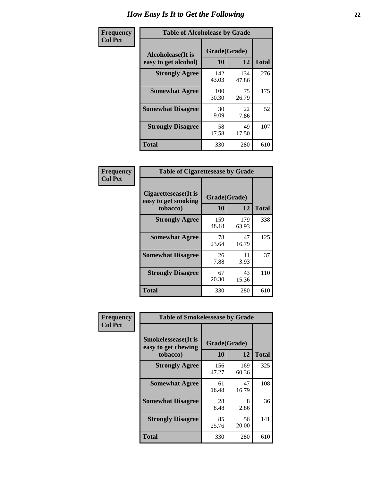| Frequency      | <b>Table of Alcoholease by Grade</b>              |                    |              |              |  |  |  |  |
|----------------|---------------------------------------------------|--------------------|--------------|--------------|--|--|--|--|
| <b>Col Pct</b> | <b>Alcoholease</b> (It is<br>easy to get alcohol) | Grade(Grade)<br>10 | 12           | <b>Total</b> |  |  |  |  |
|                | <b>Strongly Agree</b>                             | 142<br>43.03       | 134<br>47.86 | 276          |  |  |  |  |
|                | <b>Somewhat Agree</b>                             | 100<br>30.30       | 75<br>26.79  | 175          |  |  |  |  |
|                | <b>Somewhat Disagree</b>                          | 30<br>9.09         | 22<br>7.86   | 52           |  |  |  |  |
|                | <b>Strongly Disagree</b>                          | 58<br>17.58        | 49<br>17.50  | 107          |  |  |  |  |
|                | <b>Total</b>                                      | 330                | 280          | 610          |  |  |  |  |

| Frequency      |                                                          | <b>Table of Cigarettesease by Grade</b> |              |              |  |  |  |  |  |
|----------------|----------------------------------------------------------|-----------------------------------------|--------------|--------------|--|--|--|--|--|
| <b>Col Pct</b> | Cigarettesease (It is<br>easy to get smoking<br>tobacco) | Grade(Grade)<br>10                      | 12           | <b>Total</b> |  |  |  |  |  |
|                | <b>Strongly Agree</b>                                    | 159<br>48.18                            | 179<br>63.93 | 338          |  |  |  |  |  |
|                | <b>Somewhat Agree</b>                                    | 78<br>23.64                             | 47<br>16.79  | 125          |  |  |  |  |  |
|                | <b>Somewhat Disagree</b>                                 | 26<br>7.88                              | 11<br>3.93   | 37           |  |  |  |  |  |
|                | <b>Strongly Disagree</b>                                 | 67<br>20.30                             | 43<br>15.36  | 110          |  |  |  |  |  |
|                | <b>Total</b>                                             | 330                                     | 280          | 610          |  |  |  |  |  |

| Frequency      | <b>Table of Smokelessease by Grade</b>                         |                    |              |     |
|----------------|----------------------------------------------------------------|--------------------|--------------|-----|
| <b>Col Pct</b> | <b>Smokelessease</b> (It is<br>easy to get chewing<br>tobacco) | Grade(Grade)<br>10 | <b>Total</b> |     |
|                | <b>Strongly Agree</b>                                          | 156<br>47.27       | 169<br>60.36 | 325 |
|                | <b>Somewhat Agree</b>                                          | 61<br>18.48        | 47<br>16.79  | 108 |
|                | <b>Somewhat Disagree</b>                                       | 28<br>8.48         | 8<br>2.86    | 36  |
|                | <b>Strongly Disagree</b>                                       | 85<br>25.76        | 56<br>20.00  | 141 |
|                | <b>Total</b>                                                   | 330                | 280          | 610 |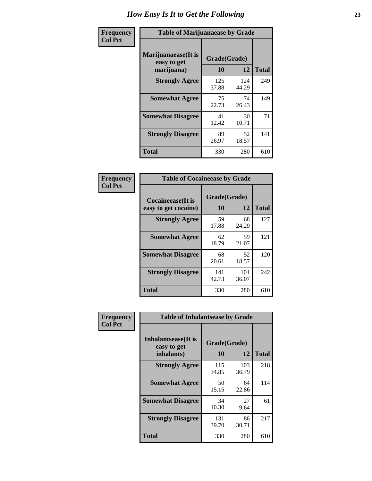| Frequency      | <b>Table of Marijuanaease by Grade</b>           |                    |              |              |  |  |  |  |  |  |
|----------------|--------------------------------------------------|--------------------|--------------|--------------|--|--|--|--|--|--|
| <b>Col Pct</b> | Marijuanaease(It is<br>easy to get<br>marijuana) | Grade(Grade)<br>10 | 12           | <b>Total</b> |  |  |  |  |  |  |
|                | <b>Strongly Agree</b>                            | 125<br>37.88       | 124<br>44.29 | 249          |  |  |  |  |  |  |
|                | <b>Somewhat Agree</b>                            | 75<br>22.73        | 74<br>26.43  | 149          |  |  |  |  |  |  |
|                | <b>Somewhat Disagree</b>                         | 41<br>12.42        | 30<br>10.71  | 71           |  |  |  |  |  |  |
|                | <b>Strongly Disagree</b>                         | 89<br>26.97        | 52<br>18.57  | 141          |  |  |  |  |  |  |
|                | <b>Total</b>                                     | 330                | 280          | 610          |  |  |  |  |  |  |

| <b>Table of Cocaineease by Grade</b> |                    |              |              |  |  |  |  |  |  |  |
|--------------------------------------|--------------------|--------------|--------------|--|--|--|--|--|--|--|
| <b>Cocaineease</b> (It is            | Grade(Grade)<br>10 | 12           | <b>Total</b> |  |  |  |  |  |  |  |
| easy to get cocaine)                 |                    |              |              |  |  |  |  |  |  |  |
| <b>Strongly Agree</b>                | 59<br>17.88        | 68<br>24.29  | 127          |  |  |  |  |  |  |  |
| <b>Somewhat Agree</b>                | 62<br>18.79        | 59<br>21.07  | 121          |  |  |  |  |  |  |  |
| <b>Somewhat Disagree</b>             | 68<br>20.61        | 52<br>18.57  | 120          |  |  |  |  |  |  |  |
| <b>Strongly Disagree</b>             | 141<br>42.73       | 101<br>36.07 | 242          |  |  |  |  |  |  |  |
| <b>Total</b>                         | 330                | 280          | 610          |  |  |  |  |  |  |  |

| Frequency      | <b>Table of Inhalantsease by Grade</b>     |              |              |              |  |  |  |  |  |  |
|----------------|--------------------------------------------|--------------|--------------|--------------|--|--|--|--|--|--|
| <b>Col Pct</b> | <b>Inhalantsease</b> (It is<br>easy to get | Grade(Grade) |              |              |  |  |  |  |  |  |
|                | inhalants)                                 | 10           | 12           | <b>Total</b> |  |  |  |  |  |  |
|                | <b>Strongly Agree</b>                      | 115<br>34.85 | 103<br>36.79 | 218          |  |  |  |  |  |  |
|                | <b>Somewhat Agree</b>                      | 50<br>15.15  | 64<br>22.86  | 114          |  |  |  |  |  |  |
|                | <b>Somewhat Disagree</b>                   | 34<br>10.30  | 27<br>9.64   | 61           |  |  |  |  |  |  |
|                | <b>Strongly Disagree</b>                   | 131<br>39.70 | 86<br>30.71  | 217          |  |  |  |  |  |  |
|                | Total                                      | 330          | 280          | 610          |  |  |  |  |  |  |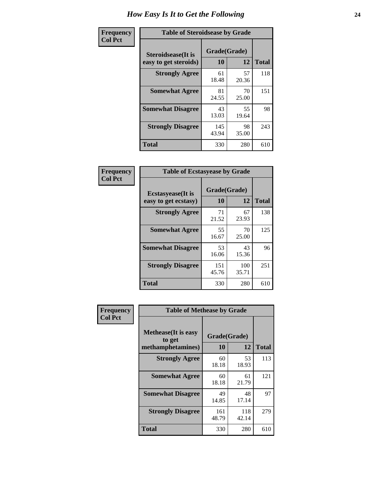| Frequency      | <b>Table of Steroidsease by Grade</b>               |                    |             |              |  |  |  |  |  |  |
|----------------|-----------------------------------------------------|--------------------|-------------|--------------|--|--|--|--|--|--|
| <b>Col Pct</b> | <b>Steroidsease</b> (It is<br>easy to get steroids) | Grade(Grade)<br>10 | 12          | <b>Total</b> |  |  |  |  |  |  |
|                | <b>Strongly Agree</b>                               | 61<br>18.48        | 57<br>20.36 | 118          |  |  |  |  |  |  |
|                | <b>Somewhat Agree</b>                               | 81<br>24.55        | 70<br>25.00 | 151          |  |  |  |  |  |  |
|                | <b>Somewhat Disagree</b>                            | 43<br>13.03        | 55<br>19.64 | 98           |  |  |  |  |  |  |
|                | <b>Strongly Disagree</b>                            | 145<br>43.94       | 98<br>35.00 | 243          |  |  |  |  |  |  |
|                | Total                                               | 330                | 280         | 610          |  |  |  |  |  |  |

| Frequency      | <b>Table of Ecstasyease by Grade</b>              |                    |              |              |  |  |  |  |  |  |
|----------------|---------------------------------------------------|--------------------|--------------|--------------|--|--|--|--|--|--|
| <b>Col Pct</b> | <b>Ecstasyease</b> (It is<br>easy to get ecstasy) | Grade(Grade)<br>10 | 12           | <b>Total</b> |  |  |  |  |  |  |
|                | <b>Strongly Agree</b>                             | 71<br>21.52        | 67<br>23.93  | 138          |  |  |  |  |  |  |
|                | <b>Somewhat Agree</b>                             | 55<br>16.67        | 70<br>25.00  | 125          |  |  |  |  |  |  |
|                | <b>Somewhat Disagree</b>                          | 53<br>16.06        | 43<br>15.36  | 96           |  |  |  |  |  |  |
|                | <b>Strongly Disagree</b>                          | 151<br>45.76       | 100<br>35.71 | 251          |  |  |  |  |  |  |
|                | <b>Total</b>                                      | 330                | 280          | 610          |  |  |  |  |  |  |

| Frequency      |                                                            | <b>Table of Methease by Grade</b> |              |              |  |  |  |  |  |  |
|----------------|------------------------------------------------------------|-----------------------------------|--------------|--------------|--|--|--|--|--|--|
| <b>Col Pct</b> | <b>Methease</b> (It is easy<br>to get<br>methamphetamines) | Grade(Grade)<br>10                | 12           | <b>Total</b> |  |  |  |  |  |  |
|                | <b>Strongly Agree</b>                                      | 60<br>18.18                       | 53<br>18.93  | 113          |  |  |  |  |  |  |
|                | <b>Somewhat Agree</b>                                      | 60<br>18.18                       | 61<br>21.79  | 121          |  |  |  |  |  |  |
|                | <b>Somewhat Disagree</b>                                   | 49<br>14.85                       | 48<br>17.14  | 97           |  |  |  |  |  |  |
|                | <b>Strongly Disagree</b>                                   | 161<br>48.79                      | 118<br>42.14 | 279          |  |  |  |  |  |  |
|                | <b>Total</b>                                               | 330                               | 280          | 610          |  |  |  |  |  |  |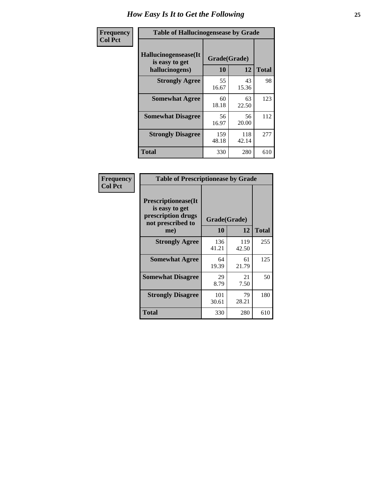| Frequency      | <b>Table of Hallucinogensease by Grade</b>               |                    |              |              |  |  |  |  |  |  |  |
|----------------|----------------------------------------------------------|--------------------|--------------|--------------|--|--|--|--|--|--|--|
| <b>Col Pct</b> | Hallucinogensease(It<br>is easy to get<br>hallucinogens) | Grade(Grade)<br>10 | 12           | <b>Total</b> |  |  |  |  |  |  |  |
|                | <b>Strongly Agree</b>                                    | 55<br>16.67        | 43<br>15.36  | 98           |  |  |  |  |  |  |  |
|                | <b>Somewhat Agree</b>                                    | 60<br>18.18        | 63<br>22.50  | 123          |  |  |  |  |  |  |  |
|                | <b>Somewhat Disagree</b>                                 | 56<br>16.97        | 56<br>20.00  | 112          |  |  |  |  |  |  |  |
|                | <b>Strongly Disagree</b>                                 | 159<br>48.18       | 118<br>42.14 | 277          |  |  |  |  |  |  |  |
|                | <b>Total</b>                                             | 330                | 280          | 610          |  |  |  |  |  |  |  |

| Frequency<br>Col Pct |
|----------------------|
|                      |

| <b>Table of Prescriptionease by Grade</b>                                                |              |              |              |  |  |  |  |  |  |  |
|------------------------------------------------------------------------------------------|--------------|--------------|--------------|--|--|--|--|--|--|--|
| <b>Prescriptionease</b> (It<br>is easy to get<br>prescription drugs<br>not prescribed to | Grade(Grade) |              |              |  |  |  |  |  |  |  |
| me)                                                                                      | 10           | 12           | <b>Total</b> |  |  |  |  |  |  |  |
| <b>Strongly Agree</b>                                                                    | 136<br>41.21 | 119<br>42.50 | 255          |  |  |  |  |  |  |  |
| <b>Somewhat Agree</b>                                                                    | 64<br>19.39  | 61<br>21.79  | 125          |  |  |  |  |  |  |  |
| <b>Somewhat Disagree</b>                                                                 | 29<br>8.79   | 21<br>7.50   | 50           |  |  |  |  |  |  |  |
| <b>Strongly Disagree</b>                                                                 | 101<br>30.61 | 79<br>28.21  | 180          |  |  |  |  |  |  |  |
| <b>Total</b>                                                                             | 330          | 280          | 610          |  |  |  |  |  |  |  |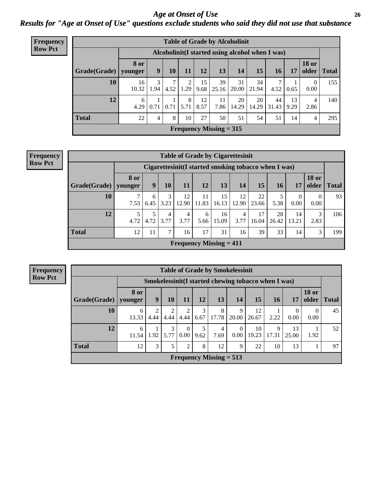*Age at Onset of Use* **26** *Results for "Age at Onset of Use" questions exclude students who said they did not use that substance*

| Frequency      | <b>Table of Grade by Alcoholinit</b> |                        |                                                  |           |           |            |                           |             |             |             |            |                        |              |
|----------------|--------------------------------------|------------------------|--------------------------------------------------|-----------|-----------|------------|---------------------------|-------------|-------------|-------------|------------|------------------------|--------------|
| <b>Row Pct</b> |                                      |                        | Alcoholinit (I started using alcohol when I was) |           |           |            |                           |             |             |             |            |                        |              |
|                | Grade(Grade)                         | <b>8 or</b><br>younger | 9                                                | <b>10</b> | 11        | 12         | 13                        | 14          | 15          | <b>16</b>   | 17         | <b>18 or</b><br>older  | <b>Total</b> |
|                | 10                                   | 16<br>10.32            | 3<br>1.94                                        | 7<br>4.52 | 1.29      | 15<br>9.68 | 39<br>25.16               | 31<br>20.00 | 34<br>21.94 | 7<br>4.52   | 0.65       | $\overline{0}$<br>0.00 | 155          |
|                | 12                                   | 6<br>4.29              | 0.71                                             | 0.71      | 8<br>5.71 | 12<br>8.57 | 11<br>7.86                | 20<br>14.29 | 20<br>14.29 | 44<br>31.43 | 13<br>9.29 | 4<br>2.86              | 140          |
|                | <b>Total</b>                         | 22                     | 4                                                | 8         | 10        | 27         | 50                        | 51          | 54          | 51          | 14         | 4                      | 295          |
|                |                                      |                        |                                                  |           |           |            | Frequency Missing $= 315$ |             |             |             |            |                        |              |

| <b>Frequency</b> | <b>Table of Grade by Cigarettesinit</b> |                        |                                                      |               |                           |             |             |             |             |             |                        |                       |       |
|------------------|-----------------------------------------|------------------------|------------------------------------------------------|---------------|---------------------------|-------------|-------------|-------------|-------------|-------------|------------------------|-----------------------|-------|
| <b>Row Pct</b>   |                                         |                        | Cigarettesinit(I started smoking tobacco when I was) |               |                           |             |             |             |             |             |                        |                       |       |
|                  | Grade(Grade)                            | <b>8 or</b><br>vounger | 9                                                    | 10            | 11                        | 12          | 13          | 14          | 15          | 16          | 17                     | <b>18 or</b><br>older | Total |
|                  | 10                                      | 7.53                   | 6<br>6.45                                            | 3<br>3.23     | 12<br>$12.90 \;$          | 11<br>11.83 | 15<br>16.13 | 12<br>12.90 | 22<br>23.66 | 5.38        | $\overline{0}$<br>0.00 | $\Omega$<br>0.00      | 93    |
|                  | 12                                      | 4.72                   | 4.72                                                 | 4<br>3.77     | 3.77                      | 6<br>5.66   | 16<br>15.09 | 4<br>3.77   | 17<br>16.04 | 28<br>26.42 | 14<br>13.21            | 3<br>2.83             | 106   |
|                  | <b>Total</b>                            | 12                     | 11                                                   | $\mathcal{I}$ | 16                        | 17          | 31          | 16          | 39          | 33          | 14                     | 3                     | 199   |
|                  |                                         |                        |                                                      |               | Frequency Missing $= 411$ |             |             |             |             |             |                        |                       |       |

**Frequency Row Pct**

| <b>Table of Grade by Smokelessinit</b> |                        |                                                      |           |                        |           |                           |                  |             |            |                  |                       |              |
|----------------------------------------|------------------------|------------------------------------------------------|-----------|------------------------|-----------|---------------------------|------------------|-------------|------------|------------------|-----------------------|--------------|
|                                        |                        | Smokelessinit (I started chewing tobacco when I was) |           |                        |           |                           |                  |             |            |                  |                       |              |
| Grade(Grade)                           | <b>8</b> or<br>younger | 9                                                    | 10        | <b>11</b>              | 12        | 13                        | 14               | 15          | 16         | 17               | <b>18 or</b><br>older | <b>Total</b> |
| 10                                     | 6<br>13.33             | 2<br>4.44                                            | 2<br>4.44 | $\overline{2}$<br>4.44 | 3<br>6.67 | 8<br>17.78                | 9<br>20.00       | 12<br>26.67 | 2.22       | $\Omega$<br>0.00 | $\Omega$<br>0.00      | 45           |
| 12                                     | 6<br>11.54             | 1.92                                                 | 3<br>5.77 | $\theta$<br>0.00       | 5<br>9.62 | 4<br>7.69                 | $\Omega$<br>0.00 | 10<br>19.23 | 9<br>17.31 | 13<br>25.00      | 1.92                  | 52           |
| <b>Total</b>                           | 12                     | 3                                                    | 5         | 2                      | 8         | 12                        | 9                | 22          | 10         | 13               |                       | 97           |
|                                        |                        |                                                      |           |                        |           | Frequency Missing $= 513$ |                  |             |            |                  |                       |              |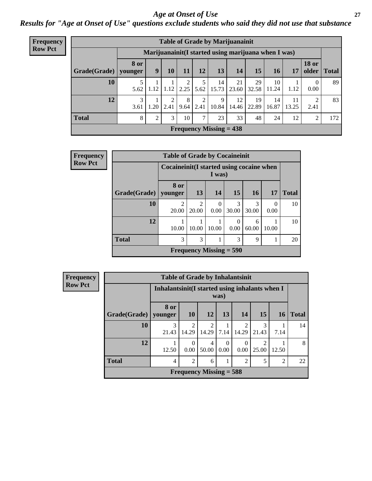### *Age at Onset of Use* **27**

*Results for "Age at Onset of Use" questions exclude students who said they did not use that substance*

| <b>Frequency</b> |              | <b>Table of Grade by Marijuanainit</b> |                                                      |                |           |               |                           |             |             |             |             |                        |              |
|------------------|--------------|----------------------------------------|------------------------------------------------------|----------------|-----------|---------------|---------------------------|-------------|-------------|-------------|-------------|------------------------|--------------|
| <b>Row Pct</b>   |              |                                        | Marijuanainit (I started using marijuana when I was) |                |           |               |                           |             |             |             |             |                        |              |
|                  | Grade(Grade) | <b>8 or</b><br>younger                 | 9                                                    | 10             | 11        | 12            | 13                        | 14          | 15          | 16          | 17          | <b>18 or</b><br>older  | <b>Total</b> |
|                  | 10           | 5<br>5.62                              | 1.12                                                 | 1.12           | 2.25      | 5.62          | 14<br>15.73               | 21<br>23.60 | 29<br>32.58 | 10<br>11.24 | 1.12        | $\theta$<br>0.00       | 89           |
|                  | 12           | 3<br>3.61                              | 1.20                                                 | 2.41           | 8<br>9.64 | ◠<br>2.41     | 9<br>10.84                | 12<br>14.46 | 19<br>22.89 | 14<br>16.87 | 11<br>13.25 | $\mathfrak{D}$<br>2.41 | 83           |
|                  | <b>Total</b> | 8                                      | 2                                                    | 3 <sub>1</sub> | 10        | $\mathcal{L}$ | 23                        | 33          | 48          | 24          | 12          | $\overline{c}$         | 172          |
|                  |              |                                        |                                                      |                |           |               | Frequency Missing $= 438$ |             |             |             |             |                        |              |

| Frequency      |              | <b>Table of Grade by Cocaineinit</b>      |                         |                           |            |            |                  |              |
|----------------|--------------|-------------------------------------------|-------------------------|---------------------------|------------|------------|------------------|--------------|
| <b>Row Pct</b> |              | Cocaineinit (I started using cocaine when |                         | I was)                    |            |            |                  |              |
|                | Grade(Grade) | 8 or<br>younger                           | 13                      | 14                        | 15         | <b>16</b>  | <b>17</b>        | <b>Total</b> |
|                | 10           | 20.00                                     | $\overline{2}$<br>20.00 | $\Omega$<br>0.00          | 3<br>30.00 | 3<br>30.00 | $\theta$<br>0.00 | 10           |
|                | 12           | 10.00                                     | 10.00                   | 10.00                     | 0<br>0.00  | 6<br>60.00 | 10.00            | 10           |
|                | <b>Total</b> | 3                                         | 3                       | 1                         | 3          | 9          |                  | 20           |
|                |              |                                           |                         | Frequency Missing $=$ 590 |            |            |                  |              |

**Frequency Row Pct**

| <b>Table of Grade by Inhalantsinit</b> |                 |                                                                |                         |                  |                         |                         |       |    |  |  |  |
|----------------------------------------|-----------------|----------------------------------------------------------------|-------------------------|------------------|-------------------------|-------------------------|-------|----|--|--|--|
|                                        |                 | Inhalantsinit (I started using inhalants when I<br>was)        |                         |                  |                         |                         |       |    |  |  |  |
| Grade(Grade)                           | 8 or<br>younger | 15<br><b>10</b><br>13<br>14<br><b>12</b><br><b>Total</b><br>16 |                         |                  |                         |                         |       |    |  |  |  |
| 10                                     | 3<br>21.43      | $\mathfrak{D}$<br>14.29                                        | $\overline{c}$<br>14.29 | 7.14             | $\mathfrak{D}$<br>14.29 | 3<br>21.43              | 7.14  | 14 |  |  |  |
| 12                                     | 12.50           | 0<br>0.00                                                      | 4<br>50.00              | $\Omega$<br>0.00 | $\theta$<br>0.00        | $\mathfrak{D}$<br>25.00 | 12.50 | 8  |  |  |  |
| <b>Total</b>                           | 4               | $\mathfrak{D}$                                                 | 6                       |                  | $\mathfrak{D}$          | 5                       | 2     | 22 |  |  |  |
| Frequency Missing $=$ 588              |                 |                                                                |                         |                  |                         |                         |       |    |  |  |  |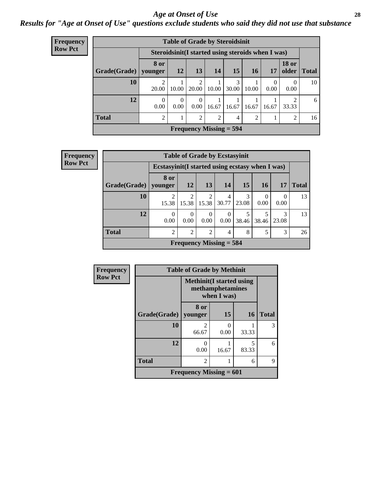### *Age at Onset of Use* **28**

*Results for "Age at Onset of Use" questions exclude students who said they did not use that substance*

| Frequency      |              | <b>Table of Grade by Steroidsinit</b> |                                                    |                                      |                |            |           |           |                                      |              |  |  |
|----------------|--------------|---------------------------------------|----------------------------------------------------|--------------------------------------|----------------|------------|-----------|-----------|--------------------------------------|--------------|--|--|
| <b>Row Pct</b> |              |                                       | Steroidsinit (I started using steroids when I was) |                                      |                |            |           |           |                                      |              |  |  |
|                | Grade(Grade) | 8 or<br>younger                       | <b>12</b>                                          | 13                                   | 14             | 15         | <b>16</b> | 17        | <b>18 or</b><br>older                | <b>Total</b> |  |  |
|                | 10           | $\overline{2}$<br>20.00               | 10.00                                              | $\mathcal{D}_{\mathcal{L}}$<br>20.00 | 10.00          | 3<br>30.00 | 10.00     | 0<br>0.00 | $\Omega$<br>0.00                     | 10           |  |  |
|                | 12           | $\theta$<br>0.00                      | $\theta$<br>0.00                                   | $\Omega$<br>$0.00^{\circ}$           | 16.67          | 16.67      | 16.67     | 16.67     | $\mathcal{D}_{\mathcal{L}}$<br>33.33 | 6            |  |  |
|                | <b>Total</b> | $\overline{c}$                        |                                                    | $\overline{2}$                       | $\overline{2}$ | 4          | 2         | 1<br>1.   | 2                                    | 16           |  |  |
|                |              |                                       |                                                    | <b>Frequency Missing = 594</b>       |                |            |           |           |                                      |              |  |  |

| <b>Frequency</b> |                        | <b>Table of Grade by Ecstasyinit</b>             |                  |                         |                           |            |       |                  |              |
|------------------|------------------------|--------------------------------------------------|------------------|-------------------------|---------------------------|------------|-------|------------------|--------------|
| <b>Row Pct</b>   |                        | Ecstasyinit (I started using ecstasy when I was) |                  |                         |                           |            |       |                  |              |
|                  | Grade(Grade)   younger | 8 or                                             | 12               | 13                      | 14                        | 15         | 16    | 17               | <b>Total</b> |
|                  | 10                     | っ<br>15.38                                       | 15.38            | $\overline{2}$<br>15.38 | 4<br>30.77                | 3<br>23.08 | 0.00  | $\theta$<br>0.00 | 13           |
|                  | 12                     | $\theta$<br>0.00                                 | $\Omega$<br>0.00 | 0<br>0.00               | $\theta$<br>$0.00\,$      | 38.46      | 38.46 | 3<br>23.08       | 13           |
|                  | <b>Total</b>           | $\mathcal{D}_{\mathcal{A}}$                      | $\overline{2}$   | $\overline{2}$          | 4                         | 8          | 5     | 3                | 26           |
|                  |                        |                                                  |                  |                         | Frequency Missing $=$ 584 |            |       |                  |              |

| Frequency      |              |                                                                     | <b>Table of Grade by Methinit</b> |            |              |  |  |  |  |
|----------------|--------------|---------------------------------------------------------------------|-----------------------------------|------------|--------------|--|--|--|--|
| <b>Row Pct</b> |              | <b>Methinit</b> (I started using<br>methamphetamines<br>when I was) |                                   |            |              |  |  |  |  |
|                | Grade(Grade) | 8 or<br>  younger                                                   | 15                                | <b>16</b>  | <b>Total</b> |  |  |  |  |
|                | 10           | $\mathfrak{D}$<br>66.67                                             | 0<br>0.00                         | 33.33      | 3            |  |  |  |  |
|                | 12           | 0<br>0.00                                                           | 16.67                             | 5<br>83.33 | 6            |  |  |  |  |
|                | <b>Total</b> | $\overline{2}$                                                      |                                   | 6          | 9            |  |  |  |  |
|                |              | Frequency Missing $= 601$                                           |                                   |            |              |  |  |  |  |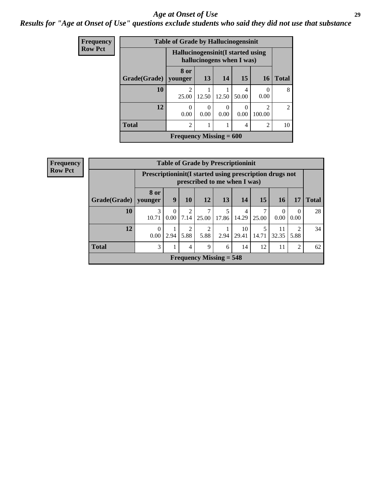### *Age at Onset of Use* **29**

### *Results for "Age at Onset of Use" questions exclude students who said they did not use that substance*

| Frequency      |              | <b>Table of Grade by Hallucinogensinit</b> |                           |           |                       |                          |                |
|----------------|--------------|--------------------------------------------|---------------------------|-----------|-----------------------|--------------------------|----------------|
| <b>Row Pct</b> |              | Hallucinogensinit (I started using         | hallucinogens when I was) |           |                       |                          |                |
|                | Grade(Grade) | 8 or<br>younger                            | 13                        | 14        | 15                    | <b>16</b>                | <b>Total</b>   |
|                | 10           | $\overline{c}$<br>25.00                    | 12.50                     | 12.50     | 4<br>50.00            | $\left( \right)$<br>0.00 | 8              |
|                | 12           | $\theta$<br>0.00                           | $\Omega$<br>0.00          | 0<br>0.00 | $\mathcal{O}$<br>0.00 | $\mathfrak{D}$<br>100.00 | $\mathfrak{D}$ |
|                | <b>Total</b> | $\overline{c}$                             |                           |           | 4                     | 2                        | 10             |
|                |              | Frequency Missing $= 600$                  |                           |           |                       |                          |                |

| <b>Frequency</b> |              |                                                                                            |                  |                        |           |                           | <b>Table of Grade by Prescriptioninit</b> |       |                  |                  |              |
|------------------|--------------|--------------------------------------------------------------------------------------------|------------------|------------------------|-----------|---------------------------|-------------------------------------------|-------|------------------|------------------|--------------|
| <b>Row Pct</b>   |              | Prescription in it (I started using prescription drugs not<br>prescribed to me when I was) |                  |                        |           |                           |                                           |       |                  |                  |              |
|                  | Grade(Grade) | <b>8 or</b><br>younger                                                                     | 9                | 10                     | 12        | 13                        | 14                                        | 15    | 16               | 17               | <b>Total</b> |
|                  | 10           | 3<br>10.71                                                                                 | $\Omega$<br>0.00 | $\overline{2}$<br>7.14 | 25.00     | 5<br>17.86                | 4<br>14.29                                | 25.00 | $\Omega$<br>0.00 | $\Omega$<br>0.00 | 28           |
|                  | 12           | $\Omega$<br>0.00                                                                           | 2.94             | $\overline{2}$<br>5.88 | າ<br>5.88 | 2.94                      | 10<br>29.41                               | 14.71 | 11<br>32.35      | 2<br>5.88        | 34           |
|                  | <b>Total</b> | 3                                                                                          | 1                | 4                      | 9         | 6                         | 14                                        | 12    | 11               | 2                | 62           |
|                  |              |                                                                                            |                  |                        |           | Frequency Missing $= 548$ |                                           |       |                  |                  |              |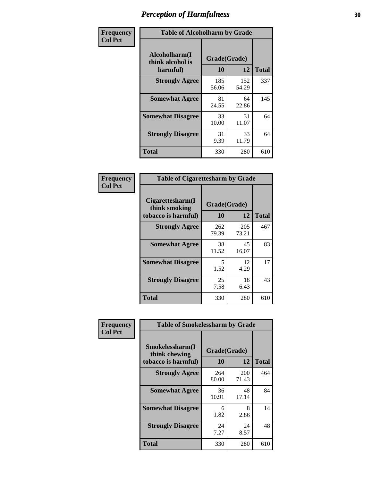| Frequency      |                                               | <b>Table of Alcoholharm by Grade</b> |              |              |  |  |  |  |  |
|----------------|-----------------------------------------------|--------------------------------------|--------------|--------------|--|--|--|--|--|
| <b>Col Pct</b> | Alcoholharm(I<br>think alcohol is<br>harmful) | Grade(Grade)<br>10                   | 12           | <b>Total</b> |  |  |  |  |  |
|                | <b>Strongly Agree</b>                         | 185<br>56.06                         | 152<br>54.29 | 337          |  |  |  |  |  |
|                | <b>Somewhat Agree</b>                         | 81<br>24.55                          | 64<br>22.86  | 145          |  |  |  |  |  |
|                | <b>Somewhat Disagree</b>                      | 33<br>10.00                          | 31<br>11.07  | 64           |  |  |  |  |  |
|                | <b>Strongly Disagree</b>                      | 31<br>9.39                           | 33<br>11.79  | 64           |  |  |  |  |  |
|                | Total                                         | 330                                  | 280          | 610          |  |  |  |  |  |

|                                                          | <b>Table of Cigarettesharm by Grade</b> |                    |     |  |  |  |  |  |  |
|----------------------------------------------------------|-----------------------------------------|--------------------|-----|--|--|--|--|--|--|
| Cigarettesharm(I<br>think smoking<br>tobacco is harmful) | 10                                      | Grade(Grade)<br>12 |     |  |  |  |  |  |  |
| <b>Strongly Agree</b>                                    | 262<br>79.39                            | 205<br>73.21       | 467 |  |  |  |  |  |  |
| <b>Somewhat Agree</b>                                    | 38<br>11.52                             | 45<br>16.07        | 83  |  |  |  |  |  |  |
| <b>Somewhat Disagree</b>                                 | 5<br>1.52                               | 12<br>4.29         | 17  |  |  |  |  |  |  |
| <b>Strongly Disagree</b>                                 | 25<br>7.58                              | 18<br>6.43         | 43  |  |  |  |  |  |  |
| <b>Total</b>                                             | 330                                     | 280                | 610 |  |  |  |  |  |  |

| Frequency      | <b>Table of Smokelessharm by Grade</b>                  |                           |              |              |  |  |  |  |  |
|----------------|---------------------------------------------------------|---------------------------|--------------|--------------|--|--|--|--|--|
| <b>Col Pct</b> | Smokelessharm(I<br>think chewing<br>tobacco is harmful) | Grade(Grade)<br><b>10</b> | 12           | <b>Total</b> |  |  |  |  |  |
|                | <b>Strongly Agree</b>                                   | 264<br>80.00              | 200<br>71.43 | 464          |  |  |  |  |  |
|                | <b>Somewhat Agree</b>                                   | 36<br>10.91               | 48<br>17.14  | 84           |  |  |  |  |  |
|                | <b>Somewhat Disagree</b>                                | 6<br>1.82                 | 8<br>2.86    | 14           |  |  |  |  |  |
|                | <b>Strongly Disagree</b>                                | 24<br>7.27                | 24<br>8.57   | 48           |  |  |  |  |  |
|                | <b>Total</b>                                            | 330                       | 280          | 610          |  |  |  |  |  |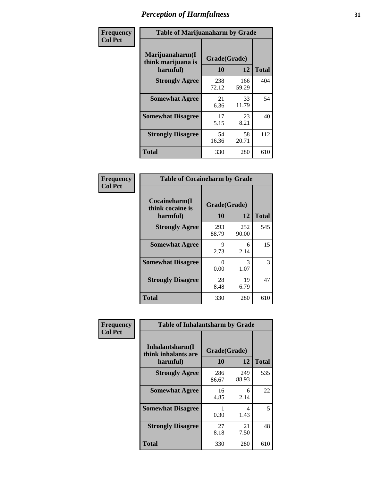| Frequency      |                                                   | <b>Table of Marijuanaharm by Grade</b> |              |              |  |  |  |  |  |  |
|----------------|---------------------------------------------------|----------------------------------------|--------------|--------------|--|--|--|--|--|--|
| <b>Col Pct</b> | Marijuanaharm(I<br>think marijuana is<br>harmful) | Grade(Grade)<br>10                     | 12           | <b>Total</b> |  |  |  |  |  |  |
|                | <b>Strongly Agree</b>                             | 238<br>72.12                           | 166<br>59.29 | 404          |  |  |  |  |  |  |
|                | <b>Somewhat Agree</b>                             | 21<br>6.36                             | 33<br>11.79  | 54           |  |  |  |  |  |  |
|                | <b>Somewhat Disagree</b>                          | 17<br>5.15                             | 23<br>8.21   | 40           |  |  |  |  |  |  |
|                | <b>Strongly Disagree</b>                          | 54<br>16.36                            | 58<br>20.71  | 112          |  |  |  |  |  |  |
|                | <b>Total</b>                                      | 330                                    | 280          | 610          |  |  |  |  |  |  |

| <b>Table of Cocaineharm by Grade</b>          |                    |              |              |  |  |  |
|-----------------------------------------------|--------------------|--------------|--------------|--|--|--|
| Cocaineharm(I<br>think cocaine is<br>harmful) | Grade(Grade)<br>10 | 12           | <b>Total</b> |  |  |  |
| <b>Strongly Agree</b>                         | 293<br>88.79       | 252<br>90.00 | 545          |  |  |  |
| <b>Somewhat Agree</b>                         | 9<br>2.73          | 6<br>2.14    | 15           |  |  |  |
| <b>Somewhat Disagree</b>                      | 0<br>0.00          | 3<br>1.07    | 3            |  |  |  |
| <b>Strongly Disagree</b>                      | 28<br>8.48         | 19<br>6.79   | 47           |  |  |  |
| <b>Total</b>                                  | 330                | 280          | 610          |  |  |  |

| Frequency      | <b>Table of Inhalantsharm by Grade</b>             |                    |              |              |
|----------------|----------------------------------------------------|--------------------|--------------|--------------|
| <b>Col Pct</b> | Inhalantsharm(I<br>think inhalants are<br>harmful) | Grade(Grade)<br>10 | 12           | <b>Total</b> |
|                | <b>Strongly Agree</b>                              | 286<br>86.67       | 249<br>88.93 | 535          |
|                | <b>Somewhat Agree</b>                              | 16<br>4.85         | 6<br>2.14    | 22           |
|                | <b>Somewhat Disagree</b>                           | 0.30               | 4<br>1.43    | 5            |
|                | <b>Strongly Disagree</b>                           | 27<br>8.18         | 21<br>7.50   | 48           |
|                | <b>Total</b>                                       | 330                | 280          | 610          |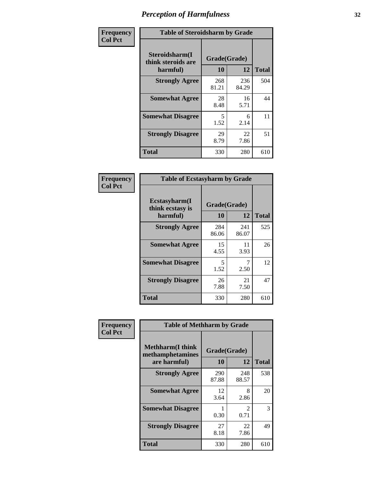| Frequency      | <b>Table of Steroidsharm by Grade</b>            |                    |              |              |
|----------------|--------------------------------------------------|--------------------|--------------|--------------|
| <b>Col Pct</b> | Steroidsharm(I<br>think steroids are<br>harmful) | Grade(Grade)<br>10 | 12           | <b>Total</b> |
|                | <b>Strongly Agree</b>                            | 268<br>81.21       | 236<br>84.29 | 504          |
|                | <b>Somewhat Agree</b>                            | 28<br>8.48         | 16<br>5.71   | 44           |
|                | <b>Somewhat Disagree</b>                         | 5<br>1.52          | 6<br>2.14    | 11           |
|                | <b>Strongly Disagree</b>                         | 29<br>8.79         | 22<br>7.86   | 51           |
|                | <b>Total</b>                                     | 330                | 280          | 610          |

| <b>Table of Ecstasyharm by Grade</b>          |                    |              |     |  |  |  |
|-----------------------------------------------|--------------------|--------------|-----|--|--|--|
| Ecstasyharm(I<br>think ecstasy is<br>harmful) | Grade(Grade)<br>10 | <b>Total</b> |     |  |  |  |
| <b>Strongly Agree</b>                         | 284<br>86.06       | 241<br>86.07 | 525 |  |  |  |
| <b>Somewhat Agree</b>                         | 15<br>4.55         | 11<br>3.93   | 26  |  |  |  |
| <b>Somewhat Disagree</b>                      | 5<br>1.52          | 7<br>2.50    | 12  |  |  |  |
| <b>Strongly Disagree</b>                      | 26<br>7.88         | 21<br>7.50   | 47  |  |  |  |
| <b>Total</b>                                  | 330                | 280          | 610 |  |  |  |

| Frequency      | <b>Table of Methharm by Grade</b>                            |                    |              |              |
|----------------|--------------------------------------------------------------|--------------------|--------------|--------------|
| <b>Col Pct</b> | <b>Methharm</b> (I think<br>methamphetamines<br>are harmful) | Grade(Grade)<br>10 | 12           | <b>Total</b> |
|                | <b>Strongly Agree</b>                                        | 290<br>87.88       | 248<br>88.57 | 538          |
|                | <b>Somewhat Agree</b>                                        | 12<br>3.64         | 8<br>2.86    | 20           |
|                | <b>Somewhat Disagree</b>                                     | 0.30               | 2<br>0.71    | 3            |
|                | <b>Strongly Disagree</b>                                     | 27<br>8.18         | 22<br>7.86   | 49           |
|                | <b>Total</b>                                                 | 330                | 280          | 610          |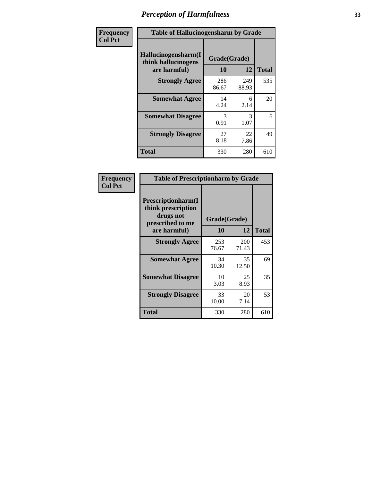| Frequency      | <b>Table of Hallucinogensharm by Grade</b>                 |                       |              |              |
|----------------|------------------------------------------------------------|-----------------------|--------------|--------------|
| <b>Col Pct</b> | Hallucinogensharm(I<br>think hallucinogens<br>are harmful) | Grade(Grade)<br>10    | 12           | <b>Total</b> |
|                | <b>Strongly Agree</b>                                      | 286<br>86.67          | 249<br>88.93 | 535          |
|                | <b>Somewhat Agree</b>                                      | 14<br>4.24            | 6<br>2.14    | 20           |
|                | <b>Somewhat Disagree</b>                                   | $\mathcal{R}$<br>0.91 | 3<br>1.07    | 6            |
|                | <b>Strongly Disagree</b>                                   | 27<br>8.18            | 22<br>7.86   | 49           |
|                | <b>Total</b>                                               | 330                   | 280          | 610          |

| <b>Table of Prescriptionharm by Grade</b>                                         |              |              |              |  |  |
|-----------------------------------------------------------------------------------|--------------|--------------|--------------|--|--|
| <b>Prescriptionharm(I)</b><br>think prescription<br>drugs not<br>prescribed to me | Grade(Grade) |              |              |  |  |
| are harmful)                                                                      | 10           | 12           | <b>Total</b> |  |  |
| <b>Strongly Agree</b>                                                             | 253<br>76.67 | 200<br>71.43 | 453          |  |  |
| <b>Somewhat Agree</b>                                                             | 34<br>10.30  | 35<br>12.50  | 69           |  |  |
| <b>Somewhat Disagree</b>                                                          | 10<br>3.03   | 25<br>8.93   | 35           |  |  |
| <b>Strongly Disagree</b>                                                          | 33<br>10.00  | 20<br>7.14   | 53           |  |  |
| <b>Total</b>                                                                      | 330          | 280          | 610          |  |  |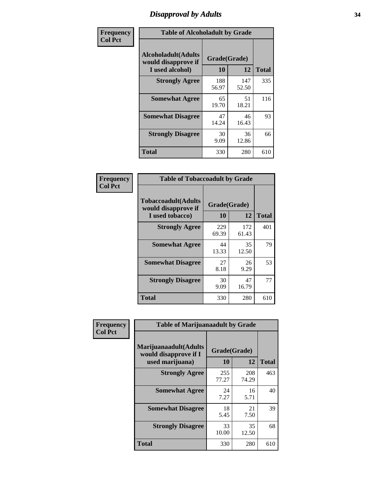# *Disapproval by Adults* **34**

| Frequency      |                                                                       | <b>Table of Alcoholadult by Grade</b> |              |              |
|----------------|-----------------------------------------------------------------------|---------------------------------------|--------------|--------------|
| <b>Col Pct</b> | <b>Alcoholadult</b> (Adults<br>would disapprove if<br>I used alcohol) | Grade(Grade)<br>10                    | 12           | <b>Total</b> |
|                | <b>Strongly Agree</b>                                                 | 188<br>56.97                          | 147<br>52.50 | 335          |
|                | <b>Somewhat Agree</b>                                                 | 65<br>19.70                           | 51<br>18.21  | 116          |
|                | <b>Somewhat Disagree</b>                                              | 47<br>14.24                           | 46<br>16.43  | 93           |
|                | <b>Strongly Disagree</b>                                              | 30<br>9.09                            | 36<br>12.86  | 66           |
|                | <b>Total</b>                                                          | 330                                   | 280          | 610          |

| <b>Table of Tobaccoadult by Grade</b>                                 |              |              |     |  |  |
|-----------------------------------------------------------------------|--------------|--------------|-----|--|--|
| <b>Tobaccoadult</b> (Adults<br>would disapprove if<br>I used tobacco) | <b>Total</b> |              |     |  |  |
| <b>Strongly Agree</b>                                                 | 229<br>69.39 | 172<br>61.43 | 401 |  |  |
| <b>Somewhat Agree</b>                                                 | 44<br>13.33  | 35<br>12.50  | 79  |  |  |
| <b>Somewhat Disagree</b>                                              | 27<br>8.18   | 26<br>9.29   | 53  |  |  |
| <b>Strongly Disagree</b>                                              | 30<br>9.09   | 47<br>16.79  | 77  |  |  |
| <b>Total</b>                                                          | 330          | 280          | 610 |  |  |

| Frequency<br><b>Col Pct</b> | <b>Table of Marijuanaadult by Grade</b>                           |                    |              |              |
|-----------------------------|-------------------------------------------------------------------|--------------------|--------------|--------------|
|                             | Marijuanaadult(Adults<br>would disapprove if I<br>used marijuana) | Grade(Grade)<br>10 | 12           | <b>Total</b> |
|                             | <b>Strongly Agree</b>                                             | 255<br>77.27       | 208<br>74.29 | 463          |
|                             | <b>Somewhat Agree</b>                                             | 24<br>7.27         | 16<br>5.71   | 40           |
|                             | <b>Somewhat Disagree</b>                                          | 18<br>5.45         | 21<br>7.50   | 39           |
|                             | <b>Strongly Disagree</b>                                          | 33<br>10.00        | 35<br>12.50  | 68           |
|                             | <b>Total</b>                                                      | 330                | 280          | 610          |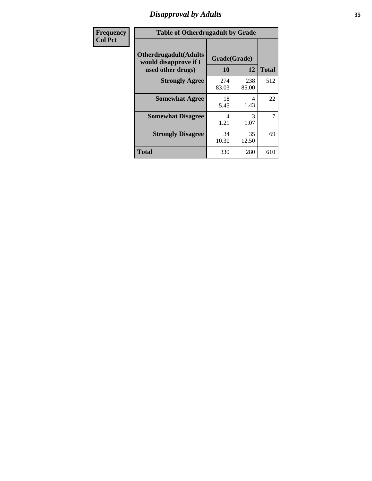# *Disapproval by Adults* **35**

| <b>Frequency</b> | <b>Table of Otherdrugadult by Grade</b>                |              |              |              |
|------------------|--------------------------------------------------------|--------------|--------------|--------------|
| <b>Col Pct</b>   | <b>Otherdrugadult</b> (Adults<br>would disapprove if I | Grade(Grade) |              |              |
|                  | used other drugs)                                      | 10           | 12           | <b>Total</b> |
|                  | <b>Strongly Agree</b>                                  | 274<br>83.03 | 238<br>85.00 | 512          |
|                  | <b>Somewhat Agree</b>                                  | 18<br>5.45   | 4<br>1.43    | 22           |
|                  | <b>Somewhat Disagree</b>                               | 4<br>1.21    | 3<br>1.07    | 7            |
|                  | <b>Strongly Disagree</b>                               | 34<br>10.30  | 35<br>12.50  | 69           |
|                  | <b>Total</b>                                           | 330          | 280          | 610          |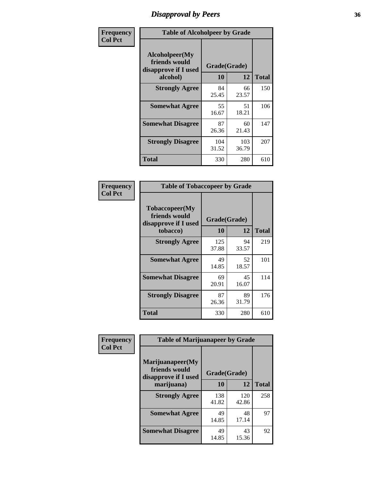# *Disapproval by Peers* **36**

| Frequency      | <b>Table of Alcoholpeer by Grade</b>                    |              |              |              |
|----------------|---------------------------------------------------------|--------------|--------------|--------------|
| <b>Col Pct</b> | Alcoholpeer(My<br>friends would<br>disapprove if I used | Grade(Grade) |              |              |
|                | alcohol)                                                | 10           | 12           | <b>Total</b> |
|                | <b>Strongly Agree</b>                                   | 84<br>25.45  | 66<br>23.57  | 150          |
|                | <b>Somewhat Agree</b>                                   | 55<br>16.67  | 51<br>18.21  | 106          |
|                | <b>Somewhat Disagree</b>                                | 87<br>26.36  | 60<br>21.43  | 147          |
|                | <b>Strongly Disagree</b>                                | 104<br>31.52 | 103<br>36.79 | 207          |
|                | Total                                                   | 330          | 280          | 610          |

| Frequency      | <b>Table of Tobaccopeer by Grade</b>                    |              |             |              |  |
|----------------|---------------------------------------------------------|--------------|-------------|--------------|--|
| <b>Col Pct</b> | Tobaccopeer(My<br>friends would<br>disapprove if I used | Grade(Grade) |             |              |  |
|                | tobacco)                                                | 10           | 12          | <b>Total</b> |  |
|                | <b>Strongly Agree</b>                                   | 125<br>37.88 | 94<br>33.57 | 219          |  |
|                | <b>Somewhat Agree</b>                                   | 49<br>14.85  | 52<br>18.57 | 101          |  |
|                | <b>Somewhat Disagree</b>                                | 69<br>20.91  | 45<br>16.07 | 114          |  |
|                | <b>Strongly Disagree</b>                                | 87<br>26.36  | 89<br>31.79 | 176          |  |
|                | Total                                                   | 330          | 280         | 610          |  |

| Frequency      | <b>Table of Marijuanapeer by Grade</b>                    |              |              |              |  |
|----------------|-----------------------------------------------------------|--------------|--------------|--------------|--|
| <b>Col Pct</b> | Marijuanapeer(My<br>friends would<br>disapprove if I used | Grade(Grade) |              |              |  |
|                | marijuana)                                                | 10           | 12           | <b>Total</b> |  |
|                | <b>Strongly Agree</b>                                     | 138<br>41.82 | 120<br>42.86 | 258          |  |
|                | <b>Somewhat Agree</b>                                     | 49<br>14.85  | 48<br>17.14  | 97           |  |
|                | <b>Somewhat Disagree</b>                                  | 49<br>14.85  | 43<br>15.36  | 92           |  |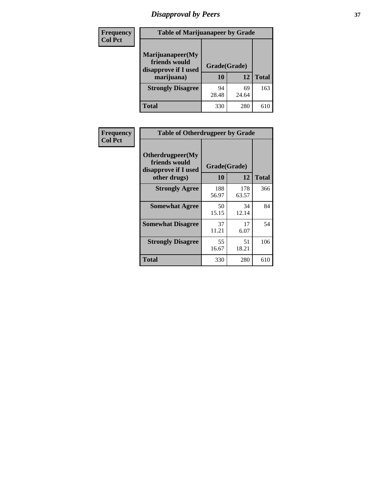# *Disapproval by Peers* **37**

| <b>Frequency</b> | <b>Table of Marijuanapeer by Grade</b>                                  |                    |             |              |
|------------------|-------------------------------------------------------------------------|--------------------|-------------|--------------|
| <b>Col Pct</b>   | Marijuanapeer(My<br>friends would<br>disapprove if I used<br>marijuana) | Grade(Grade)<br>10 | 12          | <b>Total</b> |
|                  | <b>Strongly Disagree</b>                                                | 94<br>28.48        | 69<br>24.64 | 163          |
|                  | Total                                                                   | 330                | 280         | 610          |

| Frequency      | <b>Table of Otherdrugpeer by Grade</b>                                    |                    |              |              |
|----------------|---------------------------------------------------------------------------|--------------------|--------------|--------------|
| <b>Col Pct</b> | Otherdrugpeer(My<br>friends would<br>disapprove if I used<br>other drugs) | Grade(Grade)<br>10 | 12           | <b>Total</b> |
|                | <b>Strongly Agree</b>                                                     | 188<br>56.97       | 178<br>63.57 | 366          |
|                | <b>Somewhat Agree</b>                                                     | 50<br>15.15        | 34<br>12.14  | 84           |
|                | <b>Somewhat Disagree</b>                                                  | 37<br>11.21        | 17<br>6.07   | 54           |
|                | <b>Strongly Disagree</b>                                                  | 55<br>16.67        | 51<br>18.21  | 106          |
|                | <b>Total</b>                                                              | 330                | 280          | 610          |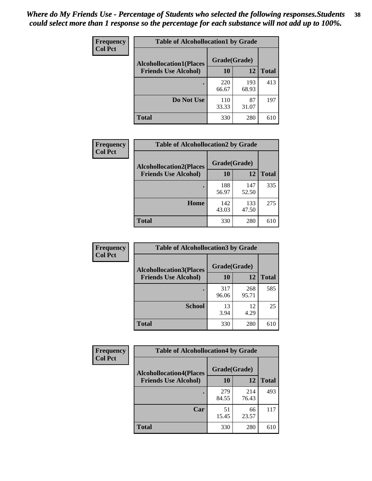| Frequency<br><b>Col Pct</b> | <b>Table of Alcohollocation1 by Grade</b> |              |              |              |  |
|-----------------------------|-------------------------------------------|--------------|--------------|--------------|--|
|                             | <b>Alcohollocation1(Places</b>            | Grade(Grade) |              |              |  |
|                             | <b>Friends Use Alcohol)</b>               | 10           | 12           | <b>Total</b> |  |
|                             |                                           | 220<br>66.67 | 193<br>68.93 | 413          |  |
|                             | Do Not Use                                | 110<br>33.33 | 87<br>31.07  | 197          |  |
|                             | <b>Total</b>                              | 330          | 280          | 610          |  |

| Frequency      | <b>Table of Alcohollocation2 by Grade</b>                     |                    |              |              |
|----------------|---------------------------------------------------------------|--------------------|--------------|--------------|
| <b>Col Pct</b> | <b>Alcohollocation2(Places</b><br><b>Friends Use Alcohol)</b> | Grade(Grade)<br>10 | 12           | <b>Total</b> |
|                |                                                               | 188<br>56.97       | 147<br>52.50 | 335          |
|                | Home                                                          | 142<br>43.03       | 133<br>47.50 | 275          |
|                | Total                                                         | 330                | 280          | 610          |

| <b>Frequency</b> | <b>Table of Alcohollocation 3 by Grade</b> |              |              |              |
|------------------|--------------------------------------------|--------------|--------------|--------------|
| <b>Col Pct</b>   | <b>Alcohollocation3</b> (Places            | Grade(Grade) |              |              |
|                  | <b>Friends Use Alcohol)</b>                | 10           | 12           | <b>Total</b> |
|                  |                                            | 317<br>96.06 | 268<br>95.71 | 585          |
|                  | <b>School</b>                              | 13<br>3.94   | 12<br>4.29   | 25           |
|                  | <b>Total</b>                               | 330          | 280          | 610          |

| Frequency      | <b>Table of Alcohollocation4 by Grade</b> |              |              |              |  |
|----------------|-------------------------------------------|--------------|--------------|--------------|--|
| <b>Col Pct</b> | <b>Alcohollocation4(Places</b>            | Grade(Grade) |              |              |  |
|                | <b>Friends Use Alcohol)</b>               | 10           | 12           | <b>Total</b> |  |
|                |                                           | 279<br>84.55 | 214<br>76.43 | 493          |  |
|                | Car                                       | 51<br>15.45  | 66<br>23.57  | 117          |  |
|                | <b>Total</b>                              | 330          | 280          | 610          |  |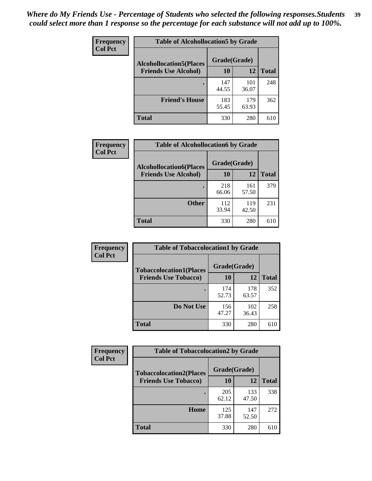| Frequency<br><b>Col Pct</b> | <b>Table of Alcohollocation5 by Grade</b> |              |              |              |
|-----------------------------|-------------------------------------------|--------------|--------------|--------------|
|                             | <b>Alcohollocation5(Places</b>            |              |              |              |
|                             | <b>Friends Use Alcohol)</b>               | 10           | 12           | <b>Total</b> |
|                             |                                           | 147<br>44.55 | 101<br>36.07 | 248          |
|                             | <b>Friend's House</b>                     | 183<br>55.45 | 179<br>63.93 | 362          |
|                             | <b>Total</b>                              | 330          | 280          | 610          |

| Frequency      | <b>Table of Alcohollocation6 by Grade</b>                     |                    |              |              |
|----------------|---------------------------------------------------------------|--------------------|--------------|--------------|
| <b>Col Pct</b> | <b>Alcohollocation6(Places</b><br><b>Friends Use Alcohol)</b> | Grade(Grade)<br>10 | 12           | <b>Total</b> |
|                |                                                               | 218<br>66.06       | 161<br>57.50 | 379          |
|                | <b>Other</b>                                                  | 112<br>33.94       | 119<br>42.50 | 231          |
|                | Total                                                         | 330                | 280          | 610          |

| Frequency      | <b>Table of Tobaccolocation1 by Grade</b> |              |              |              |
|----------------|-------------------------------------------|--------------|--------------|--------------|
| <b>Col Pct</b> | <b>Tobaccolocation1(Places</b>            | Grade(Grade) |              |              |
|                | <b>Friends Use Tobacco)</b>               | 10           | <b>12</b>    | <b>Total</b> |
|                |                                           | 174<br>52.73 | 178<br>63.57 | 352          |
|                | <b>Do Not Use</b>                         | 156<br>47.27 | 102<br>36.43 | 258          |
|                | <b>Total</b>                              | 330          | 280          | 610          |

| Frequency      | <b>Table of Tobaccolocation2 by Grade</b> |              |              |              |  |
|----------------|-------------------------------------------|--------------|--------------|--------------|--|
| <b>Col Pct</b> | <b>Tobaccolocation2(Places</b>            | Grade(Grade) |              |              |  |
|                | <b>Friends Use Tobacco)</b>               | 10           | 12           | <b>Total</b> |  |
|                |                                           | 205<br>62.12 | 133<br>47.50 | 338          |  |
|                | Home                                      | 125<br>37.88 | 147<br>52.50 | 272          |  |
|                | <b>Total</b>                              | 330          | 280          | 610          |  |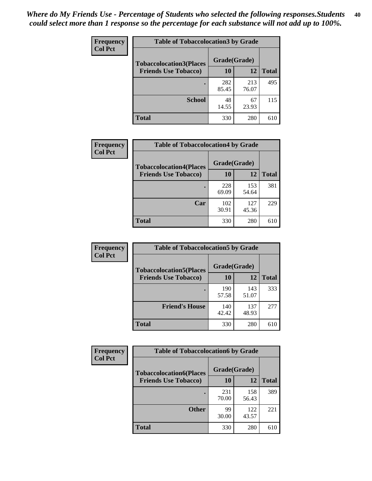| Frequency<br><b>Col Pct</b> | <b>Table of Tobaccolocation 3 by Grade</b> |              |              |              |
|-----------------------------|--------------------------------------------|--------------|--------------|--------------|
|                             | <b>Tobaccolocation3(Places</b>             | Grade(Grade) |              |              |
|                             | <b>Friends Use Tobacco)</b>                | 10           | 12           | <b>Total</b> |
|                             |                                            | 282<br>85.45 | 213<br>76.07 | 495          |
|                             | <b>School</b>                              | 48<br>14.55  | 67<br>23.93  | 115          |
|                             | <b>Total</b>                               | 330          | 280          | 610          |

| Frequency      | <b>Table of Tobaccolocation4 by Grade</b> |              |              |              |
|----------------|-------------------------------------------|--------------|--------------|--------------|
| <b>Col Pct</b> | <b>Tobaccolocation4(Places</b>            | Grade(Grade) |              |              |
|                | <b>Friends Use Tobacco)</b>               | 10           | 12           | <b>Total</b> |
|                |                                           | 228<br>69.09 | 153<br>54.64 | 381          |
|                | Car                                       | 102<br>30.91 | 127<br>45.36 | 229          |
|                | <b>Total</b>                              | 330          | 280          | 610          |

| <b>Frequency</b>            | <b>Table of Tobaccolocation5 by Grade</b> |              |              |     |
|-----------------------------|-------------------------------------------|--------------|--------------|-----|
| <b>Col Pct</b>              | <b>Tobaccolocation5(Places</b>            | Grade(Grade) |              |     |
| <b>Friends Use Tobacco)</b> | 10                                        | 12           | <b>Total</b> |     |
|                             |                                           | 190<br>57.58 | 143<br>51.07 | 333 |
|                             | <b>Friend's House</b>                     | 140<br>42.42 | 137<br>48.93 | 277 |
|                             | Total                                     | 330          | 280          | 610 |

| Frequency      | <b>Table of Tobaccolocation6 by Grade</b> |              |              |              |  |
|----------------|-------------------------------------------|--------------|--------------|--------------|--|
| <b>Col Pct</b> | <b>Tobaccolocation6(Places</b>            | Grade(Grade) |              |              |  |
|                | <b>Friends Use Tobacco)</b>               | 10           | 12           | <b>Total</b> |  |
|                |                                           | 231<br>70.00 | 158<br>56.43 | 389          |  |
|                | <b>Other</b>                              | 99<br>30.00  | 122<br>43.57 | 221          |  |
|                | <b>Total</b>                              | 330          | 280          | 610          |  |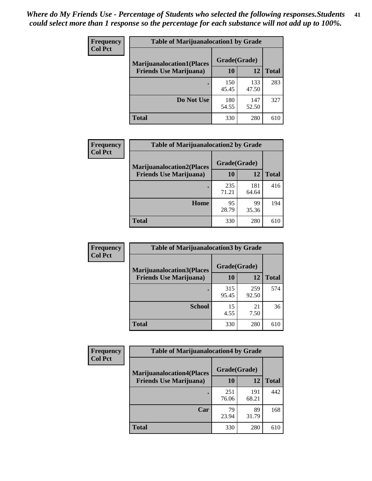| <b>Frequency</b> | <b>Table of Marijuanalocation1 by Grade</b> |              |              |              |
|------------------|---------------------------------------------|--------------|--------------|--------------|
| <b>Col Pct</b>   | <b>Marijuanalocation1(Places</b>            | Grade(Grade) |              |              |
|                  | <b>Friends Use Marijuana</b> )              | <b>10</b>    | 12           | <b>Total</b> |
|                  |                                             | 150<br>45.45 | 133<br>47.50 | 283          |
|                  | Do Not Use                                  | 180<br>54.55 | 147<br>52.50 | 327          |
|                  | <b>Total</b>                                | 330          | 280          | 610          |

| <b>Frequency</b> | <b>Table of Marijuanalocation2 by Grade</b>                        |                           |              |              |  |
|------------------|--------------------------------------------------------------------|---------------------------|--------------|--------------|--|
| <b>Col Pct</b>   | <b>Marijuanalocation2(Places</b><br><b>Friends Use Marijuana</b> ) | Grade(Grade)<br><b>10</b> | 12           | <b>Total</b> |  |
|                  |                                                                    | 235<br>71.21              | 181<br>64.64 | 416          |  |
|                  | Home                                                               | 95<br>28.79               | 99<br>35.36  | 194          |  |
|                  | <b>Total</b>                                                       | 330                       | 280          | 610          |  |

| <b>Frequency</b><br><b>Col Pct</b> | <b>Table of Marijuanalocation3 by Grade</b> |              |              |     |
|------------------------------------|---------------------------------------------|--------------|--------------|-----|
|                                    | <b>Marijuanalocation3(Places</b>            | Grade(Grade) |              |     |
| <b>Friends Use Marijuana</b> )     | <b>10</b>                                   | 12           | <b>Total</b> |     |
|                                    |                                             | 315<br>95.45 | 259<br>92.50 | 574 |
|                                    | <b>School</b>                               | 15<br>4.55   | 21<br>7.50   | 36  |
|                                    | <b>Total</b>                                | 330          | 280          | 610 |

| <b>Frequency</b> | <b>Table of Marijuanalocation4 by Grade</b> |              |              |              |  |
|------------------|---------------------------------------------|--------------|--------------|--------------|--|
| <b>Col Pct</b>   | <b>Marijuanalocation4(Places</b>            | Grade(Grade) |              |              |  |
|                  | <b>Friends Use Marijuana</b> )              | <b>10</b>    | 12           | <b>Total</b> |  |
|                  |                                             | 251<br>76.06 | 191<br>68.21 | 442          |  |
|                  | Car                                         | 79<br>23.94  | 89<br>31.79  | 168          |  |
|                  | <b>Total</b>                                | 330          | 280          | 610          |  |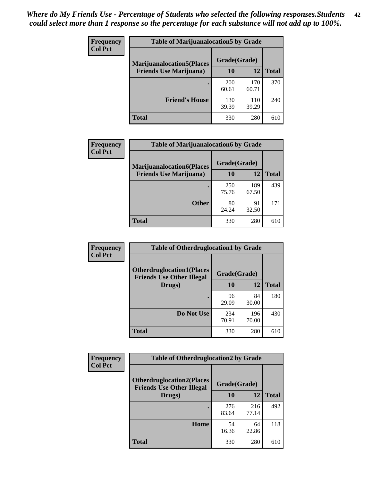| <b>Frequency</b> | <b>Table of Marijuanalocation5 by Grade</b>                         |              |              |              |
|------------------|---------------------------------------------------------------------|--------------|--------------|--------------|
| <b>Col Pct</b>   | <b>Marijuanalocation5</b> (Places<br><b>Friends Use Marijuana</b> ) | Grade(Grade) |              |              |
|                  |                                                                     | 10           | 12           | <b>Total</b> |
|                  |                                                                     | 200<br>60.61 | 170<br>60.71 | 370          |
|                  | <b>Friend's House</b>                                               | 130<br>39.39 | 110<br>39.29 | 240          |
|                  | <b>Total</b>                                                        | 330          | 280          | 610          |

| <b>Frequency</b> | <b>Table of Marijuanalocation6 by Grade</b>                        |                    |              |              |
|------------------|--------------------------------------------------------------------|--------------------|--------------|--------------|
| <b>Col Pct</b>   | <b>Marijuanalocation6(Places</b><br><b>Friends Use Marijuana</b> ) | Grade(Grade)<br>10 | 12           | <b>Total</b> |
|                  |                                                                    | 250<br>75.76       | 189<br>67.50 | 439          |
|                  | <b>Other</b>                                                       | 80<br>24.24        | 91<br>32.50  | 171          |
|                  | <b>Total</b>                                                       | 330                | 280          | 610          |

| Frequency      | <b>Table of Otherdruglocation1 by Grade</b>                                          |              |              |              |
|----------------|--------------------------------------------------------------------------------------|--------------|--------------|--------------|
| <b>Col Pct</b> | <b>Otherdruglocation1(Places</b><br>Grade(Grade)<br><b>Friends Use Other Illegal</b> |              |              |              |
|                | Drugs)                                                                               | 10           | 12           | <b>Total</b> |
|                |                                                                                      | 96<br>29.09  | 84<br>30.00  | 180          |
|                | Do Not Use                                                                           | 234<br>70.91 | 196<br>70.00 | 430          |
|                | <b>Total</b>                                                                         | 330          | 280          | 610          |

| <b>Frequency</b> | <b>Table of Otherdruglocation2 by Grade</b>                          |              |              |              |
|------------------|----------------------------------------------------------------------|--------------|--------------|--------------|
| <b>Col Pct</b>   | <b>Otherdruglocation2(Places</b><br><b>Friends Use Other Illegal</b> |              | Grade(Grade) |              |
|                  | Drugs)                                                               | 10           | 12           | <b>Total</b> |
|                  |                                                                      | 276<br>83.64 | 216<br>77.14 | 492          |
|                  | <b>Home</b>                                                          | 54<br>16.36  | 64<br>22.86  | 118          |
|                  | <b>Total</b>                                                         | 330          | 280          | 610          |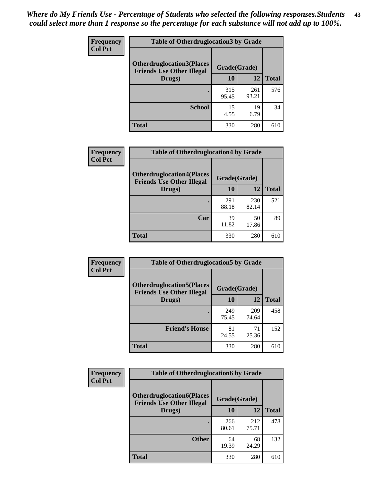| <b>Frequency</b> | <b>Table of Otherdruglocation 3 by Grade</b>                          |              |              |              |
|------------------|-----------------------------------------------------------------------|--------------|--------------|--------------|
| <b>Col Pct</b>   | <b>Otherdruglocation3(Places)</b><br><b>Friends Use Other Illegal</b> | Grade(Grade) |              |              |
|                  | Drugs)                                                                | 10           | 12           | <b>Total</b> |
|                  |                                                                       | 315<br>95.45 | 261<br>93.21 | 576          |
|                  | <b>School</b>                                                         | 15<br>4.55   | 19<br>6.79   | 34           |
|                  | <b>Total</b>                                                          | 330          | 280          | 610          |

| Frequency      | <b>Table of Otherdruglocation4 by Grade</b>                          |              |              |              |
|----------------|----------------------------------------------------------------------|--------------|--------------|--------------|
| <b>Col Pct</b> | <b>Otherdruglocation4(Places</b><br><b>Friends Use Other Illegal</b> | Grade(Grade) |              |              |
|                | Drugs)                                                               | 10           | 12           | <b>Total</b> |
|                |                                                                      | 291<br>88.18 | 230<br>82.14 | 521          |
|                | Car                                                                  | 39<br>11.82  | 50<br>17.86  | 89           |
|                | <b>Total</b>                                                         | 330          | 280          | 610          |

| Frequency      | <b>Table of Otherdruglocation5 by Grade</b>                          |              |              |              |
|----------------|----------------------------------------------------------------------|--------------|--------------|--------------|
| <b>Col Pct</b> | <b>Otherdruglocation5(Places</b><br><b>Friends Use Other Illegal</b> | Grade(Grade) |              |              |
|                | Drugs)                                                               | 10           | 12           | <b>Total</b> |
|                |                                                                      | 249<br>75.45 | 209<br>74.64 | 458          |
|                | <b>Friend's House</b>                                                | 81<br>24.55  | 71<br>25.36  | 152          |
|                | <b>Total</b>                                                         | 330          | 280          | 610          |

| <b>Frequency</b> | <b>Table of Otherdruglocation6 by Grade</b>                          |              |              |              |
|------------------|----------------------------------------------------------------------|--------------|--------------|--------------|
| <b>Col Pct</b>   | <b>Otherdruglocation6(Places</b><br><b>Friends Use Other Illegal</b> | Grade(Grade) |              |              |
|                  | Drugs)                                                               | 10           | 12           | <b>Total</b> |
|                  |                                                                      | 266<br>80.61 | 212<br>75.71 | 478          |
|                  | <b>Other</b>                                                         | 64<br>19.39  | 68<br>24.29  | 132          |
|                  | <b>Total</b>                                                         | 330          | 280          | 610          |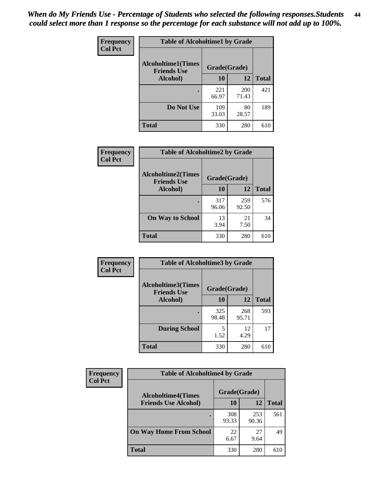| <b>Frequency</b> | <b>Table of Alcoholtime1 by Grade</b>           |              |              |              |
|------------------|-------------------------------------------------|--------------|--------------|--------------|
| <b>Col Pct</b>   | <b>Alcoholtime1(Times</b><br><b>Friends Use</b> | Grade(Grade) |              |              |
|                  | Alcohol)                                        | 10           | 12           | <b>Total</b> |
|                  |                                                 | 221<br>66.97 | 200<br>71.43 | 421          |
|                  | Do Not Use                                      | 109<br>33.03 | 80<br>28.57  | 189          |
|                  | <b>Total</b>                                    | 330          | 280          | 610          |

| Frequency      | <b>Table of Alcoholtime2 by Grade</b>                           |              |              |              |  |
|----------------|-----------------------------------------------------------------|--------------|--------------|--------------|--|
| <b>Col Pct</b> | <b>Alcoholtime2(Times</b><br>Grade(Grade)<br><b>Friends Use</b> |              |              |              |  |
|                | Alcohol)                                                        | 10           | 12           | <b>Total</b> |  |
|                |                                                                 | 317<br>96.06 | 259<br>92.50 | 576          |  |
|                | <b>On Way to School</b>                                         | 13<br>3.94   | 21<br>7.50   | 34           |  |
|                | <b>Total</b>                                                    | 330          | 280          | 610          |  |

| Frequency<br>Col Pct | <b>Table of Alcoholtime3 by Grade</b>           |              |              |              |
|----------------------|-------------------------------------------------|--------------|--------------|--------------|
|                      | <b>Alcoholtime3(Times</b><br><b>Friends Use</b> | Grade(Grade) |              |              |
|                      | Alcohol)                                        | 10           | 12           | <b>Total</b> |
|                      |                                                 | 325<br>98.48 | 268<br>95.71 | 593          |
|                      | <b>During School</b>                            | 5<br>1.52    | 12<br>4.29   | 17           |
|                      | Total                                           | 330          | 280          | 610          |

| <b>Frequency</b><br><b>Col Pct</b> | <b>Table of Alcoholtime4 by Grade</b> |              |              |              |
|------------------------------------|---------------------------------------|--------------|--------------|--------------|
|                                    | <b>Alcoholtime4(Times</b>             | Grade(Grade) |              |              |
|                                    | <b>Friends Use Alcohol)</b>           | 10           | 12           | <b>Total</b> |
|                                    |                                       | 308<br>93.33 | 253<br>90.36 | 561          |
|                                    | <b>On Way Home From School</b>        | 22<br>6.67   | 27<br>9.64   | 49           |
|                                    | <b>Total</b>                          | 330          | 280          | 610          |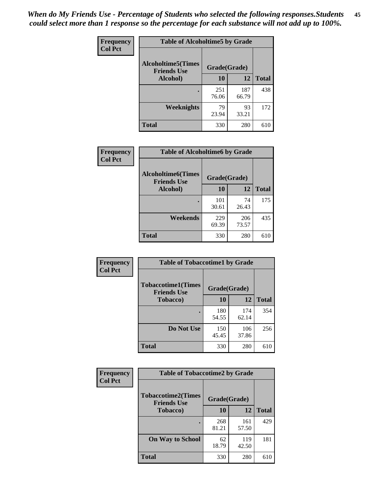*When do My Friends Use - Percentage of Students who selected the following responses.Students could select more than 1 response so the percentage for each substance will not add up to 100%.* **45**

| Frequency      | <b>Table of Alcoholtime5 by Grade</b>           |              |              |              |
|----------------|-------------------------------------------------|--------------|--------------|--------------|
| <b>Col Pct</b> | <b>Alcoholtime5(Times</b><br><b>Friends Use</b> | Grade(Grade) |              |              |
|                | Alcohol)                                        | 10           | <b>12</b>    | <b>Total</b> |
|                |                                                 | 251<br>76.06 | 187<br>66.79 | 438          |
|                | Weeknights                                      | 79<br>23.94  | 93<br>33.21  | 172          |
|                | <b>Total</b>                                    | 330          | 280          | 610          |

| Frequency      | <b>Table of Alcoholtime6 by Grade</b>           |              |              |              |
|----------------|-------------------------------------------------|--------------|--------------|--------------|
| <b>Col Pct</b> | <b>Alcoholtime6(Times</b><br><b>Friends Use</b> | Grade(Grade) |              |              |
|                | Alcohol)                                        | 10           | 12           | <b>Total</b> |
|                |                                                 | 101<br>30.61 | 74<br>26.43  | 175          |
|                | Weekends                                        | 229<br>69.39 | 206<br>73.57 | 435          |
|                | <b>Total</b>                                    | 330          | 280          | 610          |

| Frequency<br><b>Col Pct</b> | <b>Table of Tobaccotime1 by Grade</b>           |              |              |              |
|-----------------------------|-------------------------------------------------|--------------|--------------|--------------|
|                             | <b>Tobaccotime1(Times</b><br><b>Friends Use</b> | Grade(Grade) |              |              |
|                             | <b>Tobacco</b> )                                | 10           | 12           | <b>Total</b> |
|                             |                                                 | 180<br>54.55 | 174<br>62.14 | 354          |
|                             | Do Not Use                                      | 150<br>45.45 | 106<br>37.86 | 256          |
|                             | <b>Total</b>                                    | 330          | 280          | 610          |

| <b>Frequency</b> | <b>Table of Tobaccotime2 by Grade</b>           |              |              |              |
|------------------|-------------------------------------------------|--------------|--------------|--------------|
| <b>Col Pct</b>   | <b>Tobaccotime2(Times</b><br><b>Friends Use</b> | Grade(Grade) |              |              |
|                  | <b>Tobacco</b> )                                | 10           | 12           | <b>Total</b> |
|                  |                                                 | 268<br>81.21 | 161<br>57.50 | 429          |
|                  | <b>On Way to School</b>                         | 62<br>18.79  | 119<br>42.50 | 181          |
|                  | <b>Total</b>                                    | 330          | 280          | 610          |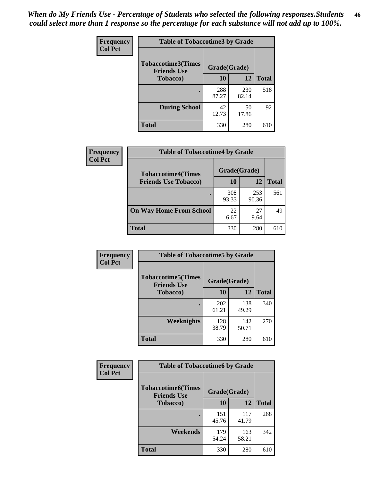*When do My Friends Use - Percentage of Students who selected the following responses.Students could select more than 1 response so the percentage for each substance will not add up to 100%.* **46**

| <b>Frequency</b> | <b>Table of Tobaccotime3 by Grade</b>           |              |              |              |
|------------------|-------------------------------------------------|--------------|--------------|--------------|
| <b>Col Pct</b>   | <b>Tobaccotime3(Times</b><br><b>Friends Use</b> | Grade(Grade) |              |              |
|                  | <b>Tobacco</b> )                                | 10           | 12           | <b>Total</b> |
|                  |                                                 | 288<br>87.27 | 230<br>82.14 | 518          |
|                  | <b>During School</b>                            | 42<br>12.73  | 50<br>17.86  | 92           |
|                  | <b>Total</b>                                    | 330          | 280          | 610          |

| <b>Frequency</b><br><b>Col Pct</b> | <b>Table of Tobaccotime4 by Grade</b> |              |              |              |
|------------------------------------|---------------------------------------|--------------|--------------|--------------|
|                                    | <b>Tobaccotime4(Times</b>             | Grade(Grade) |              |              |
|                                    | <b>Friends Use Tobacco)</b>           | 10           | 12           | <b>Total</b> |
|                                    |                                       | 308<br>93.33 | 253<br>90.36 | 561          |
|                                    | <b>On Way Home From School</b>        | 22<br>6.67   | 27<br>9.64   | 49           |
|                                    | <b>Total</b>                          | 330          | 280          | 610          |

| Frequency      | <b>Table of Tobaccotime5 by Grade</b>           |              |              |              |
|----------------|-------------------------------------------------|--------------|--------------|--------------|
| <b>Col Pct</b> | <b>Tobaccotime5(Times</b><br><b>Friends Use</b> | Grade(Grade) |              |              |
|                | <b>Tobacco</b> )                                | 10           | 12           | <b>Total</b> |
|                |                                                 | 202<br>61.21 | 138<br>49.29 | 340          |
|                | <b>Weeknights</b>                               | 128<br>38.79 | 142<br>50.71 | 270          |
|                | <b>Total</b>                                    | 330          | 280          | 610          |

| Frequency      | <b>Table of Tobaccotime6 by Grade</b>           |              |              |              |
|----------------|-------------------------------------------------|--------------|--------------|--------------|
| <b>Col Pct</b> | <b>Tobaccotime6(Times</b><br><b>Friends Use</b> | Grade(Grade) |              |              |
|                | <b>Tobacco</b> )                                | 10           | <b>12</b>    | <b>Total</b> |
|                |                                                 | 151<br>45.76 | 117<br>41.79 | 268          |
|                | Weekends                                        | 179<br>54.24 | 163<br>58.21 | 342          |
|                | <b>Total</b>                                    | 330          | 280          | 610          |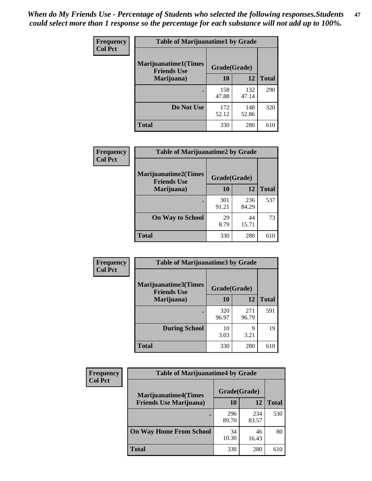| Frequency      | <b>Table of Marijuanatime1 by Grade</b>           |              |              |              |
|----------------|---------------------------------------------------|--------------|--------------|--------------|
| <b>Col Pct</b> | <b>Marijuanatime1(Times</b><br><b>Friends Use</b> | Grade(Grade) |              |              |
|                | Marijuana)                                        | 10           | 12           | <b>Total</b> |
|                |                                                   | 158<br>47.88 | 132<br>47.14 | 290          |
|                | Do Not Use                                        | 172<br>52.12 | 148<br>52.86 | 320          |
|                | <b>Total</b>                                      | 330          | 280          | 610          |

| Frequency      | <b>Table of Marijuanatime2 by Grade</b>           |              |              |              |
|----------------|---------------------------------------------------|--------------|--------------|--------------|
| <b>Col Pct</b> | <b>Marijuanatime2(Times</b><br><b>Friends Use</b> | Grade(Grade) |              |              |
|                | Marijuana)                                        | 10           | 12           | <b>Total</b> |
|                |                                                   | 301<br>91.21 | 236<br>84.29 | 537          |
|                | <b>On Way to School</b>                           | 29<br>8.79   | 44<br>15.71  | 73           |
|                | <b>Total</b>                                      | 330          | 280          | 610          |

| Frequency      | <b>Table of Marijuanatime3 by Grade</b>    |              |              |              |  |
|----------------|--------------------------------------------|--------------|--------------|--------------|--|
| <b>Col Pct</b> | Marijuanatime3(Times<br><b>Friends Use</b> | Grade(Grade) |              |              |  |
|                | Marijuana)                                 | 10           | 12           | <b>Total</b> |  |
|                |                                            | 320<br>96.97 | 271<br>96.79 | 591          |  |
|                | <b>During School</b>                       | 10<br>3.03   | 9<br>3.21    | 19           |  |
|                | <b>Total</b>                               | 330          | 280          | 610          |  |

| <b>Frequency</b> | <b>Table of Marijuanatime4 by Grade</b> |              |              |              |
|------------------|-----------------------------------------|--------------|--------------|--------------|
| <b>Col Pct</b>   | <b>Marijuanatime4(Times</b>             | Grade(Grade) |              |              |
|                  | <b>Friends Use Marijuana</b> )          | 10           | 12           | <b>Total</b> |
|                  |                                         | 296<br>89.70 | 234<br>83.57 | 530          |
|                  | <b>On Way Home From School</b>          | 34<br>10.30  | 46<br>16.43  | 80           |
|                  | <b>Total</b>                            | 330          | 280          | 610          |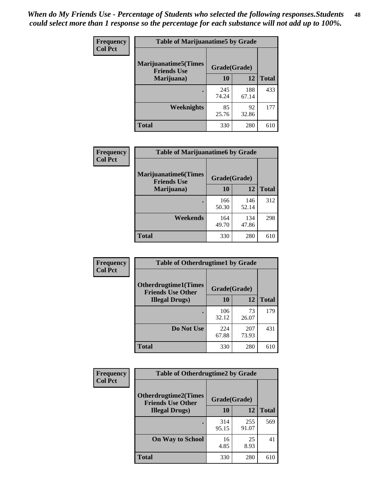| Frequency      | <b>Table of Marijuanatime5 by Grade</b>            |              |              |              |  |
|----------------|----------------------------------------------------|--------------|--------------|--------------|--|
| <b>Col Pct</b> | <b>Marijuanatime5</b> (Times<br><b>Friends Use</b> | Grade(Grade) |              |              |  |
|                | Marijuana)                                         | 10           | 12           | <b>Total</b> |  |
|                |                                                    | 245<br>74.24 | 188<br>67.14 | 433          |  |
|                | Weeknights                                         | 85<br>25.76  | 92<br>32.86  | 177          |  |
|                | <b>Total</b>                                       | 330          | 280          | 610          |  |

| Frequency      | <b>Table of Marijuanatime6 by Grade</b>            |              |              |              |
|----------------|----------------------------------------------------|--------------|--------------|--------------|
| <b>Col Pct</b> | <b>Marijuanatime6</b> (Times<br><b>Friends Use</b> | Grade(Grade) |              |              |
|                | Marijuana)                                         | 10           | 12           | <b>Total</b> |
|                |                                                    | 166<br>50.30 | 146<br>52.14 | 312          |
|                | Weekends                                           | 164<br>49.70 | 134<br>47.86 | 298          |
|                | <b>Total</b>                                       | 330          | 280          | 610          |

| Frequency      | <b>Table of Otherdrugtime1 by Grade</b>                 |              |              |              |
|----------------|---------------------------------------------------------|--------------|--------------|--------------|
| <b>Col Pct</b> | <b>Otherdrugtime1(Times</b><br><b>Friends Use Other</b> | Grade(Grade) |              |              |
|                | <b>Illegal Drugs</b> )                                  | 10           | 12           | <b>Total</b> |
|                |                                                         | 106<br>32.12 | 73<br>26.07  | 179          |
|                | Do Not Use                                              | 224<br>67.88 | 207<br>73.93 | 431          |
|                | Total                                                   | 330          | 280          | 610          |

| <b>Frequency</b> | <b>Table of Otherdrugtime2 by Grade</b>                 |              |              |              |
|------------------|---------------------------------------------------------|--------------|--------------|--------------|
| <b>Col Pct</b>   | <b>Otherdrugtime2(Times</b><br><b>Friends Use Other</b> | Grade(Grade) |              |              |
|                  | <b>Illegal Drugs</b> )                                  | 10           | 12           | <b>Total</b> |
|                  |                                                         | 314<br>95.15 | 255<br>91.07 | 569          |
|                  | <b>On Way to School</b>                                 | 16<br>4.85   | 25<br>8.93   | 41           |
|                  | Total                                                   | 330          | 280          | 610          |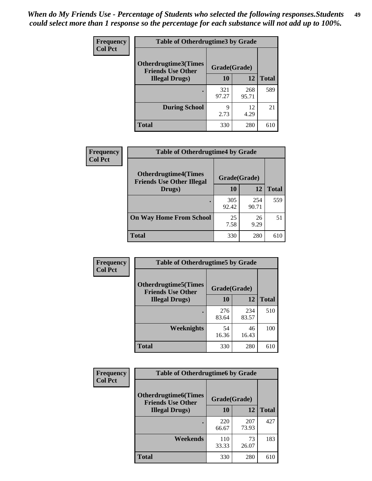| <b>Frequency</b> | <b>Table of Otherdrugtime3 by Grade</b>          |              |              |              |
|------------------|--------------------------------------------------|--------------|--------------|--------------|
| <b>Col Pct</b>   | Otherdrugtime3(Times<br><b>Friends Use Other</b> | Grade(Grade) |              |              |
|                  | <b>Illegal Drugs</b> )                           | 10           | 12           | <b>Total</b> |
|                  |                                                  | 321<br>97.27 | 268<br>95.71 | 589          |
|                  | <b>During School</b>                             | 9<br>2.73    | 12<br>4.29   | 21           |
|                  | Total                                            | 330          | 280          | 610          |

| Frequency      | <b>Table of Otherdrugtime4 by Grade</b>                         |              |              |              |
|----------------|-----------------------------------------------------------------|--------------|--------------|--------------|
| <b>Col Pct</b> | <b>Otherdrugtime4(Times</b><br><b>Friends Use Other Illegal</b> | Grade(Grade) |              |              |
|                | Drugs)                                                          | 10           | 12           | <b>Total</b> |
|                | ٠                                                               | 305<br>92.42 | 254<br>90.71 | 559          |
|                | <b>On Way Home From School</b>                                  | 25<br>7.58   | 26<br>9.29   | 51           |
|                | <b>Total</b>                                                    | 330          | 280          | 610          |

| <b>Frequency</b> | <b>Table of Otherdrugtime5 by Grade</b>                 |              |              |              |  |  |
|------------------|---------------------------------------------------------|--------------|--------------|--------------|--|--|
| <b>Col Pct</b>   | <b>Otherdrugtime5(Times</b><br><b>Friends Use Other</b> | Grade(Grade) |              |              |  |  |
|                  | <b>Illegal Drugs</b> )                                  | 10           | 12           | <b>Total</b> |  |  |
|                  |                                                         | 276<br>83.64 | 234<br>83.57 | 510          |  |  |
|                  | Weeknights                                              | 54<br>16.36  | 46<br>16.43  | 100          |  |  |
|                  | Total                                                   | 330          | 280          | 610          |  |  |

| <b>Frequency</b> | <b>Table of Otherdrugtime6 by Grade</b>                 |              |              |              |  |  |
|------------------|---------------------------------------------------------|--------------|--------------|--------------|--|--|
| <b>Col Pct</b>   | <b>Otherdrugtime6(Times</b><br><b>Friends Use Other</b> | Grade(Grade) |              |              |  |  |
|                  | <b>Illegal Drugs</b> )                                  | 10           | 12           | <b>Total</b> |  |  |
|                  |                                                         | 220<br>66.67 | 207<br>73.93 | 427          |  |  |
|                  | Weekends                                                | 110<br>33.33 | 73<br>26.07  | 183          |  |  |
|                  | Total                                                   | 330          | 280          | 610          |  |  |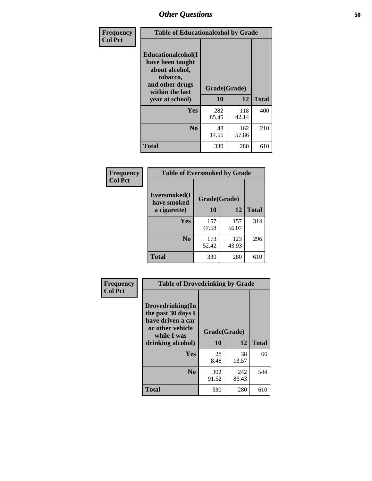| Frequency      | <b>Table of Educationalcohol by Grade</b>                                                                  |              |              |              |  |  |
|----------------|------------------------------------------------------------------------------------------------------------|--------------|--------------|--------------|--|--|
| <b>Col Pct</b> | Educationalcohol(I<br>have been taught<br>about alcohol,<br>tobacco,<br>and other drugs<br>within the last | Grade(Grade) |              |              |  |  |
|                | year at school)                                                                                            | 10           | 12           | <b>Total</b> |  |  |
|                | <b>Yes</b>                                                                                                 | 282<br>85.45 | 118<br>42.14 | 400          |  |  |
|                | N <sub>0</sub>                                                                                             | 48<br>14.55  | 162<br>57.86 | 210          |  |  |
|                | <b>Total</b>                                                                                               | 330          | 280          | 610          |  |  |

| Frequency      | <b>Table of Eversmoked by Grade</b> |              |              |              |  |  |
|----------------|-------------------------------------|--------------|--------------|--------------|--|--|
| <b>Col Pct</b> | Eversmoked(I)<br>have smoked        |              |              |              |  |  |
|                | a cigarette)                        | 10           | 12           | <b>Total</b> |  |  |
|                | <b>Yes</b>                          | 157<br>47.58 | 157<br>56.07 | 314          |  |  |
|                | N <sub>0</sub>                      | 173<br>52.42 | 123<br>43.93 | 296          |  |  |
|                | <b>Total</b>                        | 330          | 280          | 610          |  |  |

| Frequency      | <b>Table of Drovedrinking by Grade</b>                                                                              |                    |              |     |
|----------------|---------------------------------------------------------------------------------------------------------------------|--------------------|--------------|-----|
| <b>Col Pct</b> | Drovedrinking(In<br>the past 30 days I<br>have driven a car<br>or other vehicle<br>while I was<br>drinking alcohol) | Grade(Grade)<br>10 | <b>Total</b> |     |
|                | <b>Yes</b>                                                                                                          | 28<br>8.48         | 38<br>13.57  | 66  |
|                | N <sub>0</sub>                                                                                                      | 302<br>91.52       | 242<br>86.43 | 544 |
|                | <b>Total</b>                                                                                                        | 330                | 280          | 610 |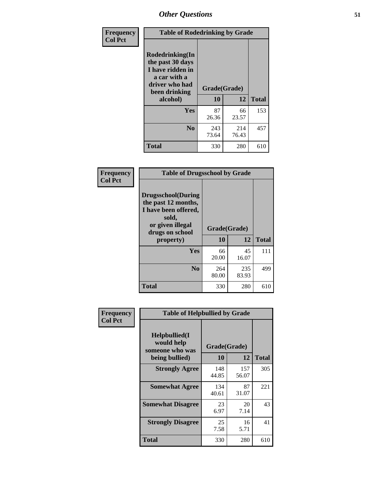| Frequency      |                                                                                                            | <b>Table of Rodedrinking by Grade</b> |              |              |  |  |
|----------------|------------------------------------------------------------------------------------------------------------|---------------------------------------|--------------|--------------|--|--|
| <b>Col Pct</b> | Rodedrinking(In<br>the past 30 days<br>I have ridden in<br>a car with a<br>driver who had<br>been drinking | Grade(Grade)                          |              |              |  |  |
|                | alcohol)                                                                                                   | 10                                    | 12           | <b>Total</b> |  |  |
|                | <b>Yes</b>                                                                                                 | 87<br>26.36                           | 66<br>23.57  | 153          |  |  |
|                | N <sub>0</sub>                                                                                             | 243<br>73.64                          | 214<br>76.43 | 457          |  |  |
|                | <b>Total</b>                                                                                               | 330                                   | 280          | 610          |  |  |

#### **Frequency Col Pct**

| <b>Table of Drugsschool by Grade</b>                                                                                      |              |              |              |  |  |  |
|---------------------------------------------------------------------------------------------------------------------------|--------------|--------------|--------------|--|--|--|
| <b>Drugsschool</b> (During<br>the past 12 months,<br>I have been offered,<br>sold,<br>or given illegal<br>drugs on school | Grade(Grade) |              |              |  |  |  |
| property)                                                                                                                 | 10           | 12           | <b>Total</b> |  |  |  |
| Yes                                                                                                                       | 66<br>20.00  | 45<br>16.07  | 111          |  |  |  |
|                                                                                                                           |              |              |              |  |  |  |
| N <sub>0</sub>                                                                                                            | 264<br>80.00 | 235<br>83.93 | 499          |  |  |  |

| Frequency      | <b>Table of Helpbullied by Grade</b>                                   |                    |              |     |  |  |  |
|----------------|------------------------------------------------------------------------|--------------------|--------------|-----|--|--|--|
| <b>Col Pct</b> | $Helpb$ ullied $(I$<br>would help<br>someone who was<br>being bullied) | Grade(Grade)<br>10 | <b>Total</b> |     |  |  |  |
|                |                                                                        |                    | 12           |     |  |  |  |
|                | <b>Strongly Agree</b>                                                  | 148<br>44.85       | 157<br>56.07 | 305 |  |  |  |
|                | <b>Somewhat Agree</b>                                                  | 134<br>40.61       | 87<br>31.07  | 221 |  |  |  |
|                | <b>Somewhat Disagree</b>                                               | 23<br>6.97         | 20<br>7.14   | 43  |  |  |  |
|                | <b>Strongly Disagree</b>                                               | 25<br>7.58         | 16<br>5.71   | 41  |  |  |  |
|                | <b>Total</b>                                                           | 330                | 280          | 610 |  |  |  |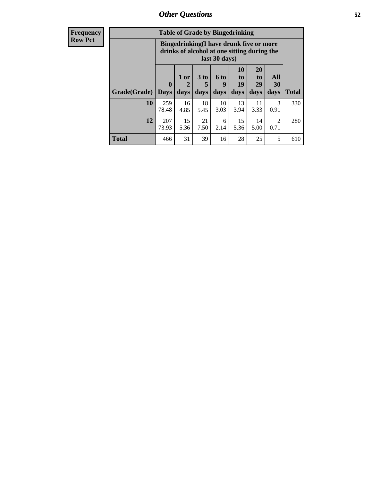| <b>Frequency</b> | <b>Table of Grade by Bingedrinking</b> |                                                                                                         |                                |                              |                   |                               |                               |                        |              |
|------------------|----------------------------------------|---------------------------------------------------------------------------------------------------------|--------------------------------|------------------------------|-------------------|-------------------------------|-------------------------------|------------------------|--------------|
| <b>Row Pct</b>   |                                        | Bingedrinking(I have drunk five or more<br>drinks of alcohol at one sitting during the<br>last 30 days) |                                |                              |                   |                               |                               |                        |              |
|                  | Grade(Grade)   Days                    | $\mathbf{0}$                                                                                            | 1 or<br>$\overline{2}$<br>days | 3 <sub>to</sub><br>5<br>days | 6 to<br>9<br>days | <b>10</b><br>to<br>19<br>days | <b>20</b><br>to<br>29<br>days | All<br>30<br>days      | <b>Total</b> |
|                  | 10                                     | 259<br>78.48                                                                                            | 16<br>4.85                     | 18<br>5.45                   | 10<br>3.03        | 13<br>3.94                    | 11<br>3.33                    | 3<br>0.91              | 330          |
|                  | 12                                     | 207<br>73.93                                                                                            | 15<br>5.36                     | 21<br>7.50                   | 6<br>2.14         | 15<br>5.36                    | 14<br>5.00                    | $\overline{2}$<br>0.71 | 280          |
|                  | <b>Total</b>                           | 466                                                                                                     | 31                             | 39                           | 16                | 28                            | 25                            | 5                      | 610          |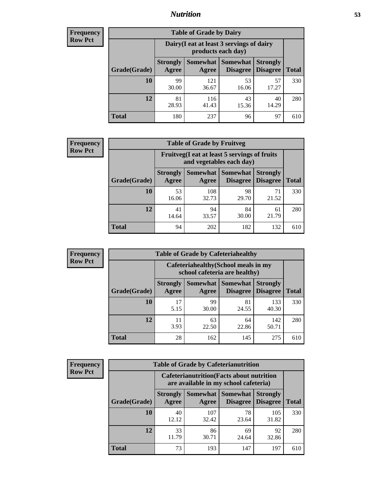### *Nutrition* **53**

| Frequency      |
|----------------|
| <b>Row Pct</b> |

| <b>Table of Grade by Dairy</b> |                          |                                                                 |                                    |                                    |              |  |  |
|--------------------------------|--------------------------|-----------------------------------------------------------------|------------------------------------|------------------------------------|--------------|--|--|
|                                |                          | Dairy (I eat at least 3 servings of dairy<br>products each day) |                                    |                                    |              |  |  |
| Grade(Grade)                   | <b>Strongly</b><br>Agree | <b>Somewhat</b><br>Agree                                        | <b>Somewhat</b><br><b>Disagree</b> | <b>Strongly</b><br><b>Disagree</b> | <b>Total</b> |  |  |
| 10                             | 99<br>30.00              | 121<br>36.67                                                    | 53<br>16.06                        | 57<br>17.27                        | 330          |  |  |
| 12                             | 81<br>28.93              | 116<br>41.43                                                    | 43<br>15.36                        | 40<br>14.29                        | 280          |  |  |
| <b>Total</b>                   | 180                      | 237                                                             | 96                                 | 97                                 | 610          |  |  |

| <b>Frequency</b> |  |
|------------------|--|
| <b>Row Pct</b>   |  |

| <b>Table of Grade by Fruitveg</b>                                        |                          |              |                                   |                                    |              |  |
|--------------------------------------------------------------------------|--------------------------|--------------|-----------------------------------|------------------------------------|--------------|--|
| Fruitveg(I eat at least 5 servings of fruits<br>and vegetables each day) |                          |              |                                   |                                    |              |  |
| Grade(Grade)                                                             | <b>Strongly</b><br>Agree | Agree        | Somewhat   Somewhat  <br>Disagree | <b>Strongly</b><br><b>Disagree</b> | <b>Total</b> |  |
| 10                                                                       | 53<br>16.06              | 108<br>32.73 | 98<br>29.70                       | 71<br>21.52                        | 330          |  |
| 12                                                                       | 41<br>14.64              | 94<br>33.57  | 84<br>30.00                       | 61<br>21.79                        | 280          |  |
| <b>Total</b>                                                             | 94                       | 202          | 182                               | 132                                | 610          |  |

| <b>Frequency</b> | <b>Table of Grade by Cafeteriahealthy</b> |                                                                       |                            |                 |                                    |              |  |  |
|------------------|-------------------------------------------|-----------------------------------------------------------------------|----------------------------|-----------------|------------------------------------|--------------|--|--|
| <b>Row Pct</b>   |                                           | Cafeteriahealthy (School meals in my<br>school cafeteria are healthy) |                            |                 |                                    |              |  |  |
|                  | Grade(Grade)                              | <b>Strongly</b><br>Agree                                              | Somewhat Somewhat<br>Agree | <b>Disagree</b> | <b>Strongly</b><br><b>Disagree</b> | <b>Total</b> |  |  |
|                  | 10                                        | 17<br>5.15                                                            | 99<br>30.00                | 81<br>24.55     | 133<br>40.30                       | 330          |  |  |
|                  | 12                                        | 11<br>3.93                                                            | 63<br>22.50                | 64<br>22.86     | 142<br>50.71                       | 280          |  |  |
|                  | Total                                     | 28                                                                    | 162                        | 145             | 275                                | 610          |  |  |

| <b>Frequency</b> |
|------------------|
| <b>Row Pct</b>   |

| <b>Table of Grade by Cafeterianutrition</b> |                                                                                           |                   |                             |                                    |              |  |
|---------------------------------------------|-------------------------------------------------------------------------------------------|-------------------|-----------------------------|------------------------------------|--------------|--|
|                                             | <b>Cafeterianutrition</b> (Facts about nutrition<br>are available in my school cafeteria) |                   |                             |                                    |              |  |
| Grade(Grade)                                | <b>Strongly</b><br>Agree                                                                  | Somewhat<br>Agree | <b>Somewhat</b><br>Disagree | <b>Strongly</b><br><b>Disagree</b> | <b>Total</b> |  |
| 10                                          | 40<br>12.12                                                                               | 107<br>32.42      | 78<br>23.64                 | 105<br>31.82                       | 330          |  |
| 12                                          | 33<br>11.79                                                                               | 86<br>30.71       | 69<br>24.64                 | 92<br>32.86                        | 280          |  |
| <b>Total</b>                                | 73                                                                                        | 193               | 147                         | 197                                | 610          |  |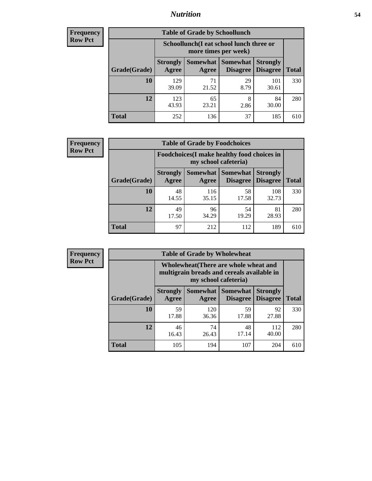### *Nutrition* **54**

| <b>Frequency</b> |
|------------------|
| <b>Row Pct</b>   |

| <b>Table of Grade by Schoollunch</b> |                                                                                                                                           |                                                                 |            |              |     |  |  |
|--------------------------------------|-------------------------------------------------------------------------------------------------------------------------------------------|-----------------------------------------------------------------|------------|--------------|-----|--|--|
|                                      |                                                                                                                                           | Schoollunch(I eat school lunch three or<br>more times per week) |            |              |     |  |  |
| Grade(Grade)                         | Somewhat<br><b>Somewhat</b><br><b>Strongly</b><br><b>Strongly</b><br><b>Disagree</b><br>Agree<br><b>Disagree</b><br><b>Total</b><br>Agree |                                                                 |            |              |     |  |  |
| 10                                   | 129<br>39.09                                                                                                                              | 71<br>21.52                                                     | 29<br>8.79 | 101<br>30.61 | 330 |  |  |
| 12                                   | 123<br>43.93                                                                                                                              | 65<br>23.21                                                     | 8<br>2.86  | 84<br>30.00  | 280 |  |  |
| <b>Total</b>                         | 252                                                                                                                                       | 136                                                             | 37         | 185          | 610 |  |  |

| <b>Frequency</b> |  |
|------------------|--|
| <b>Row Pct</b>   |  |

| <b>Table of Grade by Foodchoices</b> |                                                                     |              |                               |                                    |              |  |
|--------------------------------------|---------------------------------------------------------------------|--------------|-------------------------------|------------------------------------|--------------|--|
|                                      | Foodchoices (I make healthy food choices in<br>my school cafeteria) |              |                               |                                    |              |  |
| Grade(Grade)                         | <b>Strongly</b><br>Agree                                            | Agree        | Somewhat Somewhat<br>Disagree | <b>Strongly</b><br><b>Disagree</b> | <b>Total</b> |  |
| 10                                   | 48<br>14.55                                                         | 116<br>35.15 | 58<br>17.58                   | 108<br>32.73                       | 330          |  |
| 12                                   | 49<br>17.50                                                         | 96<br>34.29  | 54<br>19.29                   | 81<br>28.93                        | 280          |  |
| <b>Total</b>                         | 97                                                                  | 212          | 112                           | 189                                | 610          |  |

| <b>Frequency</b> | <b>Table of Grade by Wholewheat</b> |                                                                                     |              |                                   |                                    |              |  |  |  |
|------------------|-------------------------------------|-------------------------------------------------------------------------------------|--------------|-----------------------------------|------------------------------------|--------------|--|--|--|
| <b>Row Pct</b>   |                                     | Wholewheat (There are whole wheat and<br>multigrain breads and cereals available in |              |                                   |                                    |              |  |  |  |
|                  | Grade(Grade)                        | <b>Strongly</b><br>Agree                                                            | Agree        | Somewhat   Somewhat  <br>Disagree | <b>Strongly</b><br><b>Disagree</b> | <b>Total</b> |  |  |  |
|                  | 10                                  | 59<br>17.88                                                                         | 120<br>36.36 | 59<br>17.88                       | 92<br>27.88                        | 330          |  |  |  |
|                  | 12                                  | 46<br>16.43                                                                         | 74<br>26.43  | 48<br>17.14                       | 112<br>40.00                       | 280          |  |  |  |
|                  | <b>Total</b>                        | 105                                                                                 | 194          | 107                               | 204                                | 610          |  |  |  |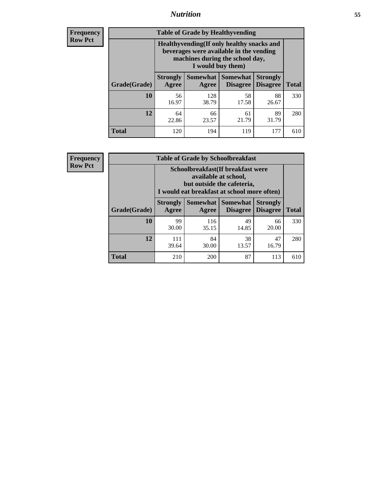### *Nutrition* **55**

**Frequency Row Pct**

| <b>Table of Grade by Healthyvending</b> |                                                                                                                                               |                          |                                    |                                    |              |  |  |  |
|-----------------------------------------|-----------------------------------------------------------------------------------------------------------------------------------------------|--------------------------|------------------------------------|------------------------------------|--------------|--|--|--|
|                                         | Healthyvending (If only healthy snacks and<br>beverages were available in the vending<br>machines during the school day,<br>I would buy them) |                          |                                    |                                    |              |  |  |  |
| Grade(Grade)                            | <b>Strongly</b><br>Agree                                                                                                                      | <b>Somewhat</b><br>Agree | <b>Somewhat</b><br><b>Disagree</b> | <b>Strongly</b><br><b>Disagree</b> | <b>Total</b> |  |  |  |
| 10                                      | 56<br>16.97                                                                                                                                   | 128<br>38.79             | 58<br>17.58                        | 88<br>26.67                        | 330          |  |  |  |
| 12                                      | 64<br>22.86                                                                                                                                   | 66<br>23.57              | 61<br>21.79                        | 89<br>31.79                        | 280          |  |  |  |
| <b>Total</b>                            | 120                                                                                                                                           | 194                      | 119                                | 177                                | 610          |  |  |  |

**Frequency Row Pct**

| <b>Table of Grade by Schoolbreakfast</b> |                                                                                                                                         |                     |                                    |                                    |              |  |  |
|------------------------------------------|-----------------------------------------------------------------------------------------------------------------------------------------|---------------------|------------------------------------|------------------------------------|--------------|--|--|
|                                          | Schoolbreakfast (If breakfast were<br>available at school,<br>but outside the cafeteria,<br>I would eat breakfast at school more often) |                     |                                    |                                    |              |  |  |
| Grade(Grade)                             | <b>Strongly</b><br>Agree                                                                                                                | Somewhat  <br>Agree | <b>Somewhat</b><br><b>Disagree</b> | <b>Strongly</b><br><b>Disagree</b> | <b>Total</b> |  |  |
| 10                                       | 99<br>30.00                                                                                                                             | 116<br>35.15        | 49<br>14.85                        | 66<br>20.00                        | 330          |  |  |
| 12                                       | 111<br>39.64                                                                                                                            | 84<br>30.00         | 38<br>13.57                        | 47<br>16.79                        | 280          |  |  |
| <b>Total</b>                             | 210                                                                                                                                     | 200                 | 87                                 | 113                                | 610          |  |  |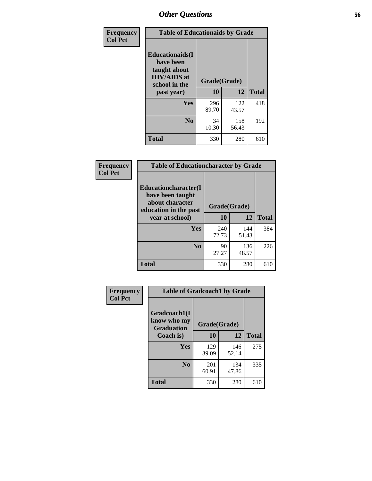| Frequency<br><b>Col Pct</b> | <b>Table of Educationaids by Grade</b>                                                                    |                    |              |              |  |  |
|-----------------------------|-----------------------------------------------------------------------------------------------------------|--------------------|--------------|--------------|--|--|
|                             | <b>Educationaids</b> (I<br>have been<br>taught about<br><b>HIV/AIDS</b> at<br>school in the<br>past year) | Grade(Grade)<br>10 | 12           | <b>Total</b> |  |  |
|                             | <b>Yes</b>                                                                                                | 296<br>89.70       | 122<br>43.57 | 418          |  |  |
|                             | N <sub>0</sub>                                                                                            | 34<br>10.30        | 158<br>56.43 | 192          |  |  |
|                             | <b>Total</b>                                                                                              | 330                | 280          | 610          |  |  |

| Frequency      | <b>Table of Educationcharacter by Grade</b>                                                  |              |              |              |
|----------------|----------------------------------------------------------------------------------------------|--------------|--------------|--------------|
| <b>Col Pct</b> | <b>Educationcharacter(I)</b><br>have been taught<br>about character<br>education in the past | Grade(Grade) |              |              |
|                | year at school)                                                                              | 10           | 12           | <b>Total</b> |
|                | Yes                                                                                          | 240<br>72.73 | 144<br>51.43 | 384          |
|                | N <sub>0</sub>                                                                               | 90<br>27.27  | 136<br>48.57 | 226          |
|                | <b>Total</b>                                                                                 | 330          | 280          | 610          |

| Frequency      | <b>Table of Gradcoach1 by Grade</b>              |              |              |              |
|----------------|--------------------------------------------------|--------------|--------------|--------------|
| <b>Col Pct</b> | Gradcoach1(I<br>know who my<br><b>Graduation</b> | Grade(Grade) |              |              |
|                | Coach is)                                        | 10           | 12           | <b>Total</b> |
|                | Yes                                              | 129<br>39.09 | 146<br>52.14 | 275          |
|                | N <sub>0</sub>                                   | 201<br>60.91 | 134<br>47.86 | 335          |
|                | <b>Total</b>                                     | 330          | 280          | 610          |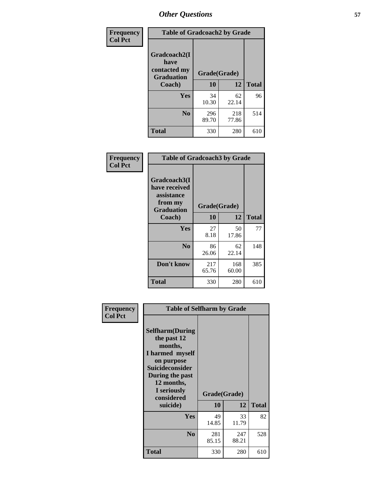| Frequency      | <b>Table of Gradcoach2 by Grade</b>  |              |              |              |
|----------------|--------------------------------------|--------------|--------------|--------------|
| <b>Col Pct</b> | Gradcoach2(I<br>have<br>contacted my |              |              |              |
|                | <b>Graduation</b>                    | Grade(Grade) |              |              |
|                | Coach)                               | 10           | 12           | <b>Total</b> |
|                | Yes                                  | 34<br>10.30  | 62<br>22.14  | 96           |
|                | N <sub>0</sub>                       | 296<br>89.70 | 218<br>77.86 | 514          |
|                | <b>Total</b>                         | 330          | 280          | 610          |

| <b>Frequency</b><br><b>Col Pct</b> | <b>Table of Gradcoach3 by Grade</b>                                         |              |              |              |
|------------------------------------|-----------------------------------------------------------------------------|--------------|--------------|--------------|
|                                    | Gradcoach3(I<br>have received<br>assistance<br>from my<br><b>Graduation</b> | Grade(Grade) |              |              |
|                                    | Coach)                                                                      | 10           | 12           | <b>Total</b> |
|                                    | Yes                                                                         | 27<br>8.18   | 50<br>17.86  | 77           |
|                                    | N <sub>0</sub>                                                              | 86<br>26.06  | 62<br>22.14  | 148          |
|                                    | Don't know                                                                  | 217<br>65.76 | 168<br>60.00 | 385          |
|                                    | <b>Total</b>                                                                | 330          | 280          | 610          |

| Frequency<br><b>Col Pct</b> | <b>Table of Selfharm by Grade</b>                                                                                                                                                      |                    |              |              |
|-----------------------------|----------------------------------------------------------------------------------------------------------------------------------------------------------------------------------------|--------------------|--------------|--------------|
|                             | <b>Selfharm</b> (During<br>the past 12<br>months,<br>I harmed myself<br>on purpose<br><b>Suicideconsider</b><br>During the past<br>12 months,<br>I seriously<br>considered<br>suicide) | Grade(Grade)<br>10 | 12           | <b>Total</b> |
|                             | <b>Yes</b>                                                                                                                                                                             | 49                 | 33           | 82           |
|                             |                                                                                                                                                                                        | 14.85              | 11.79        |              |
|                             | N <sub>0</sub>                                                                                                                                                                         | 281<br>85.15       | 247<br>88.21 | 528          |
|                             | <b>Total</b>                                                                                                                                                                           | 330                | 280          | 610          |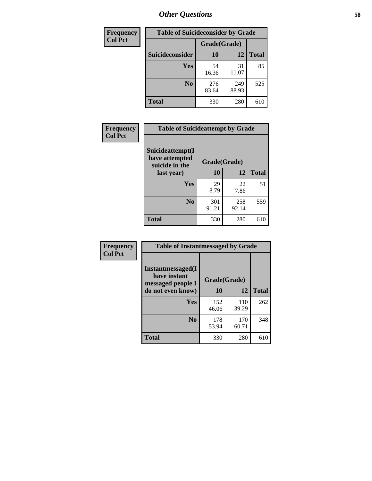| <b>Frequency</b> | <b>Table of Suicideconsider by Grade</b> |              |              |              |
|------------------|------------------------------------------|--------------|--------------|--------------|
| <b>Col Pct</b>   |                                          | Grade(Grade) |              |              |
|                  | Suicideconsider                          | <b>10</b>    | 12           | <b>Total</b> |
|                  | Yes                                      | 54<br>16.36  | 31<br>11.07  | 85           |
|                  | N <sub>0</sub>                           | 276<br>83.64 | 249<br>88.93 | 525          |
|                  | Total                                    | 330          | 280          | 610          |

| Frequency      | <b>Table of Suicideattempt by Grade</b>              |              |              |              |
|----------------|------------------------------------------------------|--------------|--------------|--------------|
| <b>Col Pct</b> | Suicideattempt(I<br>have attempted<br>suicide in the | Grade(Grade) |              |              |
|                | last year)                                           | 10           | 12           | <b>Total</b> |
|                | Yes                                                  | 29<br>8.79   | 22<br>7.86   | 51           |
|                | N <sub>0</sub>                                       | 301<br>91.21 | 258<br>92.14 | 559          |
|                | <b>Total</b>                                         | 330          | 280          | 610          |

| Frequency      | <b>Table of Instantmessaged by Grade</b>               |              |              |              |
|----------------|--------------------------------------------------------|--------------|--------------|--------------|
| <b>Col Pct</b> | Instantmessaged(I<br>have instant<br>messaged people I | Grade(Grade) |              |              |
|                | do not even know)                                      | 10           | 12           | <b>Total</b> |
|                | Yes                                                    | 152<br>46.06 | 110<br>39.29 | 262          |
|                | N <sub>0</sub>                                         | 178<br>53.94 | 170<br>60.71 | 348          |
|                | <b>Total</b>                                           | 330          | 280          | 610          |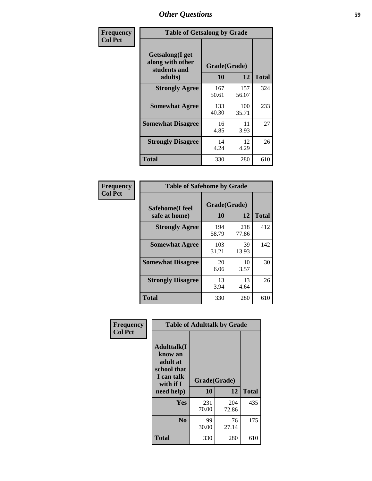| Frequency      | <b>Table of Getsalong by Grade</b>                          |              |              |              |
|----------------|-------------------------------------------------------------|--------------|--------------|--------------|
| <b>Col Pct</b> | <b>Getsalong</b> (I get<br>along with other<br>students and |              | Grade(Grade) |              |
|                | adults)                                                     | 10           | 12           | <b>Total</b> |
|                | <b>Strongly Agree</b>                                       | 167<br>50.61 | 157<br>56.07 | 324          |
|                | <b>Somewhat Agree</b>                                       | 133<br>40.30 | 100<br>35.71 | 233          |
|                | <b>Somewhat Disagree</b>                                    | 16<br>4.85   | 11<br>3.93   | 27           |
|                | <b>Strongly Disagree</b>                                    | 14<br>4.24   | 12<br>4.29   | 26           |
|                | Total                                                       | 330          | 280          | 610          |

| Frequency<br>  Col Pct |
|------------------------|

| <b>Table of Safehome by Grade</b> |              |              |     |  |
|-----------------------------------|--------------|--------------|-----|--|
| Safehome(I feel<br>safe at home)  | <b>Total</b> |              |     |  |
| <b>Strongly Agree</b>             | 194<br>58.79 | 218<br>77.86 | 412 |  |
| <b>Somewhat Agree</b>             | 103<br>31.21 | 39<br>13.93  | 142 |  |
| <b>Somewhat Disagree</b>          | 20<br>6.06   | 10<br>3.57   | 30  |  |
| <b>Strongly Disagree</b>          | 13<br>3.94   | 13<br>4.64   | 26  |  |
| <b>Total</b>                      | 330          | 280          | 610 |  |

| Frequency      | <b>Table of Adulttalk by Grade</b>                                                   |              |              |              |
|----------------|--------------------------------------------------------------------------------------|--------------|--------------|--------------|
| <b>Col Pct</b> | <b>Adulttalk</b> (I<br>know an<br>adult at<br>school that<br>I can talk<br>with if I | Grade(Grade) |              |              |
|                | need help)                                                                           | 10           | 12           | <b>Total</b> |
|                | <b>Yes</b>                                                                           | 231<br>70.00 | 204<br>72.86 | 435          |
|                | N <sub>0</sub>                                                                       | 99<br>30.00  | 76<br>27.14  | 175          |
|                | <b>Total</b>                                                                         | 330          | 280          | 610          |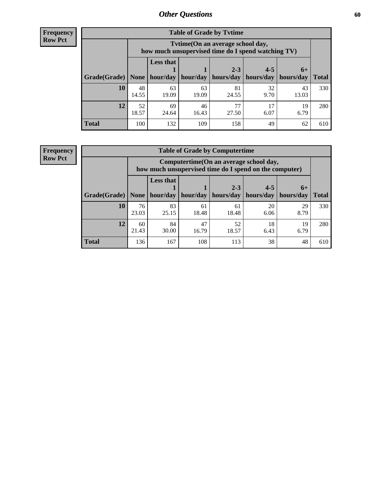**Frequency Row Pct**

| <b>Table of Grade by Tytime</b> |             |                                                                                                                               |             |             |            |             |     |  |  |
|---------------------------------|-------------|-------------------------------------------------------------------------------------------------------------------------------|-------------|-------------|------------|-------------|-----|--|--|
|                                 |             | Tvtime(On an average school day,<br>how much unsupervised time do I spend watching TV)                                        |             |             |            |             |     |  |  |
| Grade(Grade)                    | None        | <b>Less that</b><br>$4 - 5$<br>$2 - 3$<br>$6+$<br>hour/day<br>hours/day<br>hours/day<br>hour/day<br>hours/day<br><b>Total</b> |             |             |            |             |     |  |  |
| 10                              | 48<br>14.55 | 63<br>19.09                                                                                                                   | 63<br>19.09 | 81<br>24.55 | 32<br>9.70 | 43<br>13.03 | 330 |  |  |
| 12                              | 52<br>18.57 | 69<br>24.64                                                                                                                   | 46<br>16.43 | 77<br>27.50 | 17<br>6.07 | 19<br>6.79  | 280 |  |  |
| <b>Total</b>                    | 100         | 132                                                                                                                           | 109         | 158         | 49         | 62          | 610 |  |  |

**Frequency Row Pct**

| <b>Table of Grade by Computertime</b> |             |                                                                                                   |             |             |            |            |              |  |
|---------------------------------------|-------------|---------------------------------------------------------------------------------------------------|-------------|-------------|------------|------------|--------------|--|
|                                       |             | Computertime (On an average school day,<br>how much unsupervised time do I spend on the computer) |             |             |            |            |              |  |
|                                       |             | <b>Less that</b>                                                                                  |             | $2 - 3$     | $4 - 5$    | $6+$       |              |  |
| Grade(Grade)                          | None        | hour/day                                                                                          | hour/day    | hours/day   | hours/day  | hours/day  | <b>Total</b> |  |
| 10                                    | 76<br>23.03 | 83<br>25.15                                                                                       | 61<br>18.48 | 61<br>18.48 | 20<br>6.06 | 29<br>8.79 | 330          |  |
| 12                                    | 60<br>21.43 | 84<br>30.00                                                                                       | 47<br>16.79 | 52<br>18.57 | 18<br>6.43 | 19<br>6.79 | 280          |  |
| <b>Total</b>                          | 136         | 167                                                                                               | 108         | 113         | 38         | 48         | 610          |  |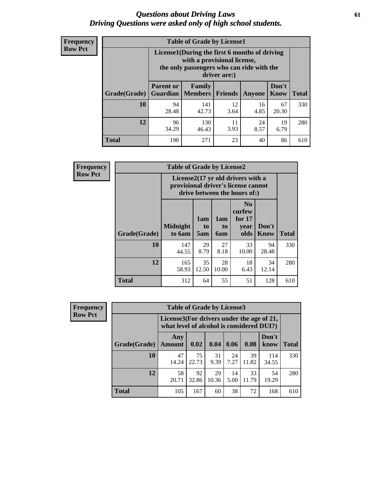#### *Questions about Driving Laws* **61** *Driving Questions were asked only of high school students.*

| <b>Frequency</b> |
|------------------|
| <b>Row Pct</b>   |

| <b>Table of Grade by License1</b> |                                     |                                                                                                                                           |                |            |                      |              |  |  |  |
|-----------------------------------|-------------------------------------|-------------------------------------------------------------------------------------------------------------------------------------------|----------------|------------|----------------------|--------------|--|--|--|
|                                   |                                     | License1(During the first 6 months of driving<br>with a provisional license,<br>the only passengers who can ride with the<br>driver are:) |                |            |                      |              |  |  |  |
| Grade(Grade)                      | <b>Parent or</b><br><b>Guardian</b> | Family<br><b>Members</b>                                                                                                                  | <b>Friends</b> | Anyone     | Don't<br><b>Know</b> | <b>Total</b> |  |  |  |
| 10                                | 94<br>28.48                         | 141<br>42.73                                                                                                                              | 12<br>3.64     | 16<br>4.85 | 67<br>20.30          | 330          |  |  |  |
| 12                                | 96<br>34.29                         | 130<br>46.43                                                                                                                              | 11<br>3.93     | 24<br>8.57 | 19<br>6.79           | 280          |  |  |  |
| <b>Total</b>                      | 190                                 | 271                                                                                                                                       | 23             | 40         | 86                   | 610          |  |  |  |

| <b>Frequency</b> |              | <b>Table of Grade by License2</b> |                                                                                                                      |                  |                                                      |                      |              |  |  |
|------------------|--------------|-----------------------------------|----------------------------------------------------------------------------------------------------------------------|------------------|------------------------------------------------------|----------------------|--------------|--|--|
| <b>Row Pct</b>   |              |                                   | License $2(17 \text{ yr})$ old drivers with a<br>provisional driver's license cannot<br>drive between the hours of:) |                  |                                                      |                      |              |  |  |
|                  | Grade(Grade) | <b>Midnight</b><br>to 6am         | 1am<br>to<br>5am                                                                                                     | 1am<br>to<br>6am | N <sub>0</sub><br>curfew<br>for $17$<br>year<br>olds | Don't<br><b>Know</b> | <b>Total</b> |  |  |
|                  | 10           | 147<br>44.55                      | 29<br>8.79                                                                                                           | 27<br>8.18       | 33<br>10.00                                          | 94<br>28.48          | 330          |  |  |
|                  | 12           | 165<br>58.93                      | 35<br>12.50                                                                                                          | 28<br>10.00      | 18<br>6.43                                           | 34<br>12.14          | 280          |  |  |
|                  | <b>Total</b> | 312                               | 64                                                                                                                   | 55               | 51                                                   | 128                  | 610          |  |  |

| Frequency      | <b>Table of Grade by License3</b> |                      |                                                                                        |             |            |             |               |              |  |
|----------------|-----------------------------------|----------------------|----------------------------------------------------------------------------------------|-------------|------------|-------------|---------------|--------------|--|
| <b>Row Pct</b> |                                   |                      | License3(For drivers under the age of 21,<br>what level of alcohol is considered DUI?) |             |            |             |               |              |  |
|                | Grade(Grade)                      | Any<br><b>Amount</b> | 0.02                                                                                   | 0.04        | 0.06       | 0.08        | Don't<br>know | <b>Total</b> |  |
|                | 10                                | 47<br>14.24          | 75<br>22.73                                                                            | 31<br>9.39  | 24<br>7.27 | 39<br>11.82 | 114<br>34.55  | 330          |  |
|                | 12                                | 58<br>20.71          | 92<br>32.86                                                                            | 29<br>10.36 | 14<br>5.00 | 33<br>11.79 | 54<br>19.29   | 280          |  |
|                | <b>Total</b>                      | 105                  | 167                                                                                    | 60          | 38         | 72          | 168           | 610          |  |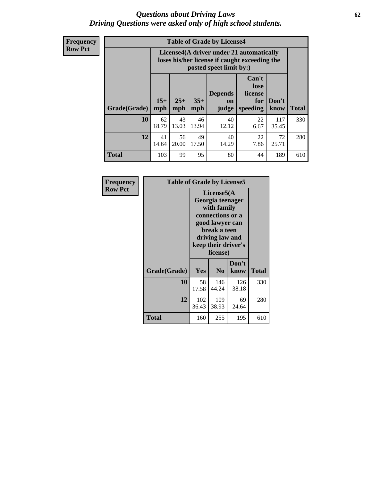#### *Questions about Driving Laws* **62** *Driving Questions were asked only of high school students.*

**Frequency Row Pct**

| <b>Table of Grade by License4</b> |              |                                                                                                                               |             |             |            |              |     |  |
|-----------------------------------|--------------|-------------------------------------------------------------------------------------------------------------------------------|-------------|-------------|------------|--------------|-----|--|
|                                   |              | License4(A driver under 21 automatically<br>loses his/her license if caught exceeding the<br>posted speet limit by:)          |             |             |            |              |     |  |
| Grade(Grade)                      | $15+$<br>mph | Can't<br>lose<br><b>Depends</b><br>license<br>$25+$<br>$35+$<br>Don't<br>for<br>on<br>speeding<br>mph<br>mph<br>know<br>judge |             |             |            |              |     |  |
| 10                                | 62<br>18.79  | 43<br>13.03                                                                                                                   | 46<br>13.94 | 40<br>12.12 | 22<br>6.67 | 117<br>35.45 | 330 |  |
| 12                                | 41<br>14.64  | 56<br>20.00                                                                                                                   | 49<br>17.50 | 40<br>14.29 | 22<br>7.86 | 72<br>25.71  | 280 |  |
| <b>Total</b>                      | 103          | 99                                                                                                                            | 95          | 80          | 44         | 189          | 610 |  |

| Frequency      | <b>Table of Grade by License5</b> |              |                                                                                                                                      |                     |       |
|----------------|-----------------------------------|--------------|--------------------------------------------------------------------------------------------------------------------------------------|---------------------|-------|
| <b>Row Pct</b> |                                   |              | License5(A)<br>Georgia teenager<br>with family<br>connections or a<br>good lawyer can<br>break a teen<br>driving law and<br>license) | keep their driver's |       |
|                | Grade(Grade)                      | <b>Yes</b>   | N <sub>0</sub>                                                                                                                       | Don't<br>know       | Total |
|                | 10                                | 58<br>17.58  | 146<br>44.24                                                                                                                         | 126<br>38.18        | 330   |
|                | 12                                | 102<br>36.43 | 109<br>38.93                                                                                                                         | 69<br>24.64         | 280   |
|                | <b>Total</b>                      | 160          | 255                                                                                                                                  | 195                 | 610   |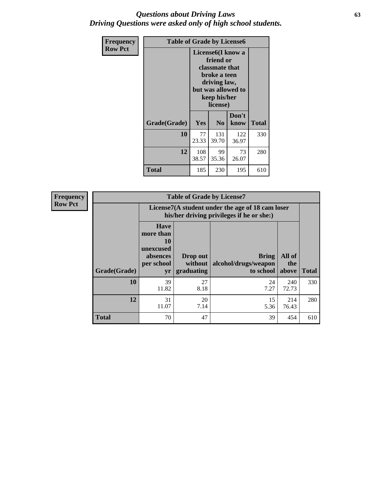#### *Questions about Driving Laws* **63** *Driving Questions were asked only of high school students.*

| <b>Frequency</b> | <b>Table of Grade by License6</b> |              |                                                                                                                           |                    |              |  |
|------------------|-----------------------------------|--------------|---------------------------------------------------------------------------------------------------------------------------|--------------------|--------------|--|
| <b>Row Pct</b>   |                                   |              | License <sub>6</sub> (I know a<br>friend or<br>classmate that<br>broke a teen<br>driving law,<br>keep his/her<br>license) | but was allowed to |              |  |
|                  | Grade(Grade)                      | <b>Yes</b>   | N <sub>0</sub>                                                                                                            | Don't<br>know      | <b>Total</b> |  |
|                  | 10                                | 77<br>23.33  | 131<br>39.70                                                                                                              | 122<br>36.97       | 330          |  |
|                  | 12                                | 108<br>38.57 | 99<br>35.36                                                                                                               | 73<br>26.07        | 280          |  |
|                  | <b>Total</b>                      | 185          | 230                                                                                                                       | 195                | 610          |  |

| <b>Frequency</b> | <b>Table of Grade by License7</b> |                                                                             |                                                                                               |                                                   |                        |              |  |  |
|------------------|-----------------------------------|-----------------------------------------------------------------------------|-----------------------------------------------------------------------------------------------|---------------------------------------------------|------------------------|--------------|--|--|
| <b>Row Pct</b>   |                                   |                                                                             | License7(A student under the age of 18 cam loser<br>his/her driving privileges if he or she:) |                                                   |                        |              |  |  |
|                  | Grade(Grade)                      | <b>Have</b><br>more than<br>10<br>unexcused<br>absences<br>per school<br>yr | Drop out<br>without  <br>graduating                                                           | <b>Bring</b><br>alcohol/drugs/weapon<br>to school | All of<br>the<br>above | <b>Total</b> |  |  |
|                  | 10                                | 39<br>11.82                                                                 | 27<br>8.18                                                                                    | 24<br>7.27                                        | 240<br>72.73           | 330          |  |  |
|                  | 12                                | 31<br>11.07                                                                 | 20<br>7.14                                                                                    | 15<br>5.36                                        | 214<br>76.43           | 280          |  |  |
|                  | <b>Total</b>                      | 70                                                                          | 47                                                                                            | 39                                                | 454                    | 610          |  |  |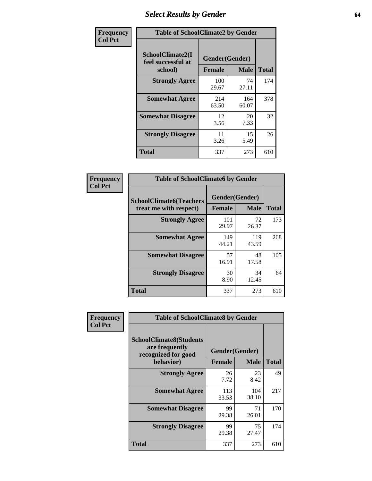## *Select Results by Gender* **64**

| Frequency      | <b>Table of SchoolClimate2 by Gender</b>          |                                 |              |              |  |  |  |
|----------------|---------------------------------------------------|---------------------------------|--------------|--------------|--|--|--|
| <b>Col Pct</b> | SchoolClimate2(I<br>feel successful at<br>school) | Gender(Gender)<br><b>Female</b> | <b>Male</b>  | <b>Total</b> |  |  |  |
|                | <b>Strongly Agree</b>                             | 100<br>29.67                    | 74<br>27.11  | 174          |  |  |  |
|                | <b>Somewhat Agree</b>                             | 214<br>63.50                    | 164<br>60.07 | 378          |  |  |  |
|                | <b>Somewhat Disagree</b>                          | 12<br>3.56                      | 20<br>7.33   | 32           |  |  |  |
|                | <b>Strongly Disagree</b>                          | 11<br>3.26                      | 15<br>5.49   | 26           |  |  |  |
|                | <b>Total</b>                                      | 337                             | 273          | 610          |  |  |  |

| <b>Frequency</b> | <b>Table of SchoolClimate6 by Gender</b>                 |               |                               |              |
|------------------|----------------------------------------------------------|---------------|-------------------------------|--------------|
| <b>Col Pct</b>   | <b>SchoolClimate6(Teachers</b><br>treat me with respect) | <b>Female</b> | Gender(Gender)<br><b>Male</b> | <b>Total</b> |
|                  | <b>Strongly Agree</b>                                    | 101<br>29.97  | 72<br>26.37                   | 173          |
|                  | <b>Somewhat Agree</b>                                    | 149<br>44.21  | 119<br>43.59                  | 268          |
|                  | <b>Somewhat Disagree</b>                                 | 57<br>16.91   | 48<br>17.58                   | 105          |
|                  | <b>Strongly Disagree</b>                                 | 30<br>8.90    | 34<br>12.45                   | 64           |
|                  | <b>Total</b>                                             | 337           | 273                           | 610          |

| <b>Frequency</b> | <b>Table of SchoolClimate8 by Gender</b>                                             |               |                               |              |
|------------------|--------------------------------------------------------------------------------------|---------------|-------------------------------|--------------|
| <b>Col Pct</b>   | <b>SchoolClimate8(Students</b><br>are frequently<br>recognized for good<br>behavior) | <b>Female</b> | Gender(Gender)<br><b>Male</b> | <b>Total</b> |
|                  |                                                                                      |               |                               |              |
|                  | <b>Strongly Agree</b>                                                                | 26<br>7.72    | 23<br>8.42                    | 49           |
|                  | <b>Somewhat Agree</b>                                                                | 113<br>33.53  | 104<br>38.10                  | 217          |
|                  | <b>Somewhat Disagree</b>                                                             | 99<br>29.38   | 71<br>26.01                   | 170          |
|                  | <b>Strongly Disagree</b>                                                             | 99<br>29.38   | 75<br>27.47                   | 174          |
|                  | Total                                                                                | 337           | 273                           | 610          |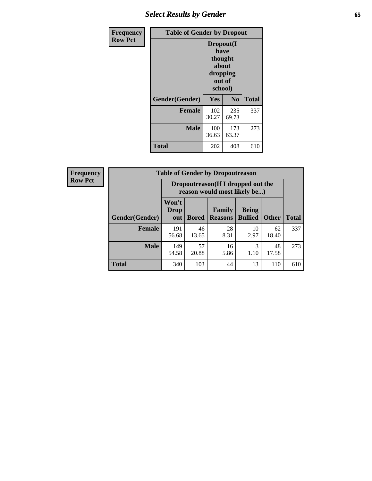## *Select Results by Gender* **65**

| Frequency      |                | <b>Table of Gender by Dropout</b>                            |                |              |
|----------------|----------------|--------------------------------------------------------------|----------------|--------------|
| <b>Row Pct</b> |                | Dropout(I<br>have<br>thought<br>about<br>dropping<br>school) | out of         |              |
|                | Gender(Gender) | Yes                                                          | N <sub>0</sub> | <b>Total</b> |
|                | Female         | 102<br>30.27                                                 | 235<br>69.73   | 337          |
|                | <b>Male</b>    | 100<br>36.63                                                 | 173<br>63.37   | 273          |
|                | <b>Total</b>   | 202                                                          | 408            | 610          |

| <b>Frequency</b> |
|------------------|
| <b>Row Pct</b>   |

r

| V | <b>Table of Gender by Dropoutreason</b> |                      |                                                                                            |            |            |             |     |  |
|---|-----------------------------------------|----------------------|--------------------------------------------------------------------------------------------|------------|------------|-------------|-----|--|
|   |                                         |                      | Dropoutreason (If I dropped out the<br>reason would most likely be)                        |            |            |             |     |  |
|   | <b>Gender</b> (Gender)                  | Won't<br>Drop<br>out | Family<br><b>Being</b><br><b>Bullied</b><br><b>Other</b><br><b>Bored</b><br><b>Reasons</b> |            |            |             |     |  |
|   | <b>Female</b>                           | 191<br>56.68         | 46<br>13.65                                                                                | 28<br>8.31 | 10<br>2.97 | 62<br>18.40 | 337 |  |
|   | <b>Male</b>                             | 149<br>54.58         | 57<br>20.88                                                                                | 16<br>5.86 | 3<br>1.10  | 48<br>17.58 | 273 |  |
|   | <b>Total</b>                            | 340                  | 103                                                                                        | 44         | 13         | 110         | 610 |  |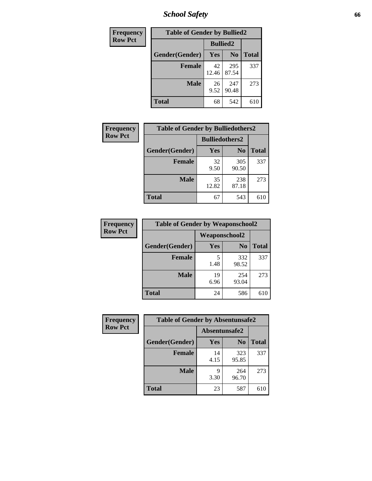*School Safety* **66**

| Frequency      | <b>Table of Gender by Bullied2</b> |             |                 |              |
|----------------|------------------------------------|-------------|-----------------|--------------|
| <b>Row Pct</b> |                                    |             | <b>Bullied2</b> |              |
|                | Gender(Gender)                     | Yes         | N <sub>0</sub>  | <b>Total</b> |
|                | <b>Female</b>                      | 42<br>12.46 | 295<br>87.54    | 337          |
|                | <b>Male</b>                        | 26<br>9.52  | 247<br>90.48    | 273          |
|                | <b>Total</b>                       | 68          | 542             | 610          |

| Frequency      | <b>Table of Gender by Bulliedothers2</b> |                       |                |              |
|----------------|------------------------------------------|-----------------------|----------------|--------------|
| <b>Row Pct</b> |                                          | <b>Bulliedothers2</b> |                |              |
|                | Gender(Gender)                           | Yes                   | N <sub>0</sub> | <b>Total</b> |
|                | <b>Female</b>                            | 32<br>9.50            | 305<br>90.50   | 337          |
|                | <b>Male</b>                              | 35<br>12.82           | 238<br>87.18   | 273          |
|                | <b>Total</b>                             | 67                    | 543            | 610          |

| Frequency      | <b>Table of Gender by Weaponschool2</b> |                      |                |              |
|----------------|-----------------------------------------|----------------------|----------------|--------------|
| <b>Row Pct</b> |                                         | <b>Weaponschool2</b> |                |              |
|                | Gender(Gender)                          | Yes                  | N <sub>0</sub> | <b>Total</b> |
|                | <b>Female</b>                           | 5<br>1.48            | 332<br>98.52   | 337          |
|                | <b>Male</b>                             | 19<br>6.96           | 254<br>93.04   | 273          |
|                | <b>Total</b>                            | 24                   | 586            | 610          |

| <b>Frequency</b> | <b>Table of Gender by Absentunsafe2</b> |               |                |              |
|------------------|-----------------------------------------|---------------|----------------|--------------|
| <b>Row Pct</b>   |                                         | Absentunsafe2 |                |              |
|                  | Gender(Gender)                          | <b>Yes</b>    | N <sub>0</sub> | <b>Total</b> |
|                  | <b>Female</b>                           | 14<br>4.15    | 323<br>95.85   | 337          |
|                  | <b>Male</b>                             | q<br>3.30     | 264<br>96.70   | 273          |
|                  | <b>Total</b>                            | 23            | 587            | 610          |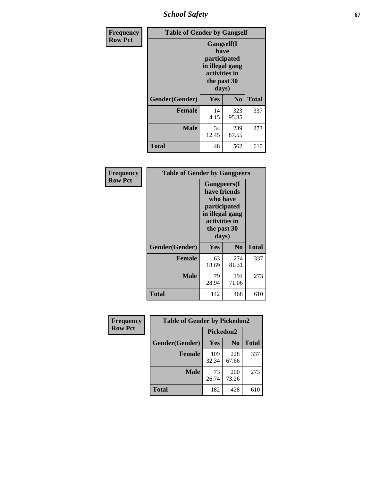*School Safety* **67**

| Frequency      | <b>Table of Gender by Gangself</b> |                                                                                                        |              |              |
|----------------|------------------------------------|--------------------------------------------------------------------------------------------------------|--------------|--------------|
| <b>Row Pct</b> |                                    | <b>Gangself</b> (I<br>have<br>participated<br>in illegal gang<br>activities in<br>the past 30<br>days) |              |              |
|                | Gender(Gender)                     | Yes                                                                                                    | $\bf No$     | <b>Total</b> |
|                | <b>Female</b>                      | 14<br>4.15                                                                                             | 323<br>95.85 | 337          |
|                | <b>Male</b>                        | 34<br>12.45                                                                                            | 239<br>87.55 | 273          |
|                | <b>Total</b>                       | 48                                                                                                     | 562          | 610          |

| Frequency      | <b>Table of Gender by Gangpeers</b> |                                                                                                                             |                |              |
|----------------|-------------------------------------|-----------------------------------------------------------------------------------------------------------------------------|----------------|--------------|
| <b>Row Pct</b> |                                     | <b>Gangpeers</b> (I<br>have friends<br>who have<br>participated<br>in illegal gang<br>activities in<br>the past 30<br>days) |                |              |
|                | Gender(Gender)                      | Yes                                                                                                                         | N <sub>0</sub> | <b>Total</b> |
|                | <b>Female</b>                       | 63<br>18.69                                                                                                                 | 274<br>81.31   | 337          |
|                | <b>Male</b>                         | 79<br>28.94                                                                                                                 | 194<br>71.06   | 273          |
|                | Total                               | 142                                                                                                                         | 468            | 610          |

| Frequency      | <b>Table of Gender by Pickedon2</b> |              |                |              |
|----------------|-------------------------------------|--------------|----------------|--------------|
| <b>Row Pct</b> |                                     | Pickedon2    |                |              |
|                | Gender(Gender)                      | Yes          | N <sub>0</sub> | <b>Total</b> |
|                | <b>Female</b>                       | 109<br>32.34 | 228<br>67.66   | 337          |
|                | <b>Male</b>                         | 73<br>26.74  | 200<br>73.26   | 273          |
|                | <b>Total</b>                        | 182          | 428            | 610          |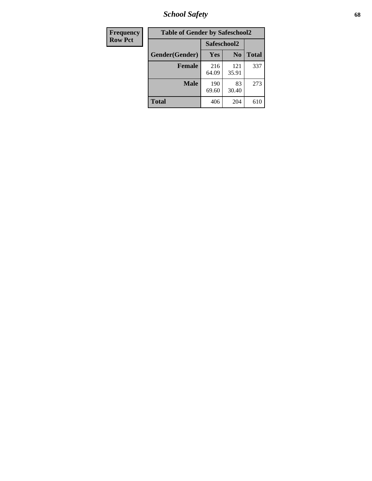*School Safety* **68**

| Frequency      | <b>Table of Gender by Safeschool2</b> |              |                |              |
|----------------|---------------------------------------|--------------|----------------|--------------|
| <b>Row Pct</b> |                                       | Safeschool2  |                |              |
|                | Gender(Gender)                        | <b>Yes</b>   | N <sub>0</sub> | <b>Total</b> |
|                | <b>Female</b>                         | 216<br>64.09 | 121<br>35.91   | 337          |
|                | Male                                  | 190<br>69.60 | 83<br>30.40    | 273          |
|                | <b>Total</b>                          | 406          | 204            | 610          |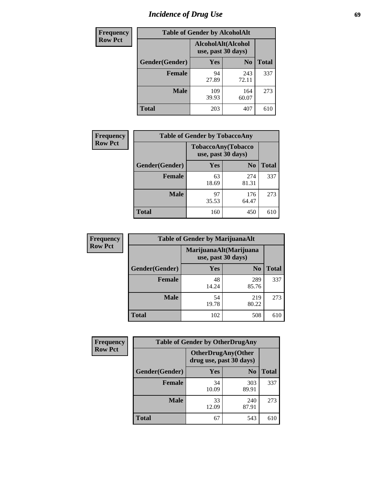# *Incidence of Drug Use* 69

| <b>Frequency</b> | <b>Table of Gender by AlcoholAlt</b> |                                          |                |              |
|------------------|--------------------------------------|------------------------------------------|----------------|--------------|
| <b>Row Pct</b>   |                                      | AlcoholAlt(Alcohol<br>use, past 30 days) |                |              |
|                  | Gender(Gender)                       | Yes                                      | N <sub>0</sub> | <b>Total</b> |
|                  | <b>Female</b>                        | 94<br>27.89                              | 243<br>72.11   | 337          |
|                  | <b>Male</b>                          | 109<br>39.93                             | 164<br>60.07   | 273          |
|                  | <b>Total</b>                         | 203                                      | 407            | 610          |

| <b>Frequency</b> | <b>Table of Gender by TobaccoAny</b> |                    |                    |              |
|------------------|--------------------------------------|--------------------|--------------------|--------------|
| <b>Row Pct</b>   |                                      | use, past 30 days) | TobaccoAny(Tobacco |              |
|                  | Gender(Gender)                       | Yes                | N <sub>0</sub>     | <b>Total</b> |
|                  | <b>Female</b>                        | 63<br>18.69        | 274<br>81.31       | 337          |
|                  | <b>Male</b>                          | 97<br>35.53        | 176<br>64.47       | 273          |
|                  | <b>Total</b>                         | 160                | 450                | 610          |

| <b>Frequency</b> | <b>Table of Gender by MarijuanaAlt</b> |                    |                        |       |
|------------------|----------------------------------------|--------------------|------------------------|-------|
| <b>Row Pct</b>   |                                        | use, past 30 days) | MarijuanaAlt(Marijuana |       |
|                  | Gender(Gender)                         | <b>Yes</b>         | N <sub>0</sub>         | Total |
|                  | <b>Female</b>                          | 48<br>14.24        | 289<br>85.76           | 337   |
|                  | <b>Male</b>                            | 54<br>19.78        | 219<br>80.22           | 273   |
|                  | <b>Total</b>                           | 102                | 508                    | 610   |

| <b>Frequency</b> | <b>Table of Gender by OtherDrugAny</b> |                         |                           |              |
|------------------|----------------------------------------|-------------------------|---------------------------|--------------|
| <b>Row Pct</b>   |                                        | drug use, past 30 days) | <b>OtherDrugAny(Other</b> |              |
|                  | Gender(Gender)                         | <b>Yes</b>              | N <sub>0</sub>            | <b>Total</b> |
|                  | <b>Female</b>                          | 34<br>10.09             | 303<br>89.91              | 337          |
|                  | <b>Male</b>                            | 33<br>12.09             | 240<br>87.91              | 273          |
|                  | <b>Total</b>                           | 67                      | 543                       | 610          |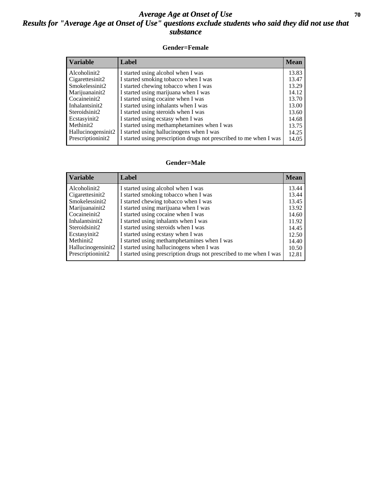### *Average Age at Onset of Use* 70 *Results for "Average Age at Onset of Use" questions exclude students who said they did not use that substance*

#### **Gender=Female**

| <b>Variable</b>                 | Label                                                              | <b>Mean</b> |
|---------------------------------|--------------------------------------------------------------------|-------------|
| Alcoholinit2                    | I started using alcohol when I was                                 | 13.83       |
| Cigarettesinit2                 | I started smoking tobacco when I was                               | 13.47       |
| Smokelessinit2                  | I started chewing tobacco when I was                               | 13.29       |
| Marijuanainit2                  | I started using marijuana when I was                               | 14.12       |
| Cocaineinit2                    | I started using cocaine when I was                                 | 13.70       |
| Inhalantsinit2                  | I started using inhalants when I was                               | 13.00       |
| Steroidsinit2                   | I started using steroids when I was                                | 13.60       |
| Ecstasyinit2                    | I started using ecstasy when I was                                 | 14.68       |
| Methinit2                       | I started using methamphetamines when I was                        | 13.75       |
| Hallucinogensinit2              | I started using hallucinogens when I was                           | 14.25       |
| Prescription in it <sub>2</sub> | I started using prescription drugs not prescribed to me when I was | 14.05       |

#### **Gender=Male**

| <b>Variable</b>    | Label                                                              | <b>Mean</b> |
|--------------------|--------------------------------------------------------------------|-------------|
| Alcoholinit2       | I started using alcohol when I was                                 | 13.44       |
| Cigarettesinit2    | I started smoking tobacco when I was                               | 13.44       |
| Smokelessinit2     | I started chewing tobacco when I was                               | 13.45       |
| Marijuanainit2     | I started using marijuana when I was                               | 13.92       |
| Cocaineinit2       | I started using cocaine when I was                                 | 14.60       |
| Inhalantsinit2     | I started using inhalants when I was                               | 11.92       |
| Steroidsinit2      | I started using steroids when I was                                | 14.45       |
| Ecstasyinit2       | I started using ecstasy when I was                                 | 12.50       |
| Methinit2          | I started using methamphetamines when I was                        | 14.40       |
| Hallucinogensinit2 | I started using hallucinogens when I was                           | 10.50       |
| Prescriptioninit2  | I started using prescription drugs not prescribed to me when I was | 12.81       |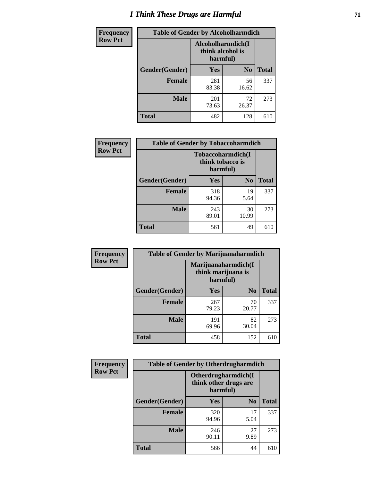# *I Think These Drugs are Harmful* **71**

| <b>Frequency</b> | <b>Table of Gender by Alcoholharmdich</b> |                                                   |                |              |
|------------------|-------------------------------------------|---------------------------------------------------|----------------|--------------|
| <b>Row Pct</b>   |                                           | Alcoholharmdich(I<br>think alcohol is<br>harmful) |                |              |
|                  | Gender(Gender)                            | Yes                                               | N <sub>0</sub> | <b>Total</b> |
|                  | <b>Female</b>                             | 281<br>83.38                                      | 56<br>16.62    | 337          |
|                  | <b>Male</b>                               | 201<br>73.63                                      | 72<br>26.37    | 273          |
|                  | Total                                     | 482                                               | 128            | 610          |

| Frequency      | <b>Table of Gender by Tobaccoharmdich</b> |                              |                   |              |
|----------------|-------------------------------------------|------------------------------|-------------------|--------------|
| <b>Row Pct</b> |                                           | think tobacco is<br>harmful) | Tobaccoharmdich(I |              |
|                | Gender(Gender)                            | Yes                          | N <sub>0</sub>    | <b>Total</b> |
|                | <b>Female</b>                             | 318<br>94.36                 | 19<br>5.64        | 337          |
|                | <b>Male</b>                               | 243<br>89.01                 | 30<br>10.99       | 273          |
|                | <b>Total</b>                              | 561                          | 49                | 610          |

| Frequency      | <b>Table of Gender by Marijuanaharmdich</b> |                                |                     |              |  |
|----------------|---------------------------------------------|--------------------------------|---------------------|--------------|--|
| <b>Row Pct</b> |                                             | think marijuana is<br>harmful) | Marijuanaharmdich(I |              |  |
|                | Gender(Gender)                              | <b>Yes</b>                     | N <sub>0</sub>      | <b>Total</b> |  |
|                | <b>Female</b>                               | 267<br>79.23                   | 70<br>20.77         | 337          |  |
|                | <b>Male</b>                                 | 191<br>69.96                   | 82<br>30.04         | 273          |  |
|                | <b>Total</b>                                | 458                            | 152                 | 610          |  |

| Frequency      | <b>Table of Gender by Otherdrugharmdich</b> |                                                          |                |              |
|----------------|---------------------------------------------|----------------------------------------------------------|----------------|--------------|
| <b>Row Pct</b> |                                             | Otherdrugharmdich(I<br>think other drugs are<br>harmful) |                |              |
|                | Gender(Gender)                              | <b>Yes</b>                                               | N <sub>0</sub> | <b>Total</b> |
|                | <b>Female</b>                               | 320<br>94.96                                             | 17<br>5.04     | 337          |
|                | <b>Male</b>                                 | 246<br>90.11                                             | 27<br>9.89     | 273          |
|                | <b>Total</b>                                | 566                                                      | 44             | 610          |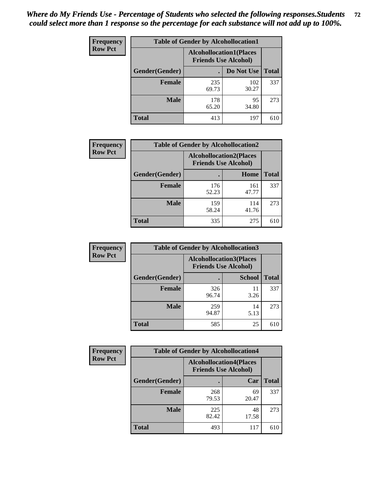| <b>Frequency</b> | <b>Table of Gender by Alcohollocation1</b> |                                                               |              |              |
|------------------|--------------------------------------------|---------------------------------------------------------------|--------------|--------------|
| <b>Row Pct</b>   |                                            | <b>Alcohollocation1(Places</b><br><b>Friends Use Alcohol)</b> |              |              |
|                  | Gender(Gender)                             |                                                               | Do Not Use   | <b>Total</b> |
|                  | <b>Female</b>                              | 235<br>69.73                                                  | 102<br>30.27 | 337          |
|                  | <b>Male</b>                                | 178<br>65.20                                                  | 95<br>34.80  | 273          |
|                  | <b>Total</b>                               | 413                                                           | 197          | 610          |

| <b>Frequency</b> | <b>Table of Gender by Alcohollocation2</b> |                                                               |              |              |
|------------------|--------------------------------------------|---------------------------------------------------------------|--------------|--------------|
| <b>Row Pct</b>   |                                            | <b>Alcohollocation2(Places</b><br><b>Friends Use Alcohol)</b> |              |              |
|                  | Gender(Gender)                             |                                                               | Home         | <b>Total</b> |
|                  | <b>Female</b>                              | 176<br>52.23                                                  | 161<br>47.77 | 337          |
|                  | <b>Male</b>                                | 159<br>58.24                                                  | 114<br>41.76 | 273          |
|                  | <b>Total</b>                               | 335                                                           | 275          | 610          |

| Frequency      | <b>Table of Gender by Alcohollocation3</b> |                                                               |               |              |
|----------------|--------------------------------------------|---------------------------------------------------------------|---------------|--------------|
| <b>Row Pct</b> |                                            | <b>Alcohollocation3(Places</b><br><b>Friends Use Alcohol)</b> |               |              |
|                | Gender(Gender)                             |                                                               | <b>School</b> | <b>Total</b> |
|                | <b>Female</b>                              | 326<br>96.74                                                  | 11<br>3.26    | 337          |
|                | <b>Male</b>                                | 259<br>94.87                                                  | 14<br>5.13    | 273          |
|                | <b>Total</b>                               | 585                                                           | 25            | 610          |

| Frequency      | <b>Table of Gender by Alcohollocation4</b> |                                                               |             |              |  |
|----------------|--------------------------------------------|---------------------------------------------------------------|-------------|--------------|--|
| <b>Row Pct</b> |                                            | <b>Alcohollocation4(Places</b><br><b>Friends Use Alcohol)</b> |             |              |  |
|                | <b>Gender</b> (Gender)                     |                                                               | Car         | <b>Total</b> |  |
|                | <b>Female</b>                              | 268<br>79.53                                                  | 69<br>20.47 | 337          |  |
|                | <b>Male</b>                                | 225<br>82.42                                                  | 48<br>17.58 | 273          |  |
|                | <b>Total</b>                               | 493                                                           | 117         | 610          |  |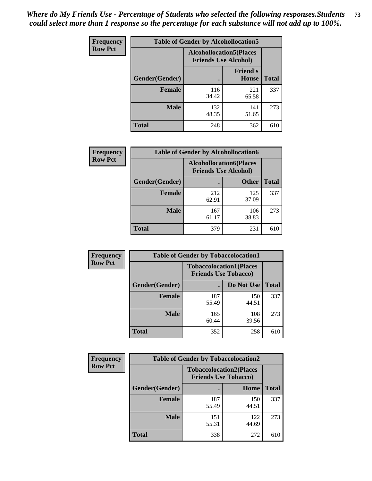| <b>Frequency</b> | <b>Table of Gender by Alcohollocation5</b> |                                |                                 |              |
|------------------|--------------------------------------------|--------------------------------|---------------------------------|--------------|
| <b>Row Pct</b>   |                                            | <b>Alcohollocation5(Places</b> | <b>Friends Use Alcohol)</b>     |              |
|                  | Gender(Gender)                             |                                | <b>Friend's</b><br><b>House</b> | <b>Total</b> |
|                  | <b>Female</b>                              | 116<br>34.42                   | 221<br>65.58                    | 337          |
|                  | <b>Male</b>                                | 132<br>48.35                   | 141<br>51.65                    | 273          |
|                  | <b>Total</b>                               | 248                            | 362                             | 610          |

| <b>Frequency</b> | <b>Table of Gender by Alcohollocation6</b> |                                                               |              |              |
|------------------|--------------------------------------------|---------------------------------------------------------------|--------------|--------------|
| <b>Row Pct</b>   |                                            | <b>Alcohollocation6(Places</b><br><b>Friends Use Alcohol)</b> |              |              |
|                  | <b>Gender</b> (Gender)                     |                                                               | <b>Other</b> | <b>Total</b> |
|                  | <b>Female</b>                              | 212<br>62.91                                                  | 125<br>37.09 | 337          |
|                  | <b>Male</b>                                | 167<br>61.17                                                  | 106<br>38.83 | 273          |
|                  | <b>Total</b>                               | 379                                                           | 231          | 610          |

| Frequency      | <b>Table of Gender by Tobaccolocation1</b> |                                                               |              |              |  |
|----------------|--------------------------------------------|---------------------------------------------------------------|--------------|--------------|--|
| <b>Row Pct</b> |                                            | <b>Tobaccolocation1(Places</b><br><b>Friends Use Tobacco)</b> |              |              |  |
|                | Gender(Gender)                             |                                                               | Do Not Use   | <b>Total</b> |  |
|                | Female                                     | 187<br>55.49                                                  | 150<br>44.51 | 337          |  |
|                | <b>Male</b>                                | 165<br>60.44                                                  | 108<br>39.56 | 273          |  |
|                | <b>Total</b>                               | 352                                                           | 258          | 610          |  |

| <b>Frequency</b> | <b>Table of Gender by Tobaccolocation2</b> |                             |                                |              |
|------------------|--------------------------------------------|-----------------------------|--------------------------------|--------------|
| <b>Row Pct</b>   |                                            | <b>Friends Use Tobacco)</b> | <b>Tobaccolocation2(Places</b> |              |
|                  | Gender(Gender)                             |                             | Home                           | <b>Total</b> |
|                  | Female                                     | 187<br>55.49                | 150<br>44.51                   | 337          |
|                  | <b>Male</b>                                | 151<br>55.31                | 122<br>44.69                   | 273          |
|                  | <b>Total</b>                               | 338                         | 272                            | 610          |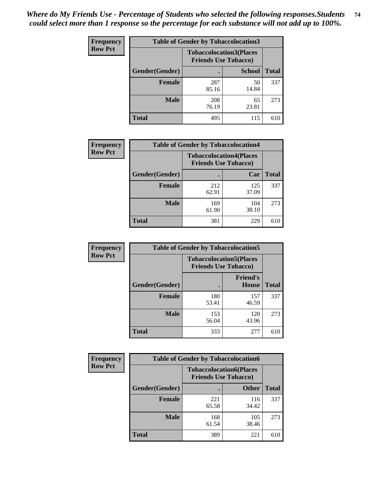| <b>Frequency</b> | <b>Table of Gender by Tobaccolocation3</b> |                             |                                |              |
|------------------|--------------------------------------------|-----------------------------|--------------------------------|--------------|
| <b>Row Pct</b>   |                                            | <b>Friends Use Tobacco)</b> | <b>Tobaccolocation3(Places</b> |              |
|                  | Gender(Gender)                             |                             | <b>School</b>                  | <b>Total</b> |
|                  | <b>Female</b>                              | 287<br>85.16                | 50<br>14.84                    | 337          |
|                  | <b>Male</b>                                | 208<br>76.19                | 65<br>23.81                    | 273          |
|                  | <b>Total</b>                               | 495                         | 115                            | 610          |

| <b>Frequency</b> | <b>Table of Gender by Tobaccolocation4</b> |              |                                                               |              |
|------------------|--------------------------------------------|--------------|---------------------------------------------------------------|--------------|
| <b>Row Pct</b>   |                                            |              | <b>Tobaccolocation4(Places</b><br><b>Friends Use Tobacco)</b> |              |
|                  | Gender(Gender)                             |              | Car                                                           | <b>Total</b> |
|                  | <b>Female</b>                              | 212<br>62.91 | 125<br>37.09                                                  | 337          |
|                  | <b>Male</b>                                | 169<br>61.90 | 104<br>38.10                                                  | 273          |
|                  | <b>Total</b>                               | 381          | 229                                                           | 610          |

| <b>Frequency</b> | <b>Table of Gender by Tobaccolocation5</b> |                             |                                 |              |
|------------------|--------------------------------------------|-----------------------------|---------------------------------|--------------|
| <b>Row Pct</b>   |                                            | <b>Friends Use Tobacco)</b> | <b>Tobaccolocation5(Places</b>  |              |
|                  | Gender(Gender)                             |                             | <b>Friend's</b><br><b>House</b> | <b>Total</b> |
|                  | <b>Female</b>                              | 180<br>53.41                | 157<br>46.59                    | 337          |
|                  | <b>Male</b>                                | 153<br>56.04                | 120<br>43.96                    | 273          |
|                  | <b>Total</b>                               | 333                         | 277                             | 610          |

| <b>Frequency</b> | <b>Table of Gender by Tobaccolocation6</b> |                                                               |              |              |
|------------------|--------------------------------------------|---------------------------------------------------------------|--------------|--------------|
| <b>Row Pct</b>   |                                            | <b>Tobaccolocation6(Places</b><br><b>Friends Use Tobacco)</b> |              |              |
|                  | Gender(Gender)                             |                                                               | <b>Other</b> | <b>Total</b> |
|                  | Female                                     | 221<br>65.58                                                  | 116<br>34.42 | 337          |
|                  | <b>Male</b>                                | 168<br>61.54                                                  | 105<br>38.46 | 273          |
|                  | <b>Total</b>                               | 389                                                           | 221          | 610          |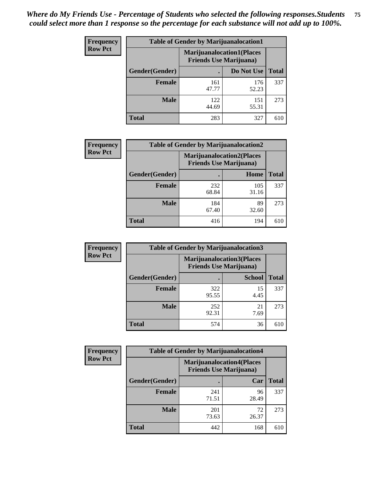| <b>Frequency</b> | <b>Table of Gender by Marijuanalocation1</b> |                                  |                                |              |  |
|------------------|----------------------------------------------|----------------------------------|--------------------------------|--------------|--|
| <b>Row Pct</b>   |                                              | <b>Marijuanalocation1(Places</b> | <b>Friends Use Marijuana</b> ) |              |  |
|                  | <b>Gender</b> (Gender)                       |                                  | Do Not Use                     | <b>Total</b> |  |
|                  | <b>Female</b>                                | 161<br>47.77                     | 176<br>52.23                   | 337          |  |
|                  | <b>Male</b>                                  | 122<br>44.69                     | 151<br>55.31                   | 273          |  |
|                  | <b>Total</b>                                 | 283                              | 327                            | 610          |  |

| <b>Frequency</b> | <b>Table of Gender by Marijuanalocation2</b> |                                                                     |              |              |
|------------------|----------------------------------------------|---------------------------------------------------------------------|--------------|--------------|
| <b>Row Pct</b>   |                                              | <b>Marijuanalocation2(Places)</b><br><b>Friends Use Marijuana</b> ) |              |              |
|                  | Gender(Gender)                               |                                                                     | Home         | <b>Total</b> |
|                  | <b>Female</b>                                | 232<br>68.84                                                        | 105<br>31.16 | 337          |
|                  | <b>Male</b>                                  | 184<br>67.40                                                        | 89<br>32.60  | 273          |
|                  | <b>Total</b>                                 | 416                                                                 | 194          | 610          |

| Frequency      | <b>Table of Gender by Marijuanalocation3</b> |                                                                     |               |              |
|----------------|----------------------------------------------|---------------------------------------------------------------------|---------------|--------------|
| <b>Row Pct</b> |                                              | <b>Marijuanalocation3(Places)</b><br><b>Friends Use Marijuana</b> ) |               |              |
|                | Gender(Gender)                               |                                                                     | <b>School</b> | <b>Total</b> |
|                | <b>Female</b>                                | 322<br>95.55                                                        | 15<br>4.45    | 337          |
|                | <b>Male</b>                                  | 252<br>92.31                                                        | 21<br>7.69    | 273          |
|                | <b>Total</b>                                 | 574                                                                 | 36            | 610          |

| <b>Frequency</b> | <b>Table of Gender by Marijuanalocation4</b> |                                                                    |             |              |
|------------------|----------------------------------------------|--------------------------------------------------------------------|-------------|--------------|
| <b>Row Pct</b>   |                                              | <b>Marijuanalocation4(Places</b><br><b>Friends Use Marijuana</b> ) |             |              |
|                  | Gender(Gender)                               |                                                                    | Car         | <b>Total</b> |
|                  | Female                                       | 241<br>71.51                                                       | 96<br>28.49 | 337          |
|                  | <b>Male</b>                                  | 201<br>73.63                                                       | 72<br>26.37 | 273          |
|                  | <b>Total</b>                                 | 442                                                                | 168         | 610          |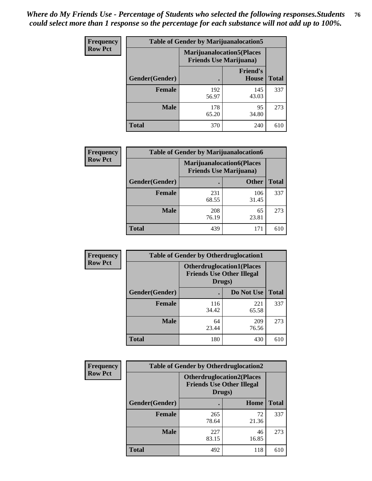| Frequency      | <b>Table of Gender by Marijuanalocation5</b> |                                                                    |                                 |              |
|----------------|----------------------------------------------|--------------------------------------------------------------------|---------------------------------|--------------|
| <b>Row Pct</b> |                                              | <b>Marijuanalocation5(Places</b><br><b>Friends Use Marijuana</b> ) |                                 |              |
|                | Gender(Gender)                               |                                                                    | <b>Friend's</b><br><b>House</b> | <b>Total</b> |
|                | Female                                       | 192<br>56.97                                                       | 145<br>43.03                    | 337          |
|                | <b>Male</b>                                  | 178<br>65.20                                                       | 95<br>34.80                     | 273          |
|                | <b>Total</b>                                 | 370                                                                | 240                             | 610          |

| <b>Frequency</b> | <b>Table of Gender by Marijuanalocation6</b> |                                |                                   |              |
|------------------|----------------------------------------------|--------------------------------|-----------------------------------|--------------|
| <b>Row Pct</b>   |                                              | <b>Friends Use Marijuana</b> ) | <b>Marijuanalocation6(Places)</b> |              |
|                  | <b>Gender</b> (Gender)                       |                                | <b>Other</b>                      | <b>Total</b> |
|                  | <b>Female</b>                                | 231<br>68.55                   | 106<br>31.45                      | 337          |
|                  | <b>Male</b>                                  | 208<br>76.19                   | 65<br>23.81                       | 273          |
|                  | <b>Total</b>                                 | 439                            | 171                               | 610          |

| <b>Frequency</b> | <b>Table of Gender by Otherdruglocation1</b> |                                                                                |              |              |
|------------------|----------------------------------------------|--------------------------------------------------------------------------------|--------------|--------------|
| <b>Row Pct</b>   |                                              | <b>Otherdruglocation1(Places</b><br><b>Friends Use Other Illegal</b><br>Drugs) |              |              |
|                  | Gender(Gender)                               |                                                                                | Do Not Use   | <b>Total</b> |
|                  | <b>Female</b>                                | 116<br>34.42                                                                   | 221<br>65.58 | 337          |
|                  | <b>Male</b>                                  | 64<br>23.44                                                                    | 209<br>76.56 | 273          |
|                  | <b>Total</b>                                 | 180                                                                            | 430          | 610          |

| <b>Frequency</b> | <b>Table of Gender by Otherdruglocation2</b> |                                            |                                  |              |
|------------------|----------------------------------------------|--------------------------------------------|----------------------------------|--------------|
| <b>Row Pct</b>   |                                              | <b>Friends Use Other Illegal</b><br>Drugs) | <b>Otherdruglocation2(Places</b> |              |
|                  | Gender(Gender)                               |                                            | Home                             | <b>Total</b> |
|                  | Female                                       | 265<br>78.64                               | 72<br>21.36                      | 337          |
|                  | <b>Male</b>                                  | 227<br>83.15                               | 46<br>16.85                      | 273          |
|                  | <b>Total</b>                                 | 492                                        | 118                              | 610          |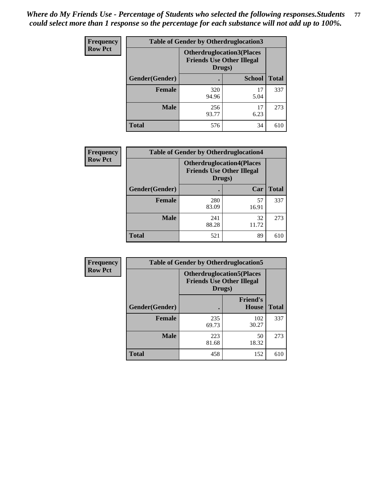| Frequency      | <b>Table of Gender by Otherdruglocation3</b> |                                                                                |               |              |
|----------------|----------------------------------------------|--------------------------------------------------------------------------------|---------------|--------------|
| <b>Row Pct</b> |                                              | <b>Otherdruglocation3(Places</b><br><b>Friends Use Other Illegal</b><br>Drugs) |               |              |
|                | Gender(Gender)                               |                                                                                | <b>School</b> | <b>Total</b> |
|                | Female                                       | 320<br>94.96                                                                   | 17<br>5.04    | 337          |
|                | <b>Male</b>                                  | 256<br>93.77                                                                   | 17<br>6.23    | 273          |
|                | <b>Total</b>                                 | 576                                                                            | 34            | 610          |

| Frequency      | <b>Table of Gender by Otherdruglocation4</b> |                                            |                                  |              |
|----------------|----------------------------------------------|--------------------------------------------|----------------------------------|--------------|
| <b>Row Pct</b> |                                              | <b>Friends Use Other Illegal</b><br>Drugs) | <b>Otherdruglocation4(Places</b> |              |
|                | <b>Gender</b> (Gender)                       |                                            | Car                              | <b>Total</b> |
|                | <b>Female</b>                                | 280<br>83.09                               | 57<br>16.91                      | 337          |
|                | <b>Male</b>                                  | 241<br>88.28                               | 32<br>11.72                      | 273          |
|                | <b>Total</b>                                 | 521                                        | 89                               | 610          |

| Frequency      | <b>Table of Gender by Otherdruglocation5</b>                                   |              |                                 |              |
|----------------|--------------------------------------------------------------------------------|--------------|---------------------------------|--------------|
| <b>Row Pct</b> | <b>Otherdruglocation5(Places</b><br><b>Friends Use Other Illegal</b><br>Drugs) |              |                                 |              |
|                | Gender(Gender)                                                                 |              | <b>Friend's</b><br><b>House</b> | <b>Total</b> |
|                | <b>Female</b>                                                                  | 235<br>69.73 | 102<br>30.27                    | 337          |
|                | <b>Male</b>                                                                    | 223<br>81.68 | 50<br>18.32                     | 273          |
|                | <b>Total</b>                                                                   | 458          | 152                             | 610          |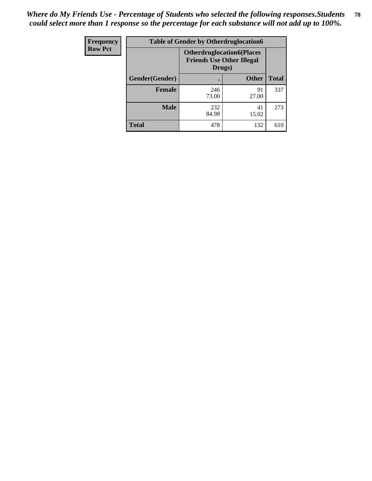| Frequency      | <b>Table of Gender by Otherdruglocation6</b>                                   |              |              |              |
|----------------|--------------------------------------------------------------------------------|--------------|--------------|--------------|
| <b>Row Pct</b> | <b>Otherdruglocation6(Places</b><br><b>Friends Use Other Illegal</b><br>Drugs) |              |              |              |
|                | Gender(Gender)                                                                 |              | <b>Other</b> | <b>Total</b> |
|                | <b>Female</b>                                                                  | 246<br>73.00 | 91<br>27.00  | 337          |
|                | <b>Male</b>                                                                    | 232<br>84.98 | 41<br>15.02  | 273          |
|                | <b>Total</b>                                                                   | 478          | 132          | 610          |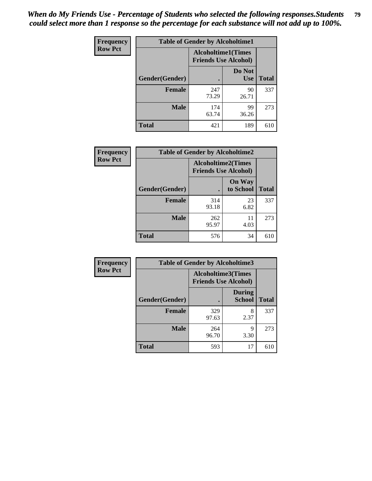| <b>Frequency</b> | <b>Table of Gender by Alcoholtime1</b> |                                                          |                      |              |
|------------------|----------------------------------------|----------------------------------------------------------|----------------------|--------------|
| <b>Row Pct</b>   |                                        | <b>Alcoholtime1(Times</b><br><b>Friends Use Alcohol)</b> |                      |              |
|                  | Gender(Gender)                         |                                                          | Do Not<br><b>Use</b> | <b>Total</b> |
|                  | <b>Female</b>                          | 247<br>73.29                                             | 90<br>26.71          | 337          |
|                  | <b>Male</b>                            | 174<br>63.74                                             | 99<br>36.26          | 273          |
|                  | <b>Total</b>                           | 421                                                      | 189                  | 610          |

| <b>Frequency</b> | <b>Table of Gender by Alcoholtime2</b> |                                                          |                            |              |
|------------------|----------------------------------------|----------------------------------------------------------|----------------------------|--------------|
| <b>Row Pct</b>   |                                        | <b>Alcoholtime2(Times</b><br><b>Friends Use Alcohol)</b> |                            |              |
|                  | Gender(Gender)                         |                                                          | <b>On Way</b><br>to School | <b>Total</b> |
|                  | <b>Female</b>                          | 314<br>93.18                                             | 23<br>6.82                 | 337          |
|                  | <b>Male</b>                            | 262<br>95.97                                             | 11<br>4.03                 | 273          |
|                  | <b>Total</b>                           | 576                                                      | 34                         | 610          |

| Frequency      | <b>Table of Gender by Alcoholtime3</b> |                                                   |                                |              |
|----------------|----------------------------------------|---------------------------------------------------|--------------------------------|--------------|
| <b>Row Pct</b> |                                        | Alcoholtime3(Times<br><b>Friends Use Alcohol)</b> |                                |              |
|                | Gender(Gender)                         |                                                   | <b>During</b><br><b>School</b> | <b>Total</b> |
|                | <b>Female</b>                          | 329<br>97.63                                      | 8<br>2.37                      | 337          |
|                | <b>Male</b>                            | 264<br>96.70                                      | 9<br>3.30                      | 273          |
|                | <b>Total</b>                           | 593                                               | 17                             | 610          |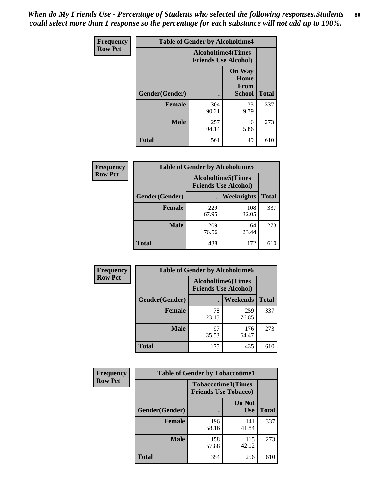*When do My Friends Use - Percentage of Students who selected the following responses.Students could select more than 1 response so the percentage for each substance will not add up to 100%.* **80**

| <b>Frequency</b> | <b>Table of Gender by Alcoholtime4</b> |                                                          |                                                       |              |
|------------------|----------------------------------------|----------------------------------------------------------|-------------------------------------------------------|--------------|
| <b>Row Pct</b>   |                                        | <b>Alcoholtime4(Times</b><br><b>Friends Use Alcohol)</b> |                                                       |              |
|                  | Gender(Gender)                         |                                                          | <b>On Way</b><br>Home<br><b>From</b><br><b>School</b> | <b>Total</b> |
|                  | <b>Female</b>                          | 304<br>90.21                                             | 33<br>9.79                                            | 337          |
|                  | <b>Male</b>                            | 257<br>94.14                                             | 16<br>5.86                                            | 273          |
|                  | <b>Total</b>                           | 561                                                      | 49                                                    | 610          |

| <b>Frequency</b> | <b>Table of Gender by Alcoholtime5</b> |                                                           |              |              |
|------------------|----------------------------------------|-----------------------------------------------------------|--------------|--------------|
| <b>Row Pct</b>   |                                        | <b>Alcoholtime5</b> (Times<br><b>Friends Use Alcohol)</b> |              |              |
|                  | Gender(Gender)                         |                                                           | Weeknights   | <b>Total</b> |
|                  | <b>Female</b>                          | 229<br>67.95                                              | 108<br>32.05 | 337          |
|                  | <b>Male</b>                            | 209<br>76.56                                              | 64<br>23.44  | 273          |
|                  | <b>Total</b>                           | 438                                                       | 172          | 610          |

| <b>Frequency</b> | <b>Table of Gender by Alcoholtime6</b> |             |                                                           |              |  |
|------------------|----------------------------------------|-------------|-----------------------------------------------------------|--------------|--|
| <b>Row Pct</b>   |                                        |             | <b>Alcoholtime6</b> (Times<br><b>Friends Use Alcohol)</b> |              |  |
|                  | Gender(Gender)                         |             | Weekends                                                  | <b>Total</b> |  |
|                  | Female                                 | 78<br>23.15 | 259<br>76.85                                              | 337          |  |
|                  | <b>Male</b>                            | 97<br>35.53 | 176<br>64.47                                              | 273          |  |
|                  | <b>Total</b>                           | 175         | 435                                                       | 610          |  |

| Frequency      | <b>Table of Gender by Tobaccotime1</b> |                                                          |                      |              |
|----------------|----------------------------------------|----------------------------------------------------------|----------------------|--------------|
| <b>Row Pct</b> |                                        | <b>Tobaccotime1(Times</b><br><b>Friends Use Tobacco)</b> |                      |              |
|                | Gender(Gender)                         |                                                          | Do Not<br><b>Use</b> | <b>Total</b> |
|                | <b>Female</b>                          | 196<br>58.16                                             | 141<br>41.84         | 337          |
|                | <b>Male</b>                            | 158<br>57.88                                             | 115<br>42.12         | 273          |
|                | <b>Total</b>                           | 354                                                      | 256                  | 610          |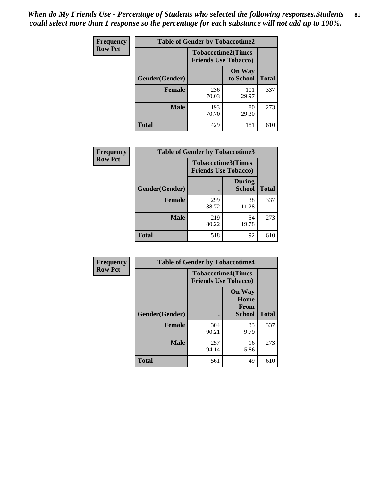*When do My Friends Use - Percentage of Students who selected the following responses.Students could select more than 1 response so the percentage for each substance will not add up to 100%.* **81**

| <b>Frequency</b> | <b>Table of Gender by Tobaccotime2</b> |                                                          |                            |              |
|------------------|----------------------------------------|----------------------------------------------------------|----------------------------|--------------|
| <b>Row Pct</b>   |                                        | <b>Tobaccotime2(Times</b><br><b>Friends Use Tobacco)</b> |                            |              |
|                  | Gender(Gender)                         |                                                          | <b>On Way</b><br>to School | <b>Total</b> |
|                  | <b>Female</b>                          | 236<br>70.03                                             | 101<br>29.97               | 337          |
|                  | <b>Male</b>                            | 193<br>70.70                                             | 80<br>29.30                | 273          |
|                  | <b>Total</b>                           | 429                                                      | 181                        | 610          |

| Frequency      | <b>Table of Gender by Tobaccotime3</b> |                             |                                |              |
|----------------|----------------------------------------|-----------------------------|--------------------------------|--------------|
| <b>Row Pct</b> |                                        | <b>Friends Use Tobacco)</b> | <b>Tobaccotime3(Times</b>      |              |
|                | Gender(Gender)                         |                             | <b>During</b><br><b>School</b> | <b>Total</b> |
|                | <b>Female</b>                          | 299<br>88.72                | 38<br>11.28                    | 337          |
|                | <b>Male</b>                            | 219<br>80.22                | 54<br>19.78                    | 273          |
|                | <b>Total</b>                           | 518                         | 92                             | 610          |

| Frequency      | <b>Table of Gender by Tobaccotime4</b> |                                                          |                                                       |              |
|----------------|----------------------------------------|----------------------------------------------------------|-------------------------------------------------------|--------------|
| <b>Row Pct</b> |                                        | <b>Tobaccotime4(Times</b><br><b>Friends Use Tobacco)</b> |                                                       |              |
|                | Gender(Gender)                         |                                                          | <b>On Way</b><br>Home<br><b>From</b><br><b>School</b> | <b>Total</b> |
|                | <b>Female</b>                          | 304<br>90.21                                             | 33<br>9.79                                            | 337          |
|                | <b>Male</b>                            | 257<br>94.14                                             | 16<br>5.86                                            | 273          |
|                | <b>Total</b>                           | 561                                                      | 49                                                    | 610          |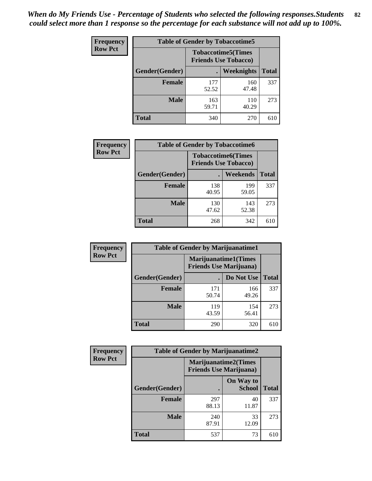| <b>Frequency</b> | <b>Table of Gender by Tobaccotime5</b> |                                                          |                   |              |
|------------------|----------------------------------------|----------------------------------------------------------|-------------------|--------------|
| <b>Row Pct</b>   |                                        | <b>Tobaccotime5(Times</b><br><b>Friends Use Tobacco)</b> |                   |              |
|                  | <b>Gender</b> (Gender)                 |                                                          | <b>Weeknights</b> | <b>Total</b> |
|                  | <b>Female</b>                          | 177<br>52.52                                             | 160<br>47.48      | 337          |
|                  | <b>Male</b>                            | 163<br>59.71                                             | 110<br>40.29      | 273          |
|                  | <b>Total</b>                           | 340                                                      | 270               | 610          |

| Frequency      | <b>Table of Gender by Tobaccotime6</b> |              |                                                          |              |  |
|----------------|----------------------------------------|--------------|----------------------------------------------------------|--------------|--|
| <b>Row Pct</b> |                                        |              | <b>Tobaccotime6(Times</b><br><b>Friends Use Tobacco)</b> |              |  |
|                | Gender(Gender)                         |              | <b>Weekends</b>                                          | <b>Total</b> |  |
|                | Female                                 | 138<br>40.95 | 199<br>59.05                                             | 337          |  |
|                | <b>Male</b>                            | 130<br>47.62 | 143<br>52.38                                             | 273          |  |
|                | <b>Total</b>                           | 268          | 342                                                      | 610          |  |

| <b>Frequency</b> | <b>Table of Gender by Marijuanatime1</b> |                                |                             |              |
|------------------|------------------------------------------|--------------------------------|-----------------------------|--------------|
| <b>Row Pct</b>   |                                          | <b>Friends Use Marijuana</b> ) | <b>Marijuanatime1(Times</b> |              |
|                  | Gender(Gender)                           |                                | Do Not Use                  | <b>Total</b> |
|                  | <b>Female</b>                            | 171<br>50.74                   | 166<br>49.26                | 337          |
|                  | <b>Male</b>                              | 119<br>43.59                   | 154<br>56.41                | 273          |
|                  | <b>Total</b>                             | 290                            | 320                         | 610          |

| <b>Frequency</b> | <b>Table of Gender by Marijuanatime2</b> |                                                               |                            |              |
|------------------|------------------------------------------|---------------------------------------------------------------|----------------------------|--------------|
| <b>Row Pct</b>   |                                          | <b>Marijuanatime2(Times</b><br><b>Friends Use Marijuana</b> ) |                            |              |
|                  | Gender(Gender)                           |                                                               | On Way to<br><b>School</b> | <b>Total</b> |
|                  | <b>Female</b>                            | 297<br>88.13                                                  | 40<br>11.87                | 337          |
|                  | <b>Male</b>                              | 240<br>87.91                                                  | 33<br>12.09                | 273          |
|                  | <b>Total</b>                             | 537                                                           | 73                         | 610          |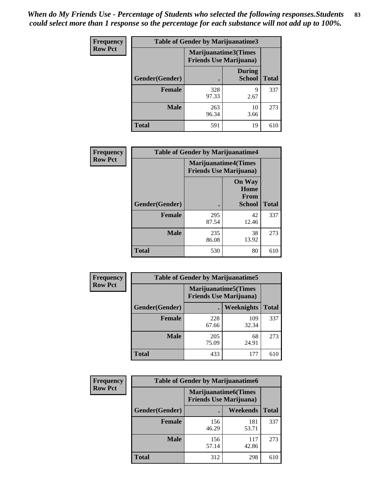*When do My Friends Use - Percentage of Students who selected the following responses.Students could select more than 1 response so the percentage for each substance will not add up to 100%.* **83**

| <b>Frequency</b> | Table of Gender by Marijuanatime3 |                                                        |                                |              |
|------------------|-----------------------------------|--------------------------------------------------------|--------------------------------|--------------|
| <b>Row Pct</b>   |                                   | Marijuanatime3(Times<br><b>Friends Use Marijuana</b> ) |                                |              |
|                  | Gender(Gender)                    |                                                        | <b>During</b><br><b>School</b> | <b>Total</b> |
|                  | <b>Female</b>                     | 328<br>97.33                                           | 9<br>2.67                      | 337          |
|                  | <b>Male</b>                       | 263<br>96.34                                           | 10<br>3.66                     | 273          |
|                  | <b>Total</b>                      | 591                                                    | 19                             | 610          |

| Frequency      | <b>Table of Gender by Marijuanatime4</b> |                                |                                                |              |
|----------------|------------------------------------------|--------------------------------|------------------------------------------------|--------------|
| <b>Row Pct</b> |                                          | <b>Friends Use Marijuana</b> ) | <b>Marijuanatime4</b> (Times                   |              |
|                | Gender(Gender)                           |                                | <b>On Way</b><br>Home<br>From<br><b>School</b> | <b>Total</b> |
|                | <b>Female</b>                            | 295<br>87.54                   | 42<br>12.46                                    | 337          |
|                | <b>Male</b>                              | 235<br>86.08                   | 38<br>13.92                                    | 273          |
|                | <b>Total</b>                             | 530                            | 80                                             | 610          |

| Frequency      | <b>Table of Gender by Marijuanatime5</b> |                                                                |              |              |  |
|----------------|------------------------------------------|----------------------------------------------------------------|--------------|--------------|--|
| <b>Row Pct</b> |                                          | <b>Marijuanatime5</b> (Times<br><b>Friends Use Marijuana</b> ) |              |              |  |
|                | Gender(Gender)                           |                                                                | Weeknights   | <b>Total</b> |  |
|                | <b>Female</b>                            | 228<br>67.66                                                   | 109<br>32.34 | 337          |  |
|                | <b>Male</b>                              | 205<br>75.09                                                   | 68<br>24.91  | 273          |  |
|                | <b>Total</b>                             | 433                                                            | 177          | 610          |  |

| Frequency      |                | <b>Table of Gender by Marijuanatime6</b>                      |                 |              |
|----------------|----------------|---------------------------------------------------------------|-----------------|--------------|
| <b>Row Pct</b> |                | <b>Marijuanatime6(Times</b><br><b>Friends Use Marijuana</b> ) |                 |              |
|                | Gender(Gender) |                                                               | <b>Weekends</b> | <b>Total</b> |
|                | <b>Female</b>  | 156<br>46.29                                                  | 181<br>53.71    | 337          |
|                | <b>Male</b>    | 156<br>57.14                                                  | 117<br>42.86    | 273          |
|                | <b>Total</b>   | 312                                                           | 298             | 610          |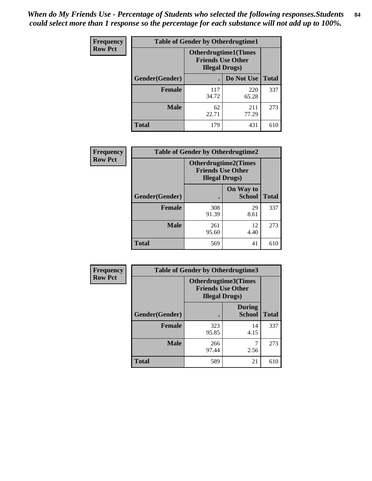*When do My Friends Use - Percentage of Students who selected the following responses.Students could select more than 1 response so the percentage for each substance will not add up to 100%.* **84**

| <b>Frequency</b> |                | <b>Table of Gender by Otherdrugtime1</b>                                           |              |              |
|------------------|----------------|------------------------------------------------------------------------------------|--------------|--------------|
| <b>Row Pct</b>   |                | <b>Otherdrugtime1</b> (Times<br><b>Friends Use Other</b><br><b>Illegal Drugs</b> ) |              |              |
|                  | Gender(Gender) |                                                                                    | Do Not Use   | <b>Total</b> |
|                  | <b>Female</b>  | 117<br>34.72                                                                       | 220<br>65.28 | 337          |
|                  | <b>Male</b>    | 62<br>22.71                                                                        | 211<br>77.29 | 273          |
|                  | <b>Total</b>   | 179                                                                                | 431          | 610          |

| <b>Frequency</b> | <b>Table of Gender by Otherdrugtime2</b> |                                                                                   |                            |              |  |  |
|------------------|------------------------------------------|-----------------------------------------------------------------------------------|----------------------------|--------------|--|--|
| <b>Row Pct</b>   |                                          | <b>Otherdrugtime2(Times</b><br><b>Friends Use Other</b><br><b>Illegal Drugs</b> ) |                            |              |  |  |
|                  | Gender(Gender)                           |                                                                                   | On Way to<br><b>School</b> | <b>Total</b> |  |  |
|                  | <b>Female</b>                            | 308<br>91.39                                                                      | 29<br>8.61                 | 337          |  |  |
|                  | <b>Male</b>                              | 261<br>95.60                                                                      | 12<br>4.40                 | 273          |  |  |
|                  | <b>Total</b>                             | 569                                                                               | 41                         | 610          |  |  |

| <b>Frequency</b> | <b>Table of Gender by Otherdrugtime3</b> |                                                                            |                                |              |  |
|------------------|------------------------------------------|----------------------------------------------------------------------------|--------------------------------|--------------|--|
| <b>Row Pct</b>   |                                          | Otherdrugtime3(Times<br><b>Friends Use Other</b><br><b>Illegal Drugs</b> ) |                                |              |  |
|                  | Gender(Gender)                           |                                                                            | <b>During</b><br><b>School</b> | <b>Total</b> |  |
|                  | <b>Female</b>                            | 323<br>95.85                                                               | 14<br>4.15                     | 337          |  |
|                  | <b>Male</b>                              | 266<br>97.44                                                               | 7<br>2.56                      | 273          |  |
|                  | <b>Total</b>                             | 589                                                                        | 21                             | 610          |  |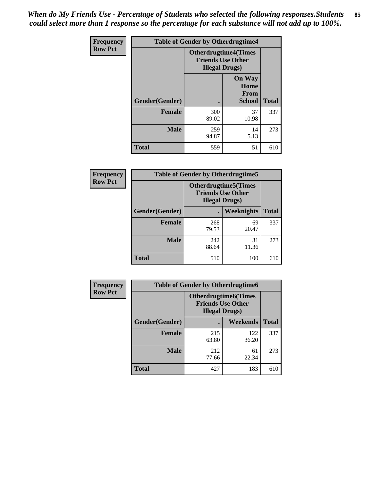*When do My Friends Use - Percentage of Students who selected the following responses.Students could select more than 1 response so the percentage for each substance will not add up to 100%.* **85**

| <b>Frequency</b> | <b>Table of Gender by Otherdrugtime4</b> |                        |                                                         |              |
|------------------|------------------------------------------|------------------------|---------------------------------------------------------|--------------|
| <b>Row Pct</b>   |                                          | <b>Illegal Drugs</b> ) | <b>Otherdrugtime4(Times</b><br><b>Friends Use Other</b> |              |
|                  | <b>Gender</b> (Gender)                   |                        | <b>On Way</b><br>Home<br>From<br><b>School</b>          | <b>Total</b> |
|                  | <b>Female</b>                            | 300<br>89.02           | 37<br>10.98                                             | 337          |
|                  | <b>Male</b>                              | 259<br>94.87           | 14<br>5.13                                              | 273          |
|                  | <b>Total</b>                             | 559                    | 51                                                      | 610          |

| Frequency      |                | <b>Table of Gender by Otherdrugtime5</b>                                           |             |              |  |
|----------------|----------------|------------------------------------------------------------------------------------|-------------|--------------|--|
| <b>Row Pct</b> |                | <b>Otherdrugtime5</b> (Times<br><b>Friends Use Other</b><br><b>Illegal Drugs</b> ) |             |              |  |
|                | Gender(Gender) |                                                                                    | Weeknights  | <b>Total</b> |  |
|                | <b>Female</b>  | 268<br>79.53                                                                       | 69<br>20.47 | 337          |  |
|                | <b>Male</b>    | 242<br>88.64                                                                       | 31<br>11.36 | 273          |  |
|                | <b>Total</b>   | 510                                                                                | 100         | 610          |  |

| <b>Frequency</b> | <b>Table of Gender by Otherdrugtime6</b> |                                                                                   |              |              |  |
|------------------|------------------------------------------|-----------------------------------------------------------------------------------|--------------|--------------|--|
| <b>Row Pct</b>   |                                          | <b>Otherdrugtime6(Times</b><br><b>Friends Use Other</b><br><b>Illegal Drugs</b> ) |              |              |  |
|                  | Gender(Gender)                           |                                                                                   | Weekends     | <b>Total</b> |  |
|                  | <b>Female</b>                            | 215<br>63.80                                                                      | 122<br>36.20 | 337          |  |
|                  | Male                                     | 212<br>77.66                                                                      | 61<br>22.34  | 273          |  |
|                  | <b>Total</b>                             | 427                                                                               | 183          | 610          |  |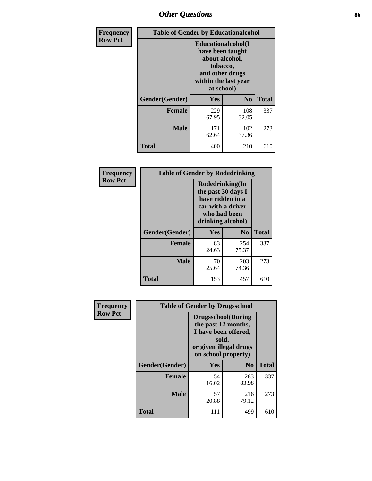# *Other Questions* **86**

| <b>Frequency</b> | <b>Table of Gender by Educationalcohol</b> |                                                                                                                                       |                |              |
|------------------|--------------------------------------------|---------------------------------------------------------------------------------------------------------------------------------------|----------------|--------------|
| <b>Row Pct</b>   |                                            | <b>Educationalcohol</b> (I<br>have been taught<br>about alcohol,<br>tobacco,<br>and other drugs<br>within the last year<br>at school) |                |              |
|                  | Gender(Gender)                             | <b>Yes</b>                                                                                                                            | N <sub>0</sub> | <b>Total</b> |
|                  | <b>Female</b>                              | 229<br>67.95                                                                                                                          | 108<br>32.05   | 337          |
|                  | <b>Male</b>                                | 171<br>62.64                                                                                                                          | 102<br>37.36   | 273          |
|                  | <b>Total</b>                               | 400                                                                                                                                   | 210            | 610          |

| Frequency      | <b>Table of Gender by Rodedrinking</b> |                                                                                                                     |              |              |  |  |
|----------------|----------------------------------------|---------------------------------------------------------------------------------------------------------------------|--------------|--------------|--|--|
| <b>Row Pct</b> |                                        | Rodedrinking(In<br>the past 30 days I<br>have ridden in a<br>car with a driver<br>who had been<br>drinking alcohol) |              |              |  |  |
|                | Gender(Gender)                         | Yes                                                                                                                 | $\bf N_0$    | <b>Total</b> |  |  |
|                | <b>Female</b>                          | 83<br>24.63                                                                                                         | 254<br>75.37 | 337          |  |  |
|                | <b>Male</b>                            | 70<br>25.64                                                                                                         | 203<br>74.36 | 273          |  |  |
|                | <b>Total</b>                           | 153                                                                                                                 | 457          | 610          |  |  |

| Frequency      | <b>Table of Gender by Drugsschool</b> |                                                                                                                                     |                |              |  |
|----------------|---------------------------------------|-------------------------------------------------------------------------------------------------------------------------------------|----------------|--------------|--|
| <b>Row Pct</b> |                                       | <b>Drugsschool</b> (During<br>the past 12 months,<br>I have been offered,<br>sold,<br>or given illegal drugs<br>on school property) |                |              |  |
|                | Gender(Gender)                        | Yes                                                                                                                                 | N <sub>0</sub> | <b>Total</b> |  |
|                | <b>Female</b>                         | 54<br>16.02                                                                                                                         | 283<br>83.98   | 337          |  |
|                | <b>Male</b>                           | 57<br>20.88                                                                                                                         | 216<br>79.12   | 273          |  |
|                | <b>Total</b>                          | 111                                                                                                                                 | 499            | 610          |  |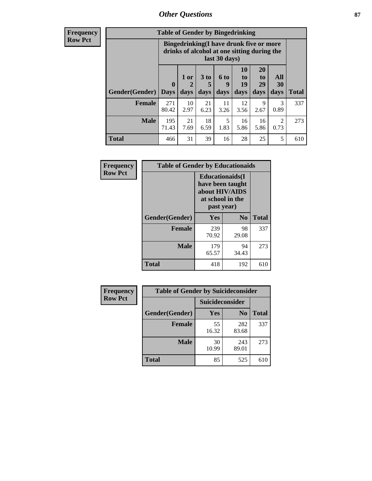## *Other Questions* **87**

**Frequency Row Pct**

| <b>Table of Gender by Bingedrinking</b> |                                                                                                                                                                   |                                                                                                         |            |            |            |              |                        |     |
|-----------------------------------------|-------------------------------------------------------------------------------------------------------------------------------------------------------------------|---------------------------------------------------------------------------------------------------------|------------|------------|------------|--------------|------------------------|-----|
|                                         |                                                                                                                                                                   | Bingedrinking(I have drunk five or more<br>drinks of alcohol at one sitting during the<br>last 30 days) |            |            |            |              |                        |     |
| <b>Gender</b> (Gender)   Days           | 10<br><b>20</b><br>1 or<br>3 to<br>6 to<br>All<br>to<br>to<br>19<br>29<br><b>30</b><br>$\mathbf 0$<br>5<br>9<br>2<br>days<br>days<br>days<br>days<br>days<br>days |                                                                                                         |            |            |            | <b>Total</b> |                        |     |
| <b>Female</b>                           | 271<br>80.42                                                                                                                                                      | 10<br>2.97                                                                                              | 21<br>6.23 | 11<br>3.26 | 12<br>3.56 | 9<br>2.67    | 3<br>0.89              | 337 |
| <b>Male</b>                             | 195<br>71.43                                                                                                                                                      | 21<br>7.69                                                                                              | 18<br>6.59 | 5<br>1.83  | 16<br>5.86 | 16<br>5.86   | $\overline{2}$<br>0.73 | 273 |
|                                         |                                                                                                                                                                   |                                                                                                         |            |            |            |              |                        |     |

| Frequency      | <b>Table of Gender by Educationaids</b> |                                                                                                 |             |              |
|----------------|-----------------------------------------|-------------------------------------------------------------------------------------------------|-------------|--------------|
| <b>Row Pct</b> |                                         | <b>Educationaids</b> (I<br>have been taught<br>about HIV/AIDS<br>at school in the<br>past year) |             |              |
|                | Gender(Gender)                          | Yes                                                                                             | $\bf No$    | <b>Total</b> |
|                | <b>Female</b>                           | 239<br>70.92                                                                                    | 98<br>29.08 | 337          |
|                | <b>Male</b>                             | 179<br>65.57                                                                                    | 94<br>34.43 | 273          |
|                | <b>Total</b>                            | 418                                                                                             | 192         | 610          |

| Frequency      | <b>Table of Gender by Suicideconsider</b> |                 |                |       |
|----------------|-------------------------------------------|-----------------|----------------|-------|
| <b>Row Pct</b> |                                           | Suicideconsider |                |       |
|                | Gender(Gender)                            | Yes             | N <sub>0</sub> | Total |
|                | <b>Female</b>                             | 55<br>16.32     | 282<br>83.68   | 337   |
|                | <b>Male</b>                               | 30<br>10.99     | 243<br>89.01   | 273   |
|                | <b>Total</b>                              | 85              | 525            | 610   |